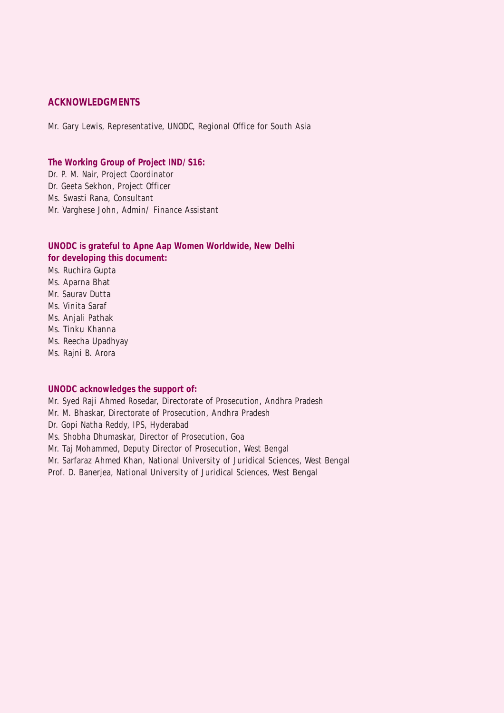#### **ACKNOWLEDGMENTS**

Mr. Gary Lewis, Representative, UNODC, Regional Office for South Asia

**The Working Group of Project IND/ S16:** Dr. P. M. Nair, Project Coordinator Dr. Geeta Sekhon, Project Officer Ms. Swasti Rana, Consultant Mr. Varghese John, Admin/ Finance Assistant

**UNODC is grateful to Apne Aap Women Worldwide, New Delhi for developing this document:** Ms. Ruchira Gupta Ms. Aparna Bhat Mr. Saurav Dutta Ms. Vinita Saraf Ms. Anjali Pathak Ms. Tinku Khanna Ms. Reecha Upadhyay Ms. Rajni B. Arora

#### **UNODC acknowledges the support of:**

Mr. Syed Raji Ahmed Rosedar, Directorate of Prosecution, Andhra Pradesh Mr. M. Bhaskar, Directorate of Prosecution, Andhra Pradesh Dr. Gopi Natha Reddy, IPS, Hyderabad Ms. Shobha Dhumaskar, Director of Prosecution, Goa Mr. Taj Mohammed, Deputy Director of Prosecution, West Bengal Mr. Sarfaraz Ahmed Khan, National University of Juridical Sciences, West Bengal Prof. D. Banerjea, National University of Juridical Sciences, West Bengal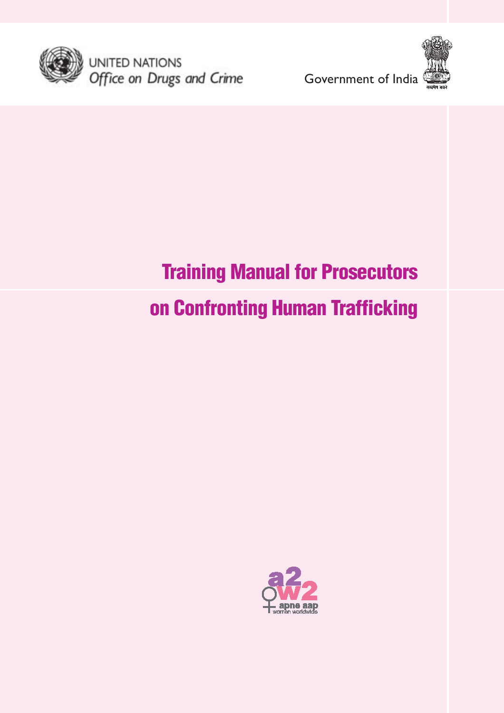

UNITED NATIONS<br>Office on Drugs and Crime Government of India



# Training Manual for Prosecutors

# on Confronting Human Trafficking

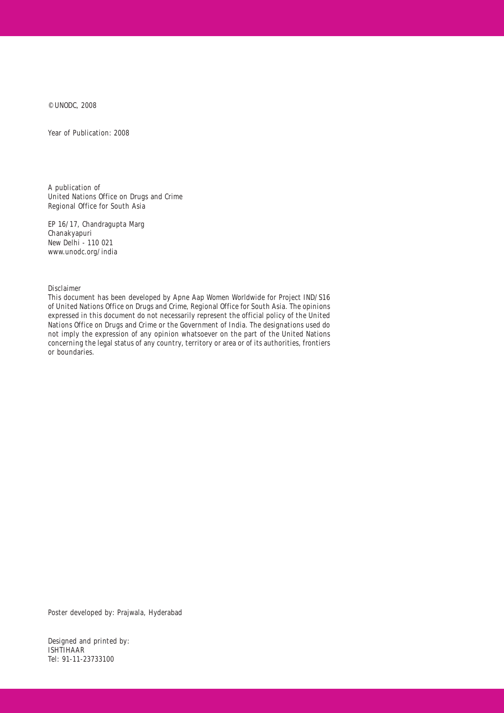© UNODC, 2008

Year of Publication: 2008

A publication of United Nations Office on Drugs and Crime Regional Office for South Asia

EP 16/17, Chandragupta Marg Chanakyapuri New Delhi - 110 021 www.unodc.org/india

Disclaimer

This document has been developed by Apne Aap Women Worldwide for Project IND/S16 of United Nations Office on Drugs and Crime, Regional Office for South Asia. The opinions expressed in this document do not necessarily represent the official policy of the United Nations Office on Drugs and Crime or the Government of India. The designations used do not imply the expression of any opinion whatsoever on the part of the United Nations concerning the legal status of any country, territory or area or of its authorities, frontiers or boundaries.

Poster developed by: Prajwala, Hyderabad

Designed and printed by: ISHTIHAAR Tel: 91-11-23733100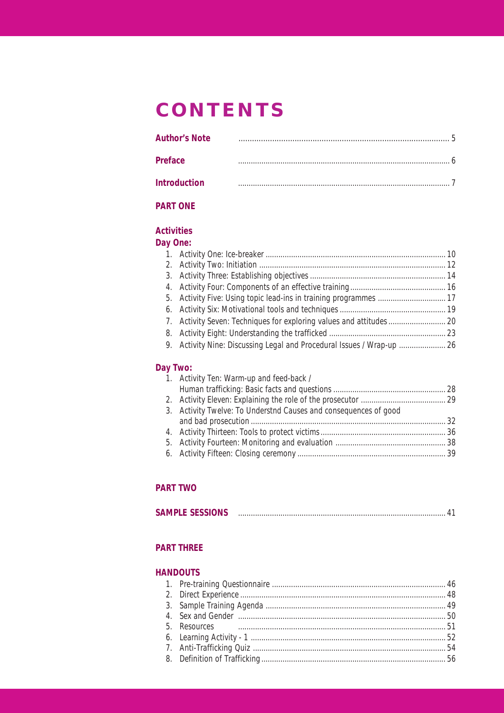# **CONTENTS**

| <b>Author's Note</b> |  |
|----------------------|--|
| Preface              |  |
| <b>Introduction</b>  |  |

### **PART ONE**

#### **Activities**

### **Day One:**

| 9. Activity Nine: Discussing Legal and Procedural Issues / Wrap-up  26 |  |
|------------------------------------------------------------------------|--|
|                                                                        |  |

### **Day Two:**

| 1. Activity Ten: Warm-up and feed-back /                         |  |
|------------------------------------------------------------------|--|
|                                                                  |  |
|                                                                  |  |
| 3. Activity Twelve: To Understnd Causes and consequences of good |  |
|                                                                  |  |
|                                                                  |  |
|                                                                  |  |
|                                                                  |  |
|                                                                  |  |

#### **PART TWO**

#### **PART THREE**

#### **HANDOUTS**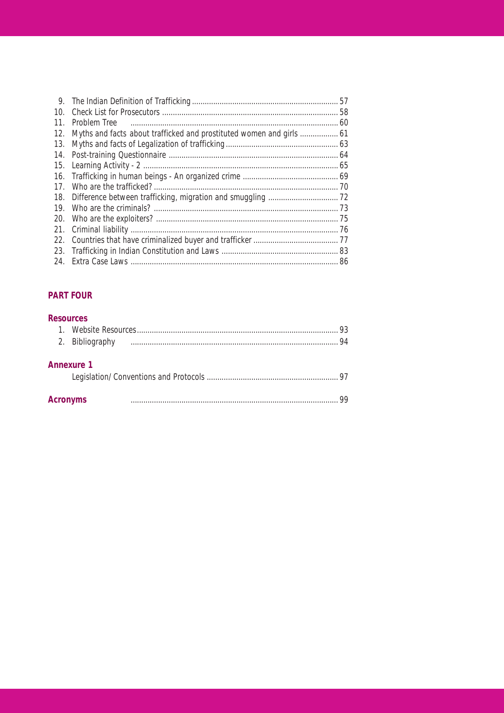| 10 <sub>1</sub> |              |  |
|-----------------|--------------|--|
| 11.             | Problem Tree |  |
| 12.             |              |  |
| 13.             |              |  |
|                 |              |  |
|                 |              |  |
|                 |              |  |
|                 |              |  |
|                 |              |  |
| 19.             |              |  |
|                 |              |  |
| 21.             |              |  |
|                 |              |  |
|                 |              |  |
| 24.             |              |  |

### **PART FOUR**

#### **Resources**

|                 |                   | 94 |
|-----------------|-------------------|----|
|                 | <b>Annexure 1</b> |    |
| <b>Acronyms</b> |                   | QQ |
|                 |                   |    |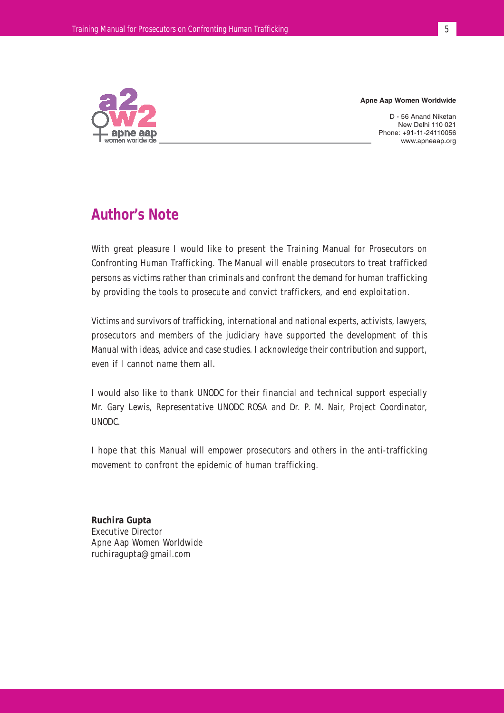

#### Apne Aap Women Worldwide

D - 56 Anand Niketan New Delhi 110 021 Phone: +91-11-24110056 www.apneaap.org

### **Author's Note**

With great pleasure I would like to present the Training Manual for Prosecutors on Confronting Human Trafficking. The Manual will enable prosecutors to treat trafficked persons as victims rather than criminals and confront the demand for human trafficking by providing the tools to prosecute and convict traffickers, and end exploitation.

Victims and survivors of trafficking, international and national experts, activists, lawyers, prosecutors and members of the judiciary have supported the development of this Manual with ideas, advice and case studies. I acknowledge their contribution and support, even if I cannot name them all.

I would also like to thank UNODC for their financial and technical support especially Mr. Gary Lewis, Representative UNODC ROSA and Dr. P. M. Nair, Project Coordinator, UNODC.

I hope that this Manual will empower prosecutors and others in the anti-trafficking movement to confront the epidemic of human trafficking.

**Ruchira Gupta** Executive Director Apne Aap Women Worldwide ruchiragupta@gmail.com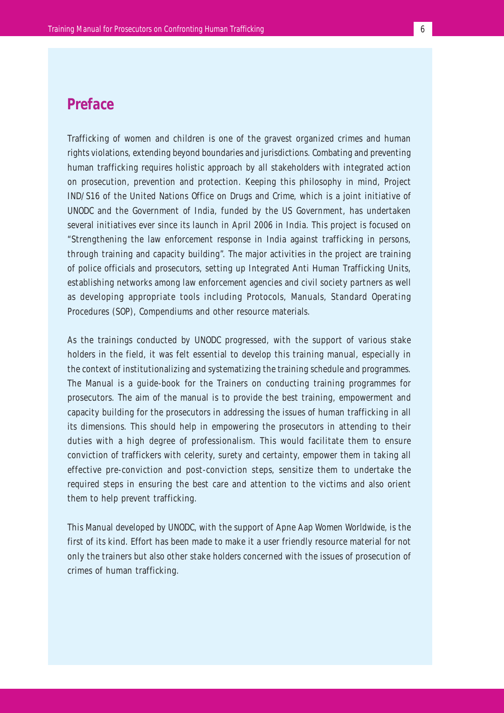### **Preface**

Trafficking of women and children is one of the gravest organized crimes and human rights violations, extending beyond boundaries and jurisdictions. Combating and preventing human trafficking requires holistic approach by all stakeholders with integrated action on prosecution, prevention and protection. Keeping this philosophy in mind, Project IND/S16 of the United Nations Office on Drugs and Crime, which is a joint initiative of UNODC and the Government of India, funded by the US Government, has undertaken several initiatives ever since its launch in April 2006 in India. This project is focused on "Strengthening the law enforcement response in India against trafficking in persons, through training and capacity building". The major activities in the project are training of police officials and prosecutors, setting up Integrated Anti Human Trafficking Units, establishing networks among law enforcement agencies and civil society partners as well as developing appropriate tools including Protocols, Manuals, Standard Operating Procedures (SOP), Compendiums and other resource materials.

As the trainings conducted by UNODC progressed, with the support of various stake holders in the field, it was felt essential to develop this training manual, especially in the context of institutionalizing and systematizing the training schedule and programmes. The Manual is a guide-book for the Trainers on conducting training programmes for prosecutors. The aim of the manual is to provide the best training, empowerment and capacity building for the prosecutors in addressing the issues of human trafficking in all its dimensions. This should help in empowering the prosecutors in attending to their duties with a high degree of professionalism. This would facilitate them to ensure conviction of traffickers with celerity, surety and certainty, empower them in taking all effective pre-conviction and post-conviction steps, sensitize them to undertake the required steps in ensuring the best care and attention to the victims and also orient them to help prevent trafficking.

This Manual developed by UNODC, with the support of Apne Aap Women Worldwide, is the first of its kind. Effort has been made to make it a user friendly resource material for not only the trainers but also other stake holders concerned with the issues of prosecution of crimes of human trafficking.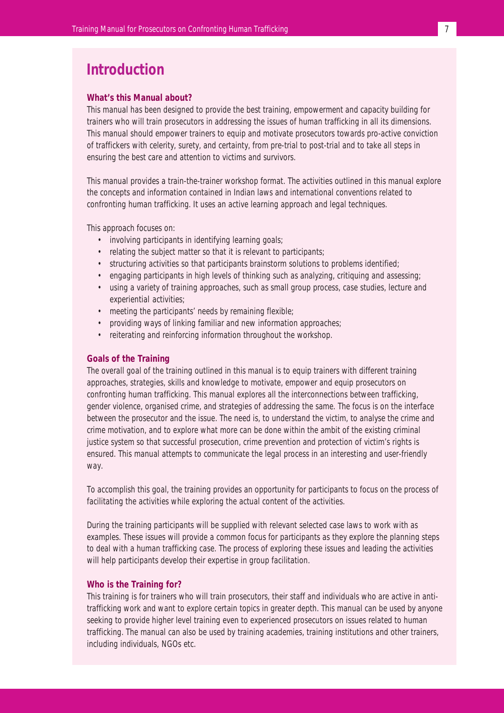### **Introduction**

#### **What's this Manual about?**

This manual has been designed to provide the best training, empowerment and capacity building for trainers who will train prosecutors in addressing the issues of human trafficking in all its dimensions. This manual should empower trainers to equip and motivate prosecutors towards pro-active conviction of traffickers with celerity, surety, and certainty, from pre-trial to post-trial and to take all steps in ensuring the best care and attention to victims and survivors.

This manual provides a train-the-trainer workshop format. The activities outlined in this manual explore the concepts and information contained in Indian laws and international conventions related to confronting human trafficking. It uses an active learning approach and legal techniques.

This approach focuses on:

- involving participants in identifying learning goals;
- relating the subject matter so that it is relevant to participants;
- structuring activities so that participants brainstorm solutions to problems identified;
- engaging participants in high levels of thinking such as analyzing, critiquing and assessing;
- using a variety of training approaches, such as small group process, case studies, lecture and experiential activities;
- meeting the participants' needs by remaining flexible;
- providing ways of linking familiar and new information approaches;
- reiterating and reinforcing information throughout the workshop.

#### **Goals of the Training**

The overall goal of the training outlined in this manual is to equip trainers with different training approaches, strategies, skills and knowledge to motivate, empower and equip prosecutors on confronting human trafficking. This manual explores all the interconnections between trafficking, gender violence, organised crime, and strategies of addressing the same. The focus is on the interface between the prosecutor and the issue. The need is, to understand the victim, to analyse the crime and crime motivation, and to explore what more can be done within the ambit of the existing criminal justice system so that successful prosecution, crime prevention and protection of victim's rights is ensured. This manual attempts to communicate the legal process in an interesting and user-friendly way.

To accomplish this goal, the training provides an opportunity for participants to focus on the process of facilitating the activities while exploring the actual content of the activities.

During the training participants will be supplied with relevant selected case laws to work with as examples. These issues will provide a common focus for participants as they explore the planning steps to deal with a human trafficking case. The process of exploring these issues and leading the activities will help participants develop their expertise in group facilitation.

#### **Who is the Training for?**

This training is for trainers who will train prosecutors, their staff and individuals who are active in antitrafficking work and want to explore certain topics in greater depth. This manual can be used by anyone seeking to provide higher level training even to experienced prosecutors on issues related to human trafficking. The manual can also be used by training academies, training institutions and other trainers, including individuals, NGOs etc.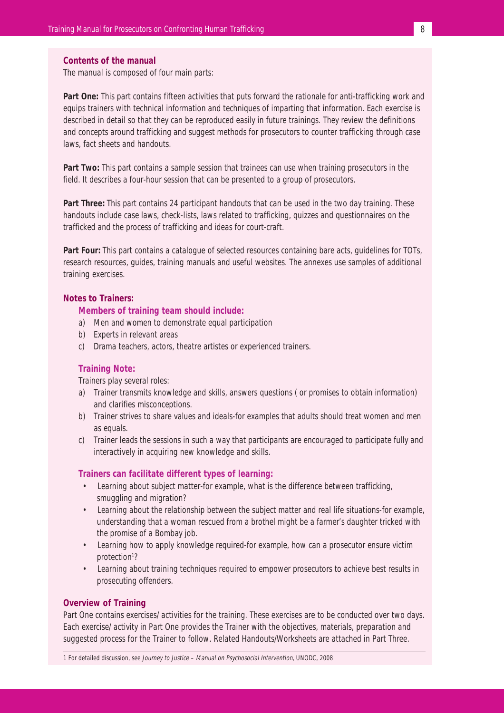#### **Contents of the manual**

The manual is composed of four main parts:

Part One: This part contains fifteen activities that puts forward the rationale for anti-trafficking work and equips trainers with technical information and techniques of imparting that information. Each exercise is described in detail so that they can be reproduced easily in future trainings. They review the definitions and concepts around trafficking and suggest methods for prosecutors to counter trafficking through case laws, fact sheets and handouts.

**Part Two:** This part contains a sample session that trainees can use when training prosecutors in the field. It describes a four-hour session that can be presented to a group of prosecutors.

**Part Three:** This part contains 24 participant handouts that can be used in the two day training. These handouts include case laws, check-lists, laws related to trafficking, quizzes and questionnaires on the trafficked and the process of trafficking and ideas for court-craft.

Part Four: This part contains a catalogue of selected resources containing bare acts, guidelines for TOTs, research resources, guides, training manuals and useful websites. The annexes use samples of additional training exercises.

#### **Notes to Trainers:**

**Members of training team should include:**

- a) Men and women to demonstrate equal participation
- b) Experts in relevant areas
- c) Drama teachers, actors, theatre artistes or experienced trainers.

#### **Training Note:**

Trainers play several roles:

- a) Trainer transmits knowledge and skills, answers questions ( or promises to obtain information) and clarifies misconceptions.
- b) Trainer strives to share values and ideals-for examples that adults should treat women and men as equals.
- c) Trainer leads the sessions in such a way that participants are encouraged to participate fully and interactively in acquiring new knowledge and skills.

#### **Trainers can facilitate different types of learning:**

- Learning about subject matter-for example, what is the difference between trafficking, smuggling and migration?
- Learning about the relationship between the subject matter and real life situations-for example, understanding that a woman rescued from a brothel might be a farmer's daughter tricked with the promise of a Bombay job.
- Learning how to apply knowledge required-for example, how can a prosecutor ensure victim protection<sup>1</sup>?
- Learning about training techniques required to empower prosecutors to achieve best results in prosecuting offenders.

#### **Overview of Training**

Part One contains exercises/ activities for the training. These exercises are to be conducted over two days. Each exercise/ activity in Part One provides the Trainer with the objectives, materials, preparation and suggested process for the Trainer to follow. Related Handouts/Worksheets are attached in Part Three.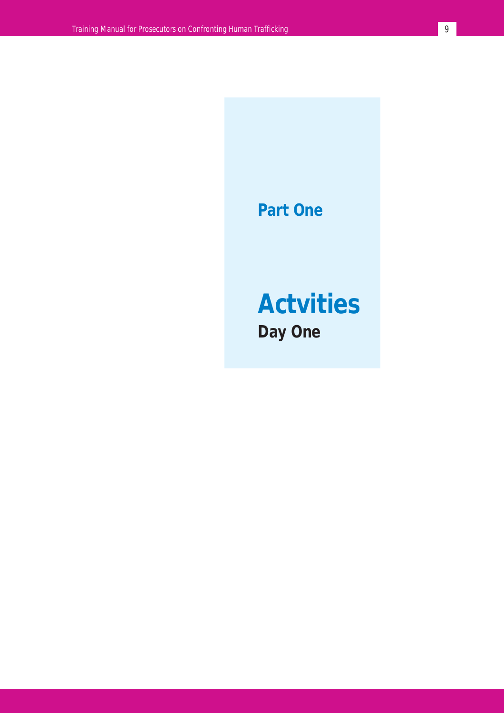## **Part One**

# **Actvities Day One**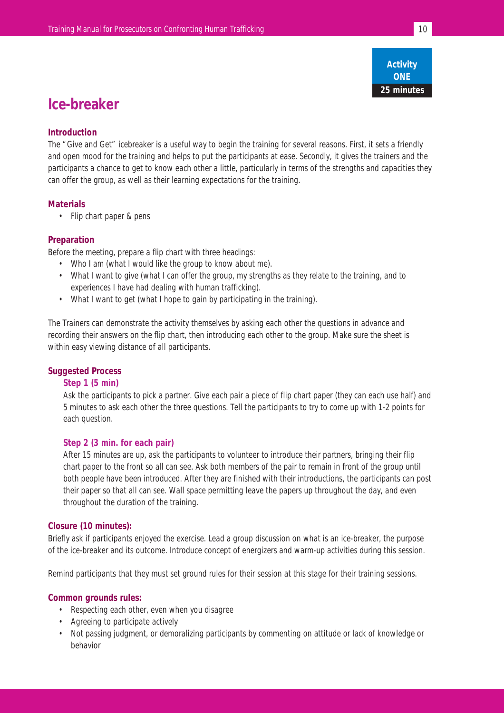### **Ice-breaker**

#### **Introduction**

The "Give and Get" icebreaker is a useful way to begin the training for several reasons. First, it sets a friendly and open mood for the training and helps to put the participants at ease. Secondly, it gives the trainers and the participants a chance to get to know each other a little, particularly in terms of the strengths and capacities they can offer the group, as well as their learning expectations for the training.

#### **Materials**

• Flip chart paper & pens

#### **Preparation**

Before the meeting, prepare a flip chart with three headings:

- Who I am (what I would like the group to know about me).
- What I want to give (what I can offer the group, my strengths as they relate to the training, and to experiences I have had dealing with human trafficking).
- What I want to get (what I hope to gain by participating in the training).

The Trainers can demonstrate the activity themselves by asking each other the questions in advance and recording their answers on the flip chart, then introducing each other to the group. Make sure the sheet is within easy viewing distance of all participants.

#### **Suggested Process**

#### **Step 1 (5 min)**

Ask the participants to pick a partner. Give each pair a piece of flip chart paper (they can each use half) and 5 minutes to ask each other the three questions. Tell the participants to try to come up with 1-2 points for each question.

#### **Step 2 (3 min. for each pair)**

After 15 minutes are up, ask the participants to volunteer to introduce their partners, bringing their flip chart paper to the front so all can see. Ask both members of the pair to remain in front of the group until both people have been introduced. After they are finished with their introductions, the participants can post their paper so that all can see. Wall space permitting leave the papers up throughout the day, and even throughout the duration of the training.

#### **Closure (10 minutes):**

Briefly ask if participants enjoyed the exercise. Lead a group discussion on what is an ice-breaker, the purpose of the ice-breaker and its outcome. Introduce concept of energizers and warm-up activities during this session.

Remind participants that they must set ground rules for their session at this stage for their training sessions.

#### **Common grounds rules:**

- Respecting each other, even when you disagree
- Agreeing to participate actively
- Not passing judgment, or demoralizing participants by commenting on attitude or lack of knowledge or behavior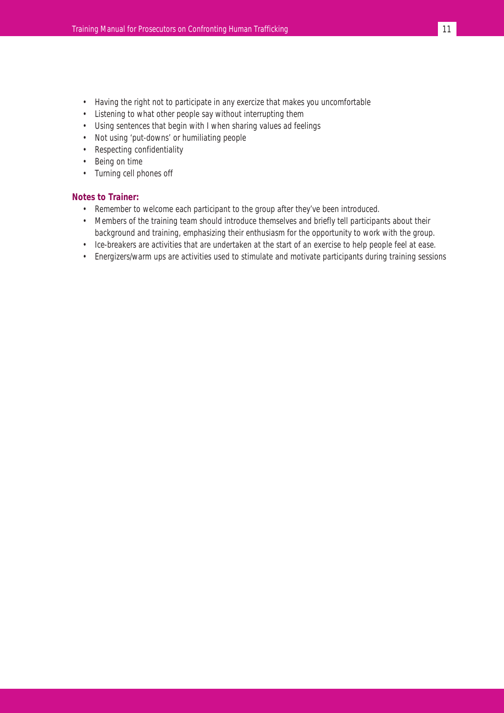- Having the right not to participate in any exercize that makes you uncomfortable
- Listening to what other people say without interrupting them
- Using sentences that begin with I when sharing values ad feelings
- Not using 'put-downs' or humiliating people
- Respecting confidentiality
- Being on time
- Turning cell phones off

#### **Notes to Trainer:**

- Remember to welcome each participant to the group after they've been introduced.
- Members of the training team should introduce themselves and briefly tell participants about their background and training, emphasizing their enthusiasm for the opportunity to work with the group.
- Ice-breakers are activities that are undertaken at the start of an exercise to help people feel at ease.
- Energizers/warm ups are activities used to stimulate and motivate participants during training sessions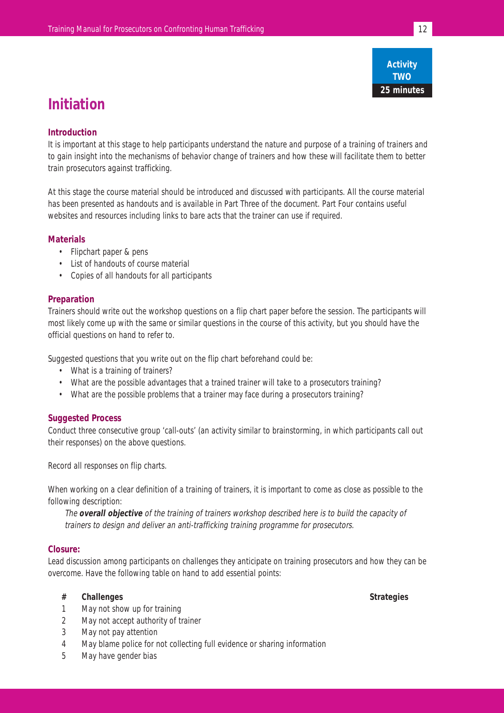

## **Initiation**

#### **Introduction**

It is important at this stage to help participants understand the nature and purpose of a training of trainers and to gain insight into the mechanisms of behavior change of trainers and how these will facilitate them to better train prosecutors against trafficking.

At this stage the course material should be introduced and discussed with participants. All the course material has been presented as handouts and is available in Part Three of the document. Part Four contains useful websites and resources including links to bare acts that the trainer can use if required.

#### **Materials**

- Flipchart paper & pens
- List of handouts of course material
- Copies of all handouts for all participants

#### **Preparation**

Trainers should write out the workshop questions on a flip chart paper before the session. The participants will most likely come up with the same or similar questions in the course of this activity, but you should have the official questions on hand to refer to.

Suggested questions that you write out on the flip chart beforehand could be:

- What is a training of trainers?
- What are the possible advantages that a trained trainer will take to a prosecutors training?
- What are the possible problems that a trainer may face during a prosecutors training?

#### **Suggested Process**

Conduct three consecutive group 'call-outs' (an activity similar to brainstorming, in which participants call out their responses) on the above questions.

Record all responses on flip charts.

When working on a clear definition of a training of trainers, it is important to come as close as possible to the following description:

The **overall objective** of the training of trainers workshop described here is to build the capacity of trainers to design and deliver an anti-trafficking training programme for prosecutors.

#### **Closure:**

Lead discussion among participants on challenges they anticipate on training prosecutors and how they can be overcome. Have the following table on hand to add essential points:

#### **# Challenges Strategies**

- 1 May not show up for training
- 2 May not accept authority of trainer
- 3 May not pay attention
- 4 May blame police for not collecting full evidence or sharing information
- 5 May have gender bias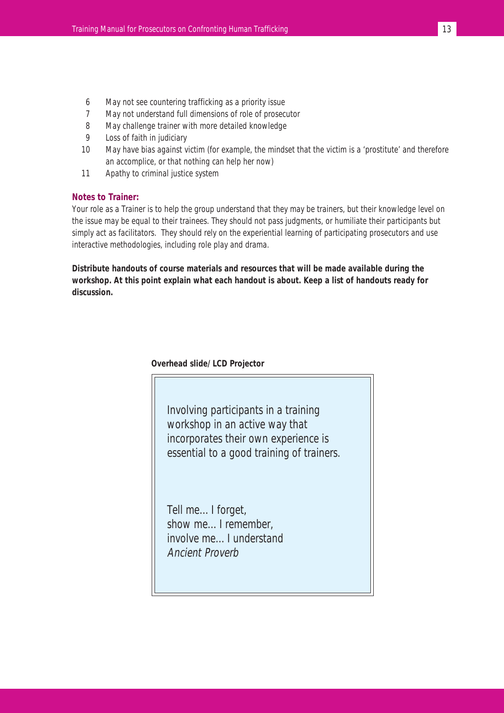- 6 May not see countering trafficking as a priority issue
- 7 May not understand full dimensions of role of prosecutor
- 8 May challenge trainer with more detailed knowledge
- 9 Loss of faith in judiciary
- 10 May have bias against victim (for example, the mindset that the victim is a 'prostitute' and therefore an accomplice, or that nothing can help her now)
- 11 Apathy to criminal justice system

#### **Notes to Trainer:**

Your role as a Trainer is to help the group understand that they may be trainers, but their knowledge level on the issue may be equal to their trainees. They should not pass judgments, or humiliate their participants but simply act as facilitators. They should rely on the experiential learning of participating prosecutors and use interactive methodologies, including role play and drama.

**Distribute handouts of course materials and resources that will be made available during the workshop. At this point explain what each handout is about. Keep a list of handouts ready for discussion.**

#### **Overhead slide/ LCD Projector**



Tell me…I forget, show me…I remember, involve me…I understand Ancient Proverb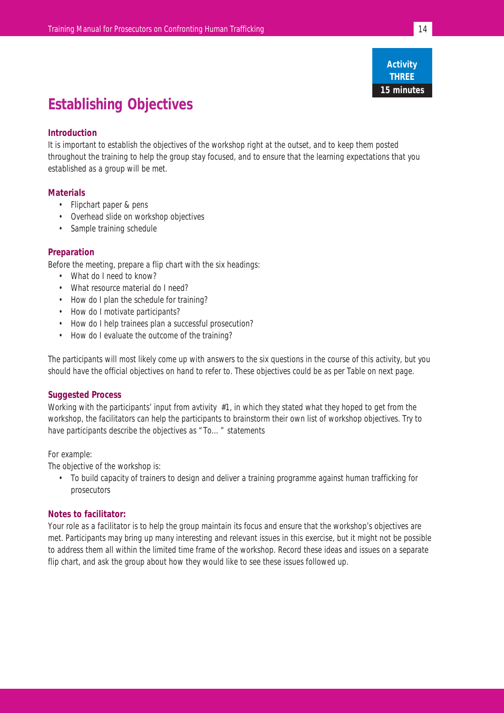

## **Establishing Objectives**

#### **Introduction**

It is important to establish the objectives of the workshop right at the outset, and to keep them posted throughout the training to help the group stay focused, and to ensure that the learning expectations that you established as a group will be met.

#### **Materials**

- Flipchart paper & pens
- Overhead slide on workshop objectives
- Sample training schedule

#### **Preparation**

Before the meeting, prepare a flip chart with the six headings:

- What do I need to know?
- What resource material do I need?
- How do I plan the schedule for training?
- How do I motivate participants?
- How do I help trainees plan a successful prosecution?
- How do I evaluate the outcome of the training?

The participants will most likely come up with answers to the six questions in the course of this activity, but you should have the official objectives on hand to refer to. These objectives could be as per Table on next page.

#### **Suggested Process**

Working with the participants' input from avtivity #1, in which they stated what they hoped to get from the workshop, the facilitators can help the participants to brainstorm their own list of workshop objectives. Try to have participants describe the objectives as "To…" statements

#### For example:

The objective of the workshop is:

• To build capacity of trainers to design and deliver a training programme against human trafficking for prosecutors

#### **Notes to facilitator:**

Your role as a facilitator is to help the group maintain its focus and ensure that the workshop's objectives are met. Participants may bring up many interesting and relevant issues in this exercise, but it might not be possible to address them all within the limited time frame of the workshop. Record these ideas and issues on a separate flip chart, and ask the group about how they would like to see these issues followed up.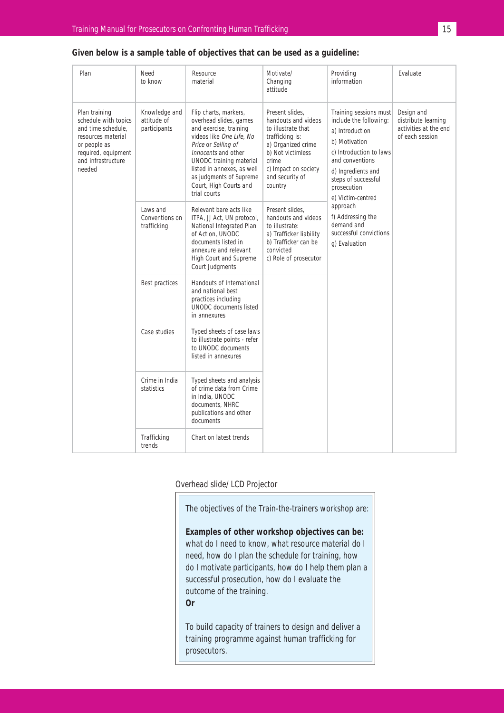| Plan                                                                                                                                                     | Need<br>to know                              | Resource<br>material                                                                                                                                                                                                                                                                     | Motivate/<br>Changing<br>attitude                                                                                                                                                         | Providing<br>information                                                                                                                                                                                            | Evaluate                                             |                       |
|----------------------------------------------------------------------------------------------------------------------------------------------------------|----------------------------------------------|------------------------------------------------------------------------------------------------------------------------------------------------------------------------------------------------------------------------------------------------------------------------------------------|-------------------------------------------------------------------------------------------------------------------------------------------------------------------------------------------|---------------------------------------------------------------------------------------------------------------------------------------------------------------------------------------------------------------------|------------------------------------------------------|-----------------------|
| Plan training<br>schedule with topics<br>and time schedule,<br>resources material<br>or people as<br>required, equipment<br>and infrastructure<br>needed | Knowledge and<br>attitude of<br>participants | Flip charts, markers,<br>overhead slides, games<br>and exercise, training<br>videos like One Life, No<br>Price or Selling of<br>Innocents and other<br><b>UNODC</b> training material<br>listed in annexes, as well<br>as judgments of Supreme<br>Court, High Courts and<br>trial courts | Present slides.<br>handouts and videos<br>to illustrate that<br>trafficking is:<br>a) Organized crime<br>b) Not victimless<br>crime<br>c) Impact on society<br>and security of<br>country | Training sessions must<br>include the following:<br>a) Introduction<br>b) Motivation<br>c) Introduction to laws<br>and conventions<br>d) Ingredients and<br>steps of successful<br>prosecution<br>e) Victim-centred | Design and<br>distribute learning<br>of each session | activities at the end |
|                                                                                                                                                          | Laws and<br>Conventions on<br>trafficking    | Relevant bare acts like<br>ITPA, JJ Act, UN protocol,<br>National Integrated Plan<br>of Action, UNODC<br>documents listed in<br>annexure and relevant<br>High Court and Supreme<br>Court Judgments                                                                                       | Present slides.<br>handouts and videos<br>to illustrate:<br>a) Trafficker liability<br>b) Trafficker can be<br>convicted<br>c) Role of prosecutor                                         | approach<br>f) Addressing the<br>demand and<br>successful convictions<br>q) Evaluation                                                                                                                              |                                                      |                       |
|                                                                                                                                                          | Best practices                               | Handouts of International<br>and national best<br>practices including<br><b>UNODC</b> documents listed<br>in annexures                                                                                                                                                                   |                                                                                                                                                                                           |                                                                                                                                                                                                                     |                                                      |                       |
|                                                                                                                                                          | Case studies                                 | Typed sheets of case laws<br>to illustrate points - refer<br>to UNODC documents<br>listed in annexures                                                                                                                                                                                   |                                                                                                                                                                                           |                                                                                                                                                                                                                     |                                                      |                       |
|                                                                                                                                                          | Crime in India<br>statistics                 | Typed sheets and analysis<br>of crime data from Crime<br>in India, UNODC<br>documents, NHRC<br>publications and other<br>documents                                                                                                                                                       |                                                                                                                                                                                           |                                                                                                                                                                                                                     |                                                      |                       |
|                                                                                                                                                          | Trafficking                                  | Chart on latest trends                                                                                                                                                                                                                                                                   |                                                                                                                                                                                           |                                                                                                                                                                                                                     |                                                      |                       |

#### **Given below is a sample table of objectives that can be used as a guideline:**

Overhead slide/ LCD Projector

trends

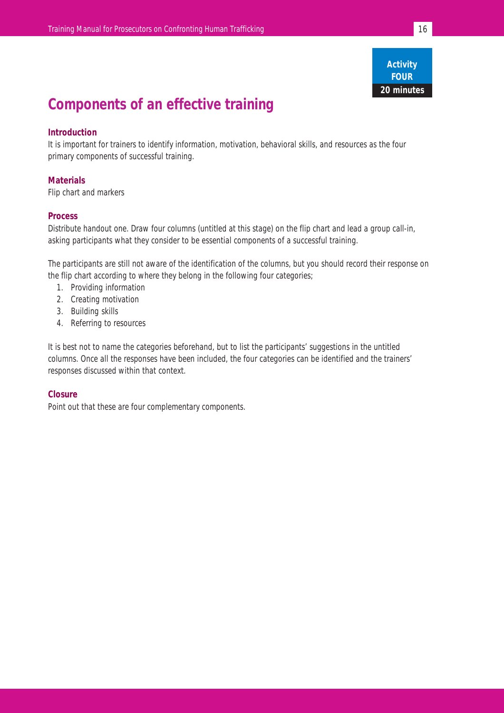

## **Components of an effective training**

#### **Introduction**

It is important for trainers to identify information, motivation, behavioral skills, and resources as the four primary components of successful training.

#### **Materials**

Flip chart and markers

#### **Process**

Distribute handout one. Draw four columns (untitled at this stage) on the flip chart and lead a group call-in, asking participants what they consider to be essential components of a successful training.

The participants are still not aware of the identification of the columns, but you should record their response on the flip chart according to where they belong in the following four categories;

- 1. Providing information
- 2. Creating motivation
- 3. Building skills
- 4. Referring to resources

It is best not to name the categories beforehand, but to list the participants' suggestions in the untitled columns. Once all the responses have been included, the four categories can be identified and the trainers' responses discussed within that context.

#### **Closure**

Point out that these are four complementary components.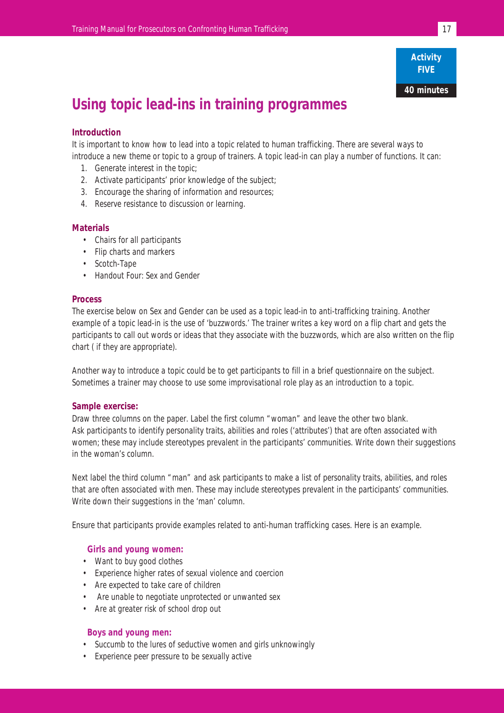

## **Using topic lead-ins in training programmes**

#### **Introduction**

It is important to know how to lead into a topic related to human trafficking. There are several ways to introduce a new theme or topic to a group of trainers. A topic lead-in can play a number of functions. It can:

- 1. Generate interest in the topic;
- 2. Activate participants' prior knowledge of the subject;
- 3. Encourage the sharing of information and resources;
- 4. Reserve resistance to discussion or learning.

#### **Materials**

- Chairs for all participants
- Flip charts and markers
- Scotch-Tape
- Handout Four: Sex and Gender

#### **Process**

The exercise below on Sex and Gender can be used as a topic lead-in to anti-trafficking training. Another example of a topic lead-in is the use of 'buzzwords.' The trainer writes a key word on a flip chart and gets the participants to call out words or ideas that they associate with the buzzwords, which are also written on the flip chart ( if they are appropriate).

Another way to introduce a topic could be to get participants to fill in a brief questionnaire on the subject. Sometimes a trainer may choose to use some improvisational role play as an introduction to a topic.

#### **Sample exercise:**

Draw three columns on the paper. Label the first column "woman" and leave the other two blank. Ask participants to identify personality traits, abilities and roles ('attributes') that are often associated with women; these may include stereotypes prevalent in the participants' communities. Write down their suggestions in the woman's column.

Next label the third column "man" and ask participants to make a list of personality traits, abilities, and roles that are often associated with men. These may include stereotypes prevalent in the participants' communities. Write down their suggestions in the 'man' column.

Ensure that participants provide examples related to anti-human trafficking cases. Here is an example.

#### **Girls and young women:**

- Want to buy good clothes
- Experience higher rates of sexual violence and coercion
- Are expected to take care of children
- Are unable to negotiate unprotected or unwanted sex
- Are at greater risk of school drop out

#### **Boys and young men:**

- Succumb to the lures of seductive women and girls unknowingly
- Experience peer pressure to be sexually active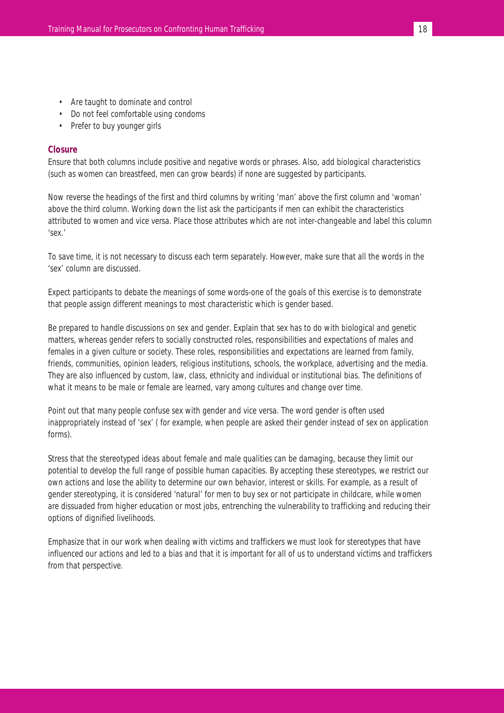- Are taught to dominate and control
- Do not feel comfortable using condoms
- Prefer to buy younger girls

#### **Closure**

Ensure that both columns include positive and negative words or phrases. Also, add biological characteristics (such as women can breastfeed, men can grow beards) if none are suggested by participants.

Now reverse the headings of the first and third columns by writing 'man' above the first column and 'woman' above the third column. Working down the list ask the participants if men can exhibit the characteristics attributed to women and vice versa. Place those attributes which are not inter-changeable and label this column 'sex.'

To save time, it is not necessary to discuss each term separately. However, make sure that all the words in the 'sex' column are discussed.

Expect participants to debate the meanings of some words-one of the goals of this exercise is to demonstrate that people assign different meanings to most characteristic which is gender based.

Be prepared to handle discussions on sex and gender. Explain that sex has to do with biological and genetic matters, whereas gender refers to socially constructed roles, responsibilities and expectations of males and females in a given culture or society. These roles, responsibilities and expectations are learned from family, friends, communities, opinion leaders, religious institutions, schools, the workplace, advertising and the media. They are also influenced by custom, law, class, ethnicity and individual or institutional bias. The definitions of what it means to be male or female are learned, vary among cultures and change over time.

Point out that many people confuse sex with gender and vice versa. The word gender is often used inappropriately instead of 'sex' ( for example, when people are asked their gender instead of sex on application forms).

Stress that the stereotyped ideas about female and male qualities can be damaging, because they limit our potential to develop the full range of possible human capacities. By accepting these stereotypes, we restrict our own actions and lose the ability to determine our own behavior, interest or skills. For example, as a result of gender stereotyping, it is considered 'natural' for men to buy sex or not participate in childcare, while women are dissuaded from higher education or most jobs, entrenching the vulnerability to trafficking and reducing their options of dignified livelihoods.

Emphasize that in our work when dealing with victims and traffickers we must look for stereotypes that have influenced our actions and led to a bias and that it is important for all of us to understand victims and traffickers from that perspective.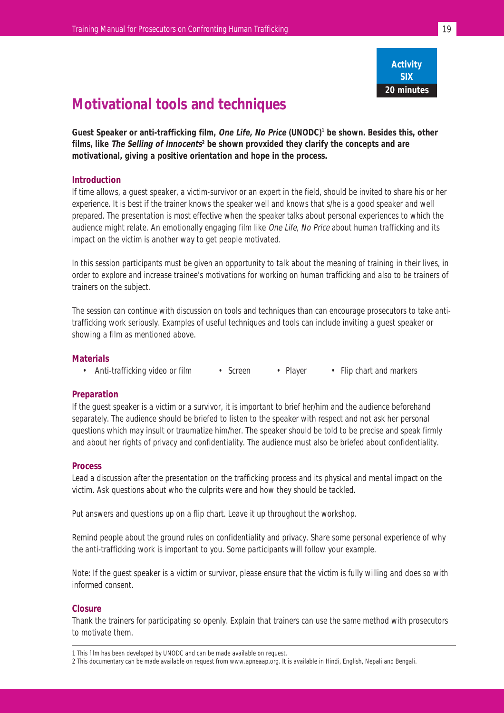

### **Motivational tools and techniques**

**Guest Speaker or anti-trafficking film, One Life, No Price (UNODC)1 be shown. Besides this, other films, like The Selling of Innocents<sup>2</sup> be shown provxided they clarify the concepts and are motivational, giving a positive orientation and hope in the process.**

#### **Introduction**

If time allows, a guest speaker, a victim-survivor or an expert in the field, should be invited to share his or her experience. It is best if the trainer knows the speaker well and knows that s/he is a good speaker and well prepared. The presentation is most effective when the speaker talks about personal experiences to which the audience might relate. An emotionally engaging film like One Life, No Price about human trafficking and its impact on the victim is another way to get people motivated.

In this session participants must be given an opportunity to talk about the meaning of training in their lives, in order to explore and increase trainee's motivations for working on human trafficking and also to be trainers of trainers on the subject.

The session can continue with discussion on tools and techniques than can encourage prosecutors to take antitrafficking work seriously. Examples of useful techniques and tools can include inviting a guest speaker or showing a film as mentioned above.

#### **Materials**

• Anti-trafficking video or film • Screen • Player • Flip chart and markers

#### **Preparation**

If the guest speaker is a victim or a survivor, it is important to brief her/him and the audience beforehand separately. The audience should be briefed to listen to the speaker with respect and not ask her personal questions which may insult or traumatize him/her. The speaker should be told to be precise and speak firmly and about her rights of privacy and confidentiality. The audience must also be briefed about confidentiality.

#### **Process**

Lead a discussion after the presentation on the trafficking process and its physical and mental impact on the victim. Ask questions about who the culprits were and how they should be tackled.

Put answers and questions up on a flip chart. Leave it up throughout the workshop.

Remind people about the ground rules on confidentiality and privacy. Share some personal experience of why the anti-trafficking work is important to you. Some participants will follow your example.

Note: If the guest speaker is a victim or survivor, please ensure that the victim is fully willing and does so with informed consent.

#### **Closure**

Thank the trainers for participating so openly. Explain that trainers can use the same method with prosecutors to motivate them.

<sup>1</sup> This film has been developed by UNODC and can be made available on request.

<sup>2</sup> This documentary can be made available on request from www.apneaap.org. It is available in Hindi, English, Nepali and Bengali.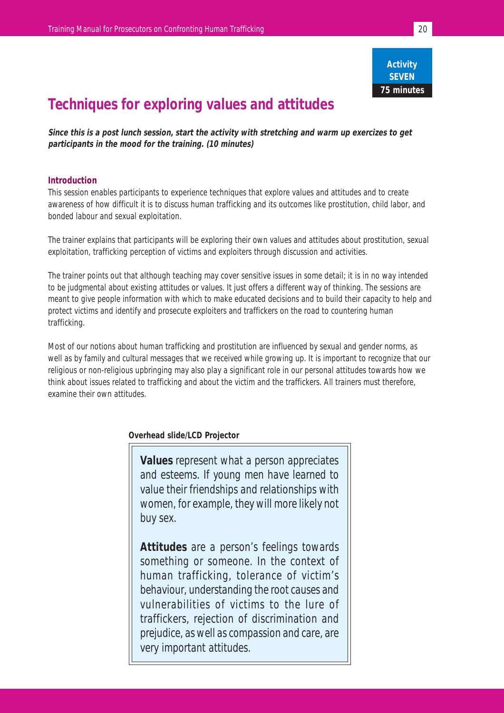### **Activity SEVEN 75 minutes**

## **Techniques for exploring values and attitudes**

**Since this is a post lunch session, start the activity with stretching and warm up exercizes to get participants in the mood for the training. (10 minutes)**

#### **Introduction**

This session enables participants to experience techniques that explore values and attitudes and to create awareness of how difficult it is to discuss human trafficking and its outcomes like prostitution, child labor, and bonded labour and sexual exploitation.

The trainer explains that participants will be exploring their own values and attitudes about prostitution, sexual exploitation, trafficking perception of victims and exploiters through discussion and activities.

The trainer points out that although teaching may cover sensitive issues in some detail; it is in no way intended to be judgmental about existing attitudes or values. It just offers a different way of thinking. The sessions are meant to give people information with which to make educated decisions and to build their capacity to help and protect victims and identify and prosecute exploiters and traffickers on the road to countering human trafficking.

Most of our notions about human trafficking and prostitution are influenced by sexual and gender norms, as well as by family and cultural messages that we received while growing up. It is important to recognize that our religious or non-religious upbringing may also play a significant role in our personal attitudes towards how we think about issues related to trafficking and about the victim and the traffickers. All trainers must therefore, examine their own attitudes.

#### **Overhead slide/LCD Projector**

**Values** represent what a person appreciates and esteems. If young men have learned to value their friendships and relationships with women, for example, they will more likely not buy sex.

**Attitudes** are a person's feelings towards something or someone. In the context of human trafficking, tolerance of victim's behaviour, understanding the root causes and vulnerabilities of victims to the lure of traffickers, rejection of discrimination and prejudice, as well as compassion and care, are very important attitudes.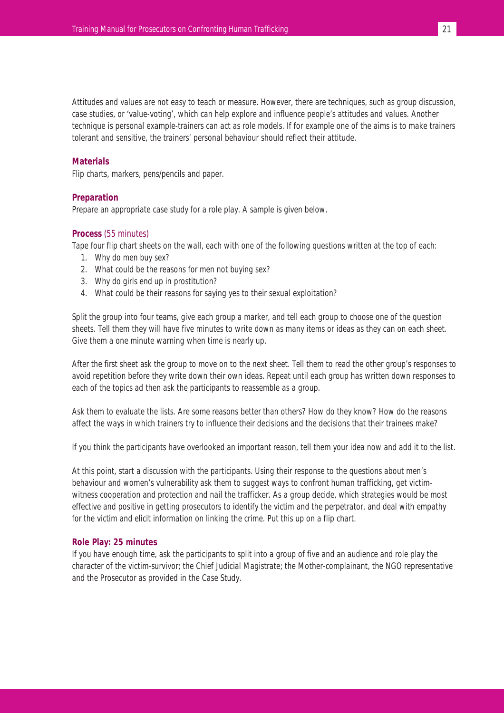Attitudes and values are not easy to teach or measure. However, there are techniques, such as group discussion, case studies, or 'value-voting', which can help explore and influence people's attitudes and values. Another technique is personal example-trainers can act as role models. If for example one of the aims is to make trainers tolerant and sensitive, the trainers' personal behaviour should reflect their attitude.

#### **Materials**

Flip charts, markers, pens/pencils and paper.

#### **Preparation**

Prepare an appropriate case study for a role play. A sample is given below.

#### **Process** (55 minutes)

Tape four flip chart sheets on the wall, each with one of the following questions written at the top of each:

- 1. Why do men buy sex?
- 2. What could be the reasons for men not buying sex?
- 3. Why do girls end up in prostitution?
- 4. What could be their reasons for saying yes to their sexual exploitation?

Split the group into four teams, give each group a marker, and tell each group to choose one of the question sheets. Tell them they will have five minutes to write down as many items or ideas as they can on each sheet. Give them a one minute warning when time is nearly up.

After the first sheet ask the group to move on to the next sheet. Tell them to read the other group's responses to avoid repetition before they write down their own ideas. Repeat until each group has written down responses to each of the topics ad then ask the participants to reassemble as a group.

Ask them to evaluate the lists. Are some reasons better than others? How do they know? How do the reasons affect the ways in which trainers try to influence their decisions and the decisions that their trainees make?

If you think the participants have overlooked an important reason, tell them your idea now and add it to the list.

At this point, start a discussion with the participants. Using their response to the questions about men's behaviour and women's vulnerability ask them to suggest ways to confront human trafficking, get victimwitness cooperation and protection and nail the trafficker. As a group decide, which strategies would be most effective and positive in getting prosecutors to identify the victim and the perpetrator, and deal with empathy for the victim and elicit information on linking the crime. Put this up on a flip chart.

#### **Role Play: 25 minutes**

If you have enough time, ask the participants to split into a group of five and an audience and role play the character of the victim-survivor; the Chief Judicial Magistrate; the Mother-complainant, the NGO representative and the Prosecutor as provided in the Case Study.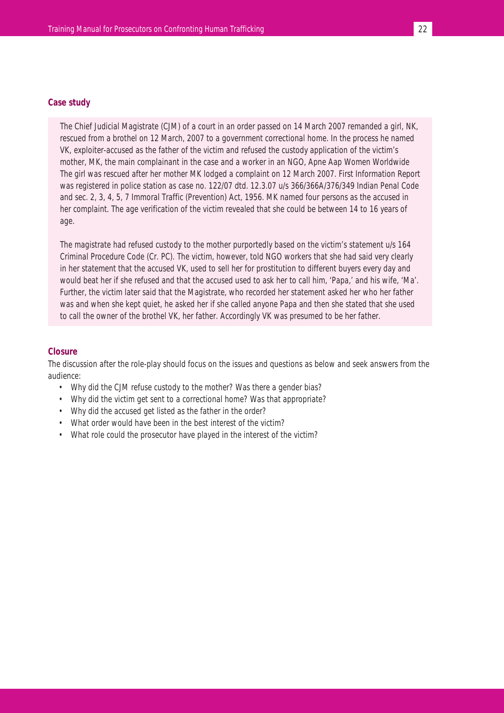#### **Case study**

The Chief Judicial Magistrate (CJM) of a court in an order passed on 14 March 2007 remanded a girl, NK, rescued from a brothel on 12 March, 2007 to a government correctional home. In the process he named VK, exploiter-accused as the father of the victim and refused the custody application of the victim's mother, MK, the main complainant in the case and a worker in an NGO, Apne Aap Women Worldwide The girl was rescued after her mother MK lodged a complaint on 12 March 2007. First Information Report was registered in police station as case no. 122/07 dtd. 12.3.07 u/s 366/366A/376/349 Indian Penal Code and sec. 2, 3, 4, 5, 7 Immoral Traffic (Prevention) Act, 1956. MK named four persons as the accused in her complaint. The age verification of the victim revealed that she could be between 14 to 16 years of age.

The magistrate had refused custody to the mother purportedly based on the victim's statement u/s 164 Criminal Procedure Code (Cr. PC). The victim, however, told NGO workers that she had said very clearly in her statement that the accused VK, used to sell her for prostitution to different buyers every day and would beat her if she refused and that the accused used to ask her to call him, 'Papa,' and his wife, 'Ma'. Further, the victim later said that the Magistrate, who recorded her statement asked her who her father was and when she kept quiet, he asked her if she called anyone Papa and then she stated that she used to call the owner of the brothel VK, her father. Accordingly VK was presumed to be her father.

#### **Closure**

The discussion after the role-play should focus on the issues and questions as below and seek answers from the audience:

- Why did the CJM refuse custody to the mother? Was there a gender bias?
- Why did the victim get sent to a correctional home? Was that appropriate?
- Why did the accused get listed as the father in the order?
- What order would have been in the best interest of the victim?
- What role could the prosecutor have played in the interest of the victim?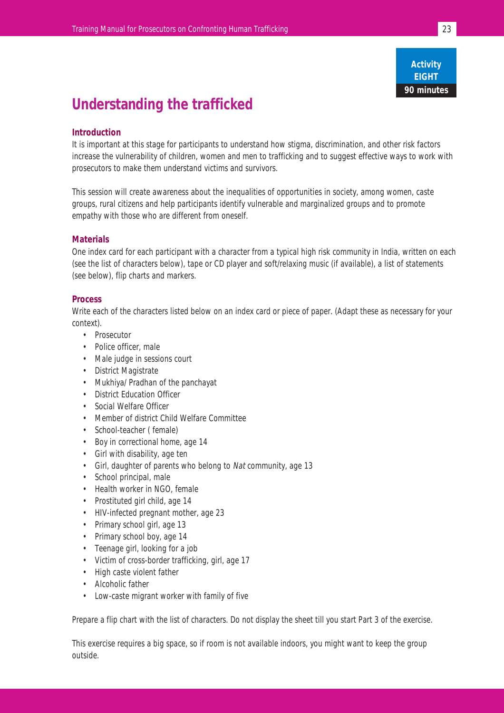#### **Activity EIGHT 90 minutes**

## **Understanding the trafficked**

#### **Introduction**

It is important at this stage for participants to understand how stigma, discrimination, and other risk factors increase the vulnerability of children, women and men to trafficking and to suggest effective ways to work with prosecutors to make them understand victims and survivors.

This session will create awareness about the inequalities of opportunities in society, among women, caste groups, rural citizens and help participants identify vulnerable and marginalized groups and to promote empathy with those who are different from oneself.

#### **Materials**

One index card for each participant with a character from a typical high risk community in India, written on each (see the list of characters below), tape or CD player and soft/relaxing music (if available), a list of statements (see below), flip charts and markers.

#### **Process**

Write each of the characters listed below on an index card or piece of paper. (Adapt these as necessary for your context).

- Prosecutor
- Police officer, male
- Male judge in sessions court
- District Magistrate
- Mukhiya/ Pradhan of the panchayat
- District Education Officer
- Social Welfare Officer
- Member of district Child Welfare Committee
- School-teacher ( female)
- Boy in correctional home, age 14
- Girl with disability, age ten
- Girl, daughter of parents who belong to Nat community, age 13
- School principal, male
- Health worker in NGO, female
- Prostituted girl child, age 14
- HIV-infected pregnant mother, age 23
- Primary school girl, age 13
- Primary school boy, age 14
- Teenage girl, looking for a job
- Victim of cross-border trafficking, girl, age 17
- High caste violent father
- Alcoholic father
- Low-caste migrant worker with family of five

Prepare a flip chart with the list of characters. Do not display the sheet till you start Part 3 of the exercise.

This exercise requires a big space, so if room is not available indoors, you might want to keep the group outside.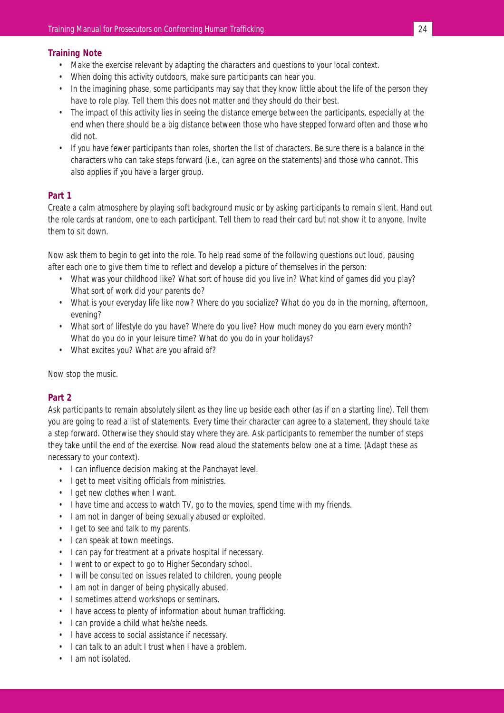#### **Training Note**

- Make the exercise relevant by adapting the characters and questions to your local context.
- When doing this activity outdoors, make sure participants can hear you.
- In the imagining phase, some participants may say that they know little about the life of the person they have to role play. Tell them this does not matter and they should do their best.
- The impact of this activity lies in seeing the distance emerge between the participants, especially at the end when there should be a big distance between those who have stepped forward often and those who did not.
- If you have fewer participants than roles, shorten the list of characters. Be sure there is a balance in the characters who can take steps forward (i.e., can agree on the statements) and those who cannot. This also applies if you have a larger group.

#### **Part 1**

Create a calm atmosphere by playing soft background music or by asking participants to remain silent. Hand out the role cards at random, one to each participant. Tell them to read their card but not show it to anyone. Invite them to sit down.

Now ask them to begin to get into the role. To help read some of the following questions out loud, pausing after each one to give them time to reflect and develop a picture of themselves in the person:

- What was your childhood like? What sort of house did you live in? What kind of games did you play? What sort of work did your parents do?
- What is your everyday life like now? Where do you socialize? What do you do in the morning, afternoon, evening?
- What sort of lifestyle do you have? Where do you live? How much money do you earn every month? What do you do in your leisure time? What do you do in your holidays?
- What excites you? What are you afraid of?

Now stop the music.

#### **Part 2**

Ask participants to remain absolutely silent as they line up beside each other (as if on a starting line). Tell them you are going to read a list of statements. Every time their character can agree to a statement, they should take a step forward. Otherwise they should stay where they are. Ask participants to remember the number of steps they take until the end of the exercise. Now read aloud the statements below one at a time. (Adapt these as necessary to your context).

- I can influence decision making at the Panchayat level.
- I get to meet visiting officials from ministries.
- I get new clothes when I want.
- I have time and access to watch TV, go to the movies, spend time with my friends.
- I am not in danger of being sexually abused or exploited.
- I get to see and talk to my parents.
- I can speak at town meetings.
- I can pay for treatment at a private hospital if necessary.
- I went to or expect to go to Higher Secondary school.
- I will be consulted on issues related to children, young people
- I am not in danger of being physically abused.
- I sometimes attend workshops or seminars.
- I have access to plenty of information about human trafficking.
- I can provide a child what he/she needs.
- I have access to social assistance if necessary.
- I can talk to an adult I trust when I have a problem.
- I am not isolated.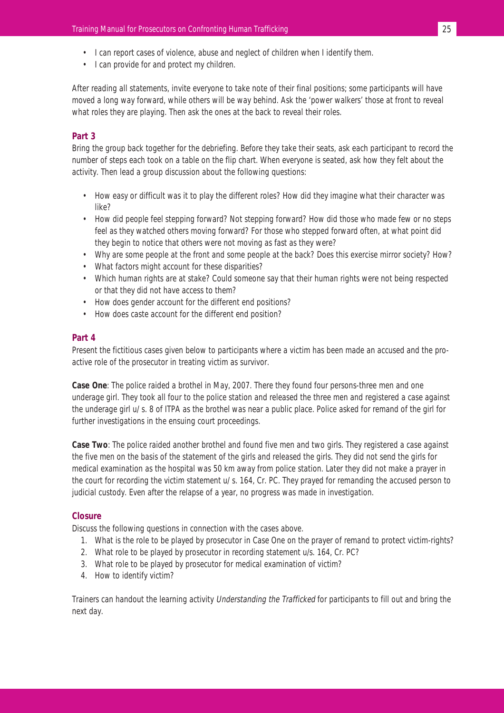- I can report cases of violence, abuse and neglect of children when I identify them.
- I can provide for and protect my children.

After reading all statements, invite everyone to take note of their final positions; some participants will have moved a long way forward, while others will be way behind. Ask the 'power walkers' those at front to reveal what roles they are playing. Then ask the ones at the back to reveal their roles.

#### **Part 3**

Bring the group back together for the debriefing. Before they take their seats, ask each participant to record the number of steps each took on a table on the flip chart. When everyone is seated, ask how they felt about the activity. Then lead a group discussion about the following questions:

- How easy or difficult was it to play the different roles? How did they imagine what their character was like?
- How did people feel stepping forward? Not stepping forward? How did those who made few or no steps feel as they watched others moving forward? For those who stepped forward often, at what point did they begin to notice that others were not moving as fast as they were?
- Why are some people at the front and some people at the back? Does this exercise mirror society? How?
- What factors might account for these disparities?
- Which human rights are at stake? Could someone say that their human rights were not being respected or that they did not have access to them?
- How does gender account for the different end positions?
- How does caste account for the different end position?

#### **Part 4**

Present the fictitious cases given below to participants where a victim has been made an accused and the proactive role of the prosecutor in treating victim as survivor.

**Case One**: The police raided a brothel in May, 2007. There they found four persons-three men and one underage girl. They took all four to the police station and released the three men and registered a case against the underage girl u/ s. 8 of ITPA as the brothel was near a public place. Police asked for remand of the girl for further investigations in the ensuing court proceedings.

**Case Two**: The police raided another brothel and found five men and two girls. They registered a case against the five men on the basis of the statement of the girls and released the girls. They did not send the girls for medical examination as the hospital was 50 km away from police station. Later they did not make a prayer in the court for recording the victim statement u/ s. 164, Cr. PC. They prayed for remanding the accused person to judicial custody. Even after the relapse of a year, no progress was made in investigation.

#### **Closure**

Discuss the following questions in connection with the cases above.

- 1. What is the role to be played by prosecutor in Case One on the prayer of remand to protect victim-rights?
- 2. What role to be played by prosecutor in recording statement u/s. 164, Cr. PC?
- 3. What role to be played by prosecutor for medical examination of victim?
- 4. How to identify victim?

Trainers can handout the learning activity *Understanding the Trafficked* for participants to fill out and bring the next day.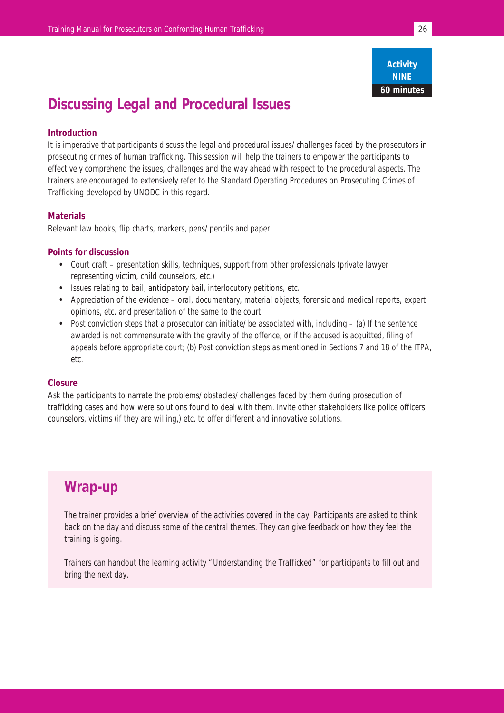## **Discussing Legal and Procedural Issues**

#### **Introduction**

It is imperative that participants discuss the legal and procedural issues/ challenges faced by the prosecutors in prosecuting crimes of human trafficking. This session will help the trainers to empower the participants to effectively comprehend the issues, challenges and the way ahead with respect to the procedural aspects. The trainers are encouraged to extensively refer to the Standard Operating Procedures on Prosecuting Crimes of Trafficking developed by UNODC in this regard.

#### **Materials**

Relevant law books, flip charts, markers, pens/ pencils and paper

#### **Points for discussion**

- **•** Court craft presentation skills, techniques, support from other professionals (private lawyer representing victim, child counselors, etc.)
- **•** Issues relating to bail, anticipatory bail, interlocutory petitions, etc.
- **•** Appreciation of the evidence oral, documentary, material objects, forensic and medical reports, expert opinions, etc. and presentation of the same to the court.
- **•** Post conviction steps that a prosecutor can initiate/ be associated with, including (a) If the sentence awarded is not commensurate with the gravity of the offence, or if the accused is acquitted, filing of appeals before appropriate court; (b) Post conviction steps as mentioned in Sections 7 and 18 of the ITPA, etc.

#### **Closure**

Ask the participants to narrate the problems/ obstacles/ challenges faced by them during prosecution of trafficking cases and how were solutions found to deal with them. Invite other stakeholders like police officers, counselors, victims (if they are willing,) etc. to offer different and innovative solutions.

### **Wrap-up**

The trainer provides a brief overview of the activities covered in the day. Participants are asked to think back on the day and discuss some of the central themes. They can give feedback on how they feel the training is going.

Trainers can handout the learning activity "Understanding the Trafficked" for participants to fill out and bring the next day.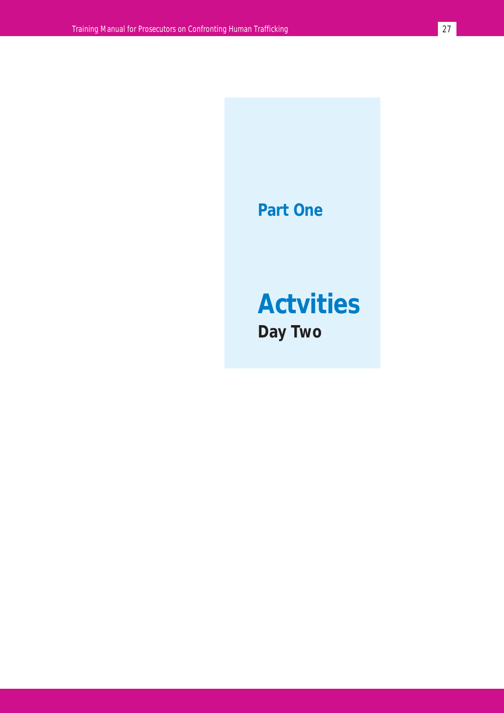## **Part One**

# **Actvities Day Two**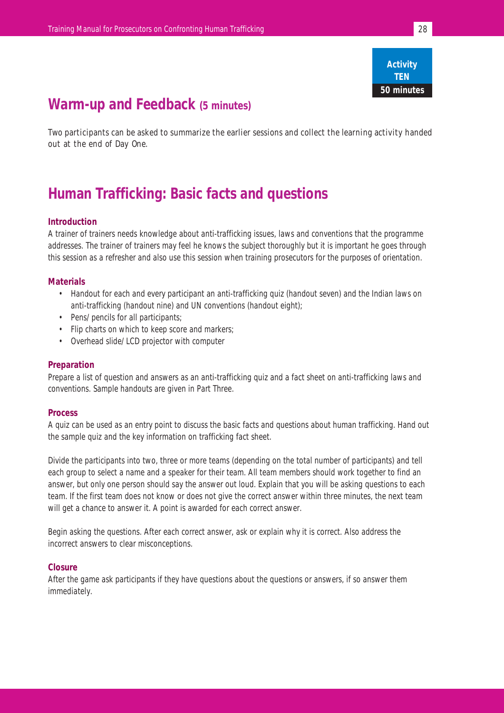

### **Warm-up and Feedback (5 minutes)**

Two participants can be asked to summarize the earlier sessions and collect the learning activity handed out at the end of Day One.

## **Human Trafficking: Basic facts and questions**

#### **Introduction**

A trainer of trainers needs knowledge about anti-trafficking issues, laws and conventions that the programme addresses. The trainer of trainers may feel he knows the subject thoroughly but it is important he goes through this session as a refresher and also use this session when training prosecutors for the purposes of orientation.

#### **Materials**

- Handout for each and every participant an anti-trafficking quiz (handout seven) and the Indian laws on anti-trafficking (handout nine) and UN conventions (handout eight);
- Pens/ pencils for all participants;
- Flip charts on which to keep score and markers;
- Overhead slide/ LCD projector with computer

#### **Preparation**

Prepare a list of question and answers as an anti-trafficking quiz and a fact sheet on anti-trafficking laws and conventions. Sample handouts are given in Part Three.

#### **Process**

A quiz can be used as an entry point to discuss the basic facts and questions about human trafficking. Hand out the sample quiz and the key information on trafficking fact sheet.

Divide the participants into two, three or more teams (depending on the total number of participants) and tell each group to select a name and a speaker for their team. All team members should work together to find an answer, but only one person should say the answer out loud. Explain that you will be asking questions to each team. If the first team does not know or does not give the correct answer within three minutes, the next team will get a chance to answer it. A point is awarded for each correct answer.

Begin asking the questions. After each correct answer, ask or explain why it is correct. Also address the incorrect answers to clear misconceptions.

#### **Closure**

After the game ask participants if they have questions about the questions or answers, if so answer them immediately.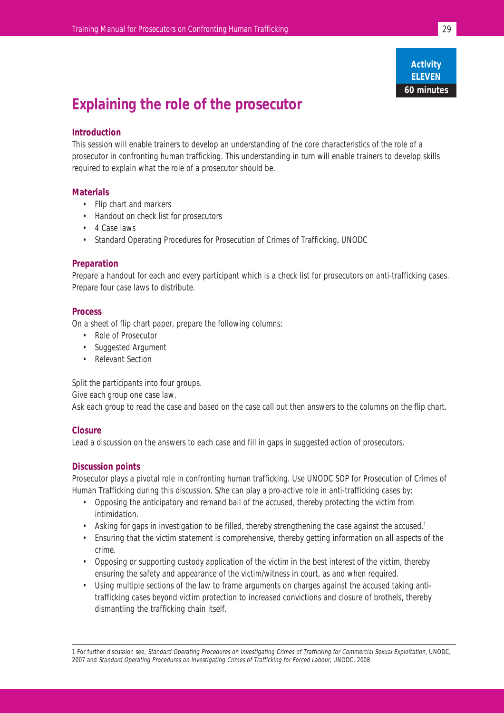**Activity ELEVEN 60 minutes**

## **Explaining the role of the prosecutor**

#### **Introduction**

This session will enable trainers to develop an understanding of the core characteristics of the role of a prosecutor in confronting human trafficking. This understanding in turn will enable trainers to develop skills required to explain what the role of a prosecutor should be.

#### **Materials**

- Flip chart and markers
- Handout on check list for prosecutors
- 4 Case laws
- Standard Operating Procedures for Prosecution of Crimes of Trafficking, UNODC

#### **Preparation**

Prepare a handout for each and every participant which is a check list for prosecutors on anti-trafficking cases. Prepare four case laws to distribute.

#### **Process**

On a sheet of flip chart paper, prepare the following columns:

- Role of Prosecutor
- Suggested Argument
- Relevant Section

Split the participants into four groups.

Give each group one case law.

Ask each group to read the case and based on the case call out then answers to the columns on the flip chart.

#### **Closure**

Lead a discussion on the answers to each case and fill in gaps in suggested action of prosecutors.

#### **Discussion points**

Prosecutor plays a pivotal role in confronting human trafficking. Use UNODC SOP for Prosecution of Crimes of Human Trafficking during this discussion. S/he can play a pro-active role in anti-trafficking cases by:

- Opposing the anticipatory and remand bail of the accused, thereby protecting the victim from intimidation.
- Asking for gaps in investigation to be filled, thereby strengthening the case against the accused.<sup>1</sup>
- Ensuring that the victim statement is comprehensive, thereby getting information on all aspects of the crime.
- Opposing or supporting custody application of the victim in the best interest of the victim, thereby ensuring the safety and appearance of the victim/witness in court, as and when required.
- Using multiple sections of the law to frame arguments on charges against the accused taking antitrafficking cases beyond victim protection to increased convictions and closure of brothels, thereby dismantling the trafficking chain itself.

1 For further discussion see, Standard Operating Procedures on Investigating Crimes of Trafficking for Commercial Sexual Exploitation, UNODC, 2007 and Standard Operating Procedures on Investigating Crimes of Trafficking for Forced Labour, UNODC, 2008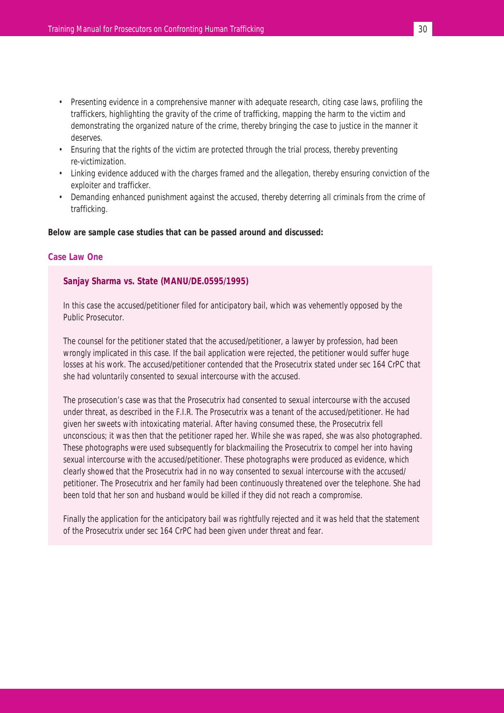- Presenting evidence in a comprehensive manner with adequate research, citing case laws, profiling the traffickers, highlighting the gravity of the crime of trafficking, mapping the harm to the victim and demonstrating the organized nature of the crime, thereby bringing the case to justice in the manner it deserves.
- Ensuring that the rights of the victim are protected through the trial process, thereby preventing re-victimization.
- Linking evidence adduced with the charges framed and the allegation, thereby ensuring conviction of the exploiter and trafficker.
- Demanding enhanced punishment against the accused, thereby deterring all criminals from the crime of trafficking.

#### **Below are sample case studies that can be passed around and discussed:**

#### **Case Law One**

#### **Sanjay Sharma vs. State (MANU/DE.0595/1995)**

In this case the accused/petitioner filed for anticipatory bail, which was vehemently opposed by the Public Prosecutor.

The counsel for the petitioner stated that the accused/petitioner, a lawyer by profession, had been wrongly implicated in this case. If the bail application were rejected, the petitioner would suffer huge losses at his work. The accused/petitioner contended that the Prosecutrix stated under sec 164 CrPC that she had voluntarily consented to sexual intercourse with the accused.

The prosecution's case was that the Prosecutrix had consented to sexual intercourse with the accused under threat, as described in the F.I.R. The Prosecutrix was a tenant of the accused/petitioner. He had given her sweets with intoxicating material. After having consumed these, the Prosecutrix fell unconscious; it was then that the petitioner raped her. While she was raped, she was also photographed. These photographs were used subsequently for blackmailing the Prosecutrix to compel her into having sexual intercourse with the accused/petitioner. These photographs were produced as evidence, which clearly showed that the Prosecutrix had in no way consented to sexual intercourse with the accused/ petitioner. The Prosecutrix and her family had been continuously threatened over the telephone. She had been told that her son and husband would be killed if they did not reach a compromise.

Finally the application for the anticipatory bail was rightfully rejected and it was held that the statement of the Prosecutrix under sec 164 CrPC had been given under threat and fear.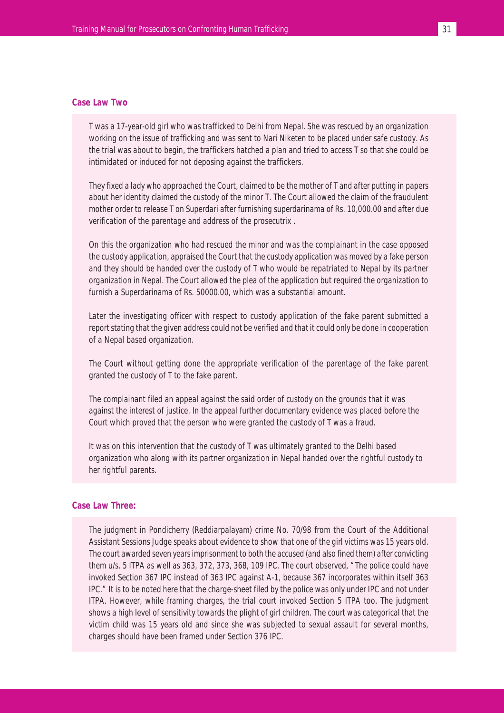#### **Case Law Two**

T was a 17-year-old girl who was trafficked to Delhi from Nepal. She was rescued by an organization working on the issue of trafficking and was sent to Nari Niketen to be placed under safe custody. As the trial was about to begin, the traffickers hatched a plan and tried to access T so that she could be intimidated or induced for not deposing against the traffickers.

They fixed a lady who approached the Court, claimed to be the mother of T and after putting in papers about her identity claimed the custody of the minor T. The Court allowed the claim of the fraudulent mother order to release T on Superdari after furnishing superdarinama of Rs. 10,000.00 and after due verification of the parentage and address of the prosecutrix .

On this the organization who had rescued the minor and was the complainant in the case opposed the custody application, appraised the Court that the custody application was moved by a fake person and they should be handed over the custody of T who would be repatriated to Nepal by its partner organization in Nepal. The Court allowed the plea of the application but required the organization to furnish a Superdarinama of Rs. 50000.00, which was a substantial amount.

Later the investigating officer with respect to custody application of the fake parent submitted a report stating that the given address could not be verified and that it could only be done in cooperation of a Nepal based organization.

The Court without getting done the appropriate verification of the parentage of the fake parent granted the custody of T to the fake parent.

The complainant filed an appeal against the said order of custody on the grounds that it was against the interest of justice. In the appeal further documentary evidence was placed before the Court which proved that the person who were granted the custody of T was a fraud.

It was on this intervention that the custody of T was ultimately granted to the Delhi based organization who along with its partner organization in Nepal handed over the rightful custody to her rightful parents.

#### **Case Law Three:**

The judgment in Pondicherry (Reddiarpalayam) crime No. 70/98 from the Court of the Additional Assistant Sessions Judge speaks about evidence to show that one of the girl victims was 15 years old. The court awarded seven years imprisonment to both the accused (and also fined them) after convicting them u/s. 5 ITPA as well as 363, 372, 373, 368, 109 IPC. The court observed, "The police could have invoked Section 367 IPC instead of 363 IPC against A-1, because 367 incorporates within itself 363 IPC." It is to be noted here that the charge-sheet filed by the police was only under IPC and not under ITPA. However, while framing charges, the trial court invoked Section 5 ITPA too. The judgment shows a high level of sensitivity towards the plight of girl children. The court was categorical that the victim child was 15 years old and since she was subjected to sexual assault for several months, charges should have been framed under Section 376 IPC.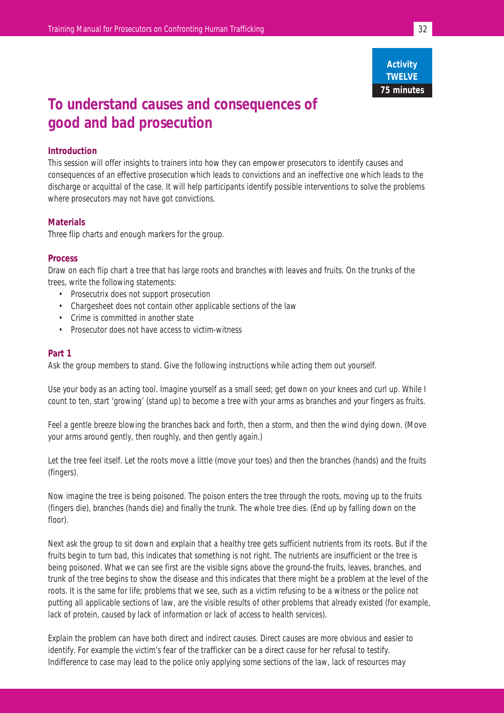

## **To understand causes and consequences of good and bad prosecution**

#### **Introduction**

This session will offer insights to trainers into how they can empower prosecutors to identify causes and consequences of an effective prosecution which leads to convictions and an ineffective one which leads to the discharge or acquittal of the case. It will help participants identify possible interventions to solve the problems where prosecutors may not have got convictions.

#### **Materials**

Three flip charts and enough markers for the group.

#### **Process**

Draw on each flip chart a tree that has large roots and branches with leaves and fruits. On the trunks of the trees, write the following statements:

- Prosecutrix does not support prosecution
- Chargesheet does not contain other applicable sections of the law
- Crime is committed in another state
- Prosecutor does not have access to victim-witness

#### **Part 1**

Ask the group members to stand. Give the following instructions while acting them out yourself.

Use your body as an acting tool. Imagine yourself as a small seed; get down on your knees and curl up. While I count to ten, start 'growing' (stand up) to become a tree with your arms as branches and your fingers as fruits.

Feel a gentle breeze blowing the branches back and forth, then a storm, and then the wind dying down. (Move your arms around gently, then roughly, and then gently again.)

Let the tree feel itself. Let the roots move a little (move your toes) and then the branches (hands) and the fruits (fingers).

Now imagine the tree is being poisoned. The poison enters the tree through the roots, moving up to the fruits (fingers die), branches (hands die) and finally the trunk. The whole tree dies. (End up by falling down on the floor).

Next ask the group to sit down and explain that a healthy tree gets sufficient nutrients from its roots. But if the fruits begin to turn bad, this indicates that something is not right. The nutrients are insufficient or the tree is being poisoned. What we can see first are the visible signs above the ground-the fruits, leaves, branches, and trunk of the tree begins to show the disease and this indicates that there might be a problem at the level of the roots. It is the same for life; problems that we see, such as a victim refusing to be a witness or the police not putting all applicable sections of law, are the visible results of other problems that already existed (for example, lack of protein, caused by lack of information or lack of access to health services).

Explain the problem can have both direct and indirect causes. Direct causes are more obvious and easier to identify. For example the victim's fear of the trafficker can be a direct cause for her refusal to testify. Indifference to case may lead to the police only applying some sections of the law, lack of resources may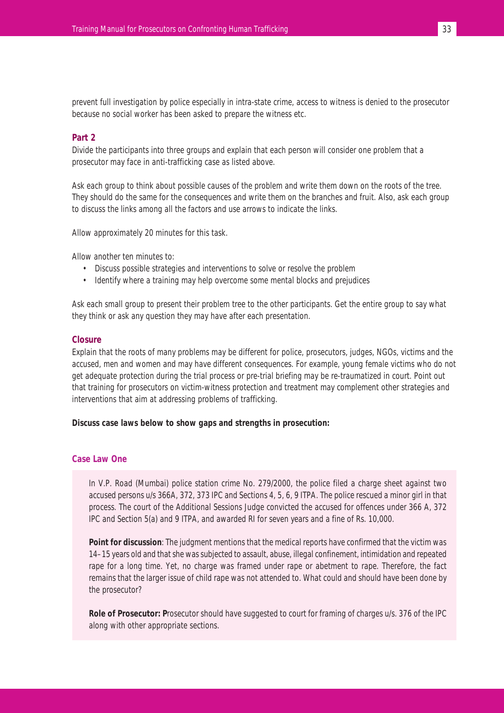prevent full investigation by police especially in intra-state crime, access to witness is denied to the prosecutor because no social worker has been asked to prepare the witness etc.

#### **Part 2**

Divide the participants into three groups and explain that each person will consider one problem that a prosecutor may face in anti-trafficking case as listed above.

Ask each group to think about possible causes of the problem and write them down on the roots of the tree. They should do the same for the consequences and write them on the branches and fruit. Also, ask each group to discuss the links among all the factors and use arrows to indicate the links.

Allow approximately 20 minutes for this task.

Allow another ten minutes to:

- Discuss possible strategies and interventions to solve or resolve the problem
- Identify where a training may help overcome some mental blocks and prejudices

Ask each small group to present their problem tree to the other participants. Get the entire group to say what they think or ask any question they may have after each presentation.

#### **Closure**

Explain that the roots of many problems may be different for police, prosecutors, judges, NGOs, victims and the accused, men and women and may have different consequences. For example, young female victims who do not get adequate protection during the trial process or pre-trial briefing may be re-traumatized in court. Point out that training for prosecutors on victim-witness protection and treatment may complement other strategies and interventions that aim at addressing problems of trafficking.

#### **Discuss case laws below to show gaps and strengths in prosecution:**

#### **Case Law One**

In V.P. Road (Mumbai) police station crime No. 279/2000, the police filed a charge sheet against two accused persons u/s 366A, 372, 373 IPC and Sections 4, 5, 6, 9 ITPA. The police rescued a minor girl in that process. The court of the Additional Sessions Judge convicted the accused for offences under 366 A, 372 IPC and Section 5(a) and 9 ITPA, and awarded RI for seven years and a fine of Rs. 10,000.

**Point for discussion**: The judgment mentions that the medical reports have confirmed that the victim was 14–15 years old and that she was subjected to assault, abuse, illegal confinement, intimidation and repeated rape for a long time. Yet, no charge was framed under rape or abetment to rape. Therefore, the fact remains that the larger issue of child rape was not attended to. What could and should have been done by the prosecutor?

**Role of Prosecutor: P**rosecutor should have suggested to court for framing of charges u/s. 376 of the IPC along with other appropriate sections.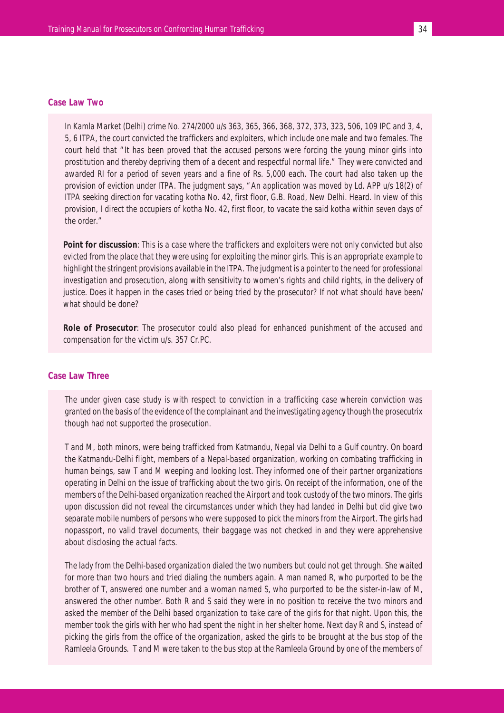#### **Case Law Two**

In Kamla Market (Delhi) crime No. 274/2000 u/s 363, 365, 366, 368, 372, 373, 323, 506, 109 IPC and 3, 4, 5, 6 ITPA, the court convicted the traffickers and exploiters, which include one male and two females. The court held that "It has been proved that the accused persons were forcing the young minor girls into prostitution and thereby depriving them of a decent and respectful normal life." They were convicted and awarded RI for a period of seven years and a fine of Rs. 5,000 each. The court had also taken up the provision of eviction under ITPA. The judgment says, "An application was moved by Ld. APP u/s 18(2) of ITPA seeking direction for vacating kotha No. 42, first floor, G.B. Road, New Delhi. Heard. In view of this provision, I direct the occupiers of kotha No. 42, first floor, to vacate the said kotha within seven days of the order."

**Point for discussion**: This is a case where the traffickers and exploiters were not only convicted but also evicted from the place that they were using for exploiting the minor girls. This is an appropriate example to highlight the stringent provisions available in the ITPA. The judgment is a pointer to the need for professional investigation and prosecution, along with sensitivity to women's rights and child rights, in the delivery of justice. Does it happen in the cases tried or being tried by the prosecutor? If not what should have been/ what should be done?

**Role of Prosecutor**: The prosecutor could also plead for enhanced punishment of the accused and compensation for the victim u/s. 357 Cr.PC.

#### **Case Law Three**

The under given case study is with respect to conviction in a trafficking case wherein conviction was granted on the basis of the evidence of the complainant and the investigating agency though the prosecutrix though had not supported the prosecution.

T and M, both minors, were being trafficked from Katmandu, Nepal via Delhi to a Gulf country. On board the Katmandu-Delhi flight, members of a Nepal-based organization, working on combating trafficking in human beings, saw T and M weeping and looking lost. They informed one of their partner organizations operating in Delhi on the issue of trafficking about the two girls. On receipt of the information, one of the members of the Delhi-based organization reached the Airport and took custody of the two minors. The girls upon discussion did not reveal the circumstances under which they had landed in Delhi but did give two separate mobile numbers of persons who were supposed to pick the minors from the Airport. The girls had nopassport, no valid travel documents, their baggage was not checked in and they were apprehensive about disclosing the actual facts.

The lady from the Delhi-based organization dialed the two numbers but could not get through. She waited for more than two hours and tried dialing the numbers again. A man named R, who purported to be the brother of T, answered one number and a woman named S, who purported to be the sister-in-law of M, answered the other number. Both R and S said they were in no position to receive the two minors and asked the member of the Delhi based organization to take care of the girls for that night. Upon this, the member took the girls with her who had spent the night in her shelter home. Next day R and S, instead of picking the girls from the office of the organization, asked the girls to be brought at the bus stop of the Ramleela Grounds. T and M were taken to the bus stop at the Ramleela Ground by one of the members of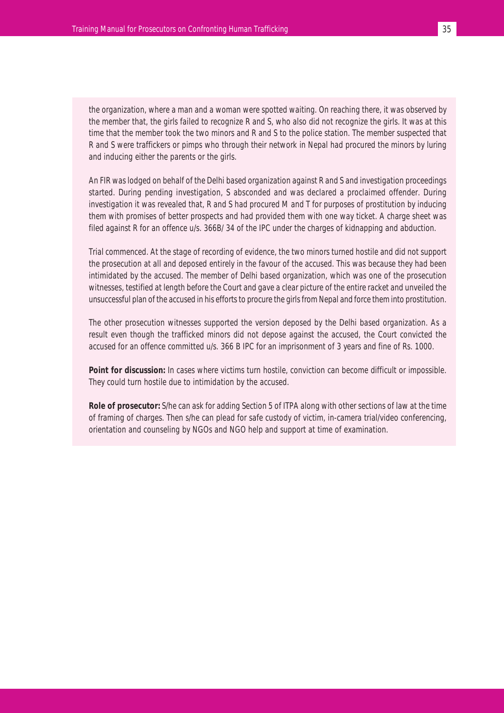the organization, where a man and a woman were spotted waiting. On reaching there, it was observed by the member that, the girls failed to recognize R and S, who also did not recognize the girls. It was at this time that the member took the two minors and R and S to the police station. The member suspected that R and S were traffickers or pimps who through their network in Nepal had procured the minors by luring and inducing either the parents or the girls.

An FIR was lodged on behalf of the Delhi based organization against R and S and investigation proceedings started. During pending investigation, S absconded and was declared a proclaimed offender. During investigation it was revealed that, R and S had procured M and T for purposes of prostitution by inducing them with promises of better prospects and had provided them with one way ticket. A charge sheet was filed against R for an offence u/s. 366B/ 34 of the IPC under the charges of kidnapping and abduction.

Trial commenced. At the stage of recording of evidence, the two minors turned hostile and did not support the prosecution at all and deposed entirely in the favour of the accused. This was because they had been intimidated by the accused. The member of Delhi based organization, which was one of the prosecution witnesses, testified at length before the Court and gave a clear picture of the entire racket and unveiled the unsuccessful plan of the accused in his efforts to procure the girls from Nepal and force them into prostitution.

The other prosecution witnesses supported the version deposed by the Delhi based organization. As a result even though the trafficked minors did not depose against the accused, the Court convicted the accused for an offence committed u/s. 366 B IPC for an imprisonment of 3 years and fine of Rs. 1000.

**Point for discussion:** In cases where victims turn hostile, conviction can become difficult or impossible. They could turn hostile due to intimidation by the accused.

**Role of prosecutor:** S/he can ask for adding Section 5 of ITPA along with other sections of law at the time of framing of charges. Then s/he can plead for safe custody of victim, in-camera trial/video conferencing, orientation and counseling by NGOs and NGO help and support at time of examination.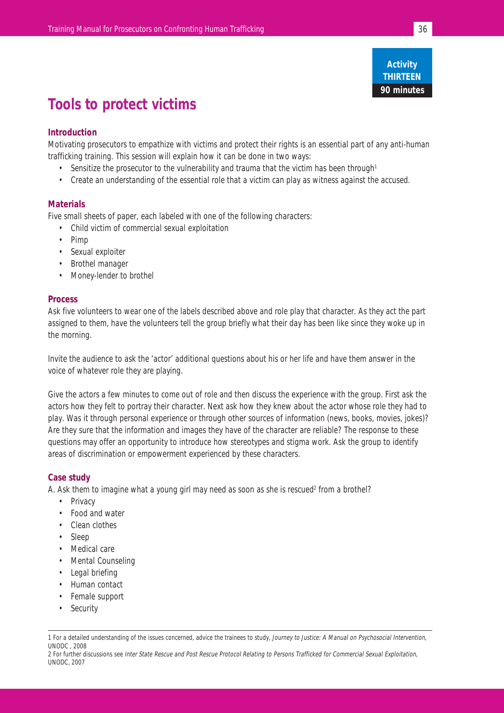**Activity THIRTEEN 90 minutes**

# **Tools to protect victims**

### **Introduction**

Motivating prosecutors to empathize with victims and protect their rights is an essential part of any anti-human trafficking training. This session will explain how it can be done in two ways:

- Sensitize the prosecutor to the vulnerability and trauma that the victim has been through<sup>1</sup>
- Create an understanding of the essential role that a victim can play as witness against the accused.

### **Materials**

Five small sheets of paper, each labeled with one of the following characters:

- Child victim of commercial sexual exploitation
- Pimp
- Sexual exploiter
- Brothel manager
- Money-lender to brothel

### **Process**

Ask five volunteers to wear one of the labels described above and role play that character. As they act the part assigned to them, have the volunteers tell the group briefly what their day has been like since they woke up in the morning.

Invite the audience to ask the 'actor' additional questions about his or her life and have them answer in the voice of whatever role they are playing.

Give the actors a few minutes to come out of role and then discuss the experience with the group. First ask the actors how they felt to portray their character. Next ask how they knew about the actor whose role they had to play. Was it through personal experience or through other sources of information (news, books, movies, jokes)? Are they sure that the information and images they have of the character are reliable? The response to these questions may offer an opportunity to introduce how stereotypes and stigma work. Ask the group to identify areas of discrimination or empowerment experienced by these characters.

### **Case study**

A. Ask them to imagine what a young girl may need as soon as she is rescued<sup>2</sup> from a brothel?

- Privacy
- Food and water
- Clean clothes
- Sleep
- Medical care
- Mental Counseling
- Legal briefing
- Human contact
- Female support
- **Security**

2 For further discussions see Inter State Rescue and Post Rescue Protocol Relating to Persons Trafficked for Commercial Sexual Exploitation, UNODC, 2007

<sup>1</sup> For a detailed understanding of the issues concerned, advice the trainees to study, Journey to Justice: A Manual on Psychosocial Intervention, UNODC , 2008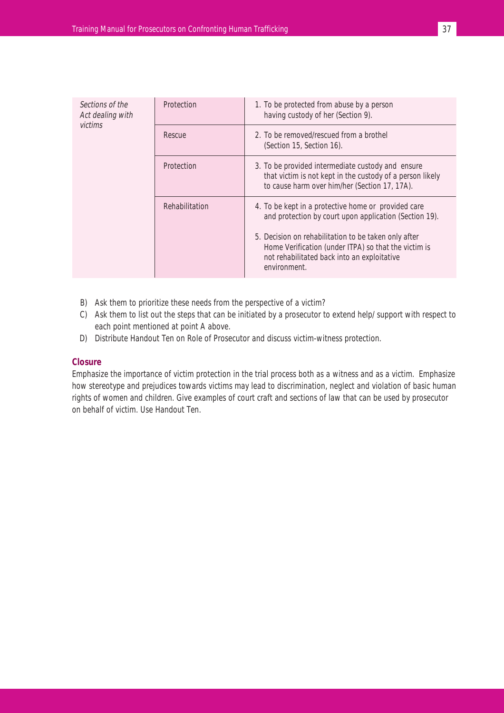| Sections of the<br>Act dealing with | Protection     | 1. To be protected from abuse by a person<br>having custody of her (Section 9).                                                                                                                                                                                                              |
|-------------------------------------|----------------|----------------------------------------------------------------------------------------------------------------------------------------------------------------------------------------------------------------------------------------------------------------------------------------------|
| victims                             | Rescue         | 2. To be removed/rescued from a brothel<br>(Section 15, Section 16).                                                                                                                                                                                                                         |
|                                     | Protection     | 3. To be provided intermediate custody and ensure<br>that victim is not kept in the custody of a person likely<br>to cause harm over him/her (Section 17, 17A).                                                                                                                              |
|                                     | Rehabilitation | 4. To be kept in a protective home or provided care<br>and protection by court upon application (Section 19).<br>5. Decision on rehabilitation to be taken only after<br>Home Verification (under ITPA) so that the victim is<br>not rehabilitated back into an exploitative<br>environment. |

- B) Ask them to prioritize these needs from the perspective of a victim?
- C) Ask them to list out the steps that can be initiated by a prosecutor to extend help/ support with respect to each point mentioned at point A above.
- D) Distribute Handout Ten on Role of Prosecutor and discuss victim-witness protection.

### **Closure**

Emphasize the importance of victim protection in the trial process both as a witness and as a victim. Emphasize how stereotype and prejudices towards victims may lead to discrimination, neglect and violation of basic human rights of women and children. Give examples of court craft and sections of law that can be used by prosecutor on behalf of victim. Use Handout Ten.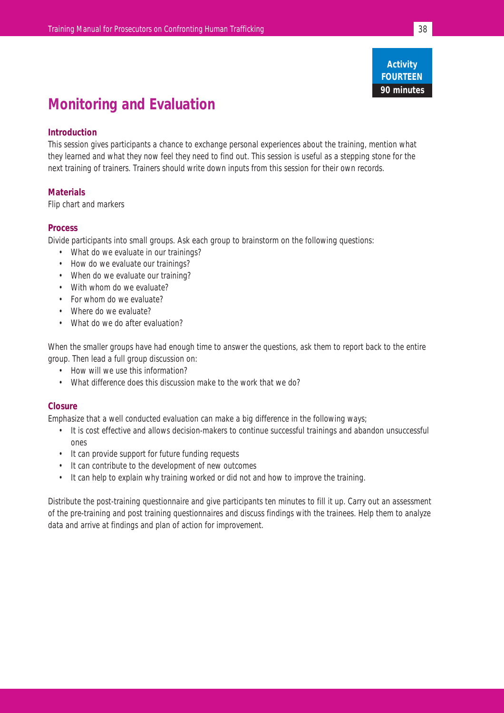### **Activity FOURTEEN 90 minutes**

# **Monitoring and Evaluation**

### **Introduction**

This session gives participants a chance to exchange personal experiences about the training, mention what they learned and what they now feel they need to find out. This session is useful as a stepping stone for the next training of trainers. Trainers should write down inputs from this session for their own records.

### **Materials**

Flip chart and markers

### **Process**

Divide participants into small groups. Ask each group to brainstorm on the following questions:

- What do we evaluate in our trainings?
- How do we evaluate our trainings?
- When do we evaluate our training?
- With whom do we evaluate?
- For whom do we evaluate?
- Where do we evaluate?
- What do we do after evaluation?

When the smaller groups have had enough time to answer the questions, ask them to report back to the entire group. Then lead a full group discussion on:

- How will we use this information?
- What difference does this discussion make to the work that we do?

### **Closure**

Emphasize that a well conducted evaluation can make a big difference in the following ways;

- It is cost effective and allows decision-makers to continue successful trainings and abandon unsuccessful ones
- It can provide support for future funding requests
- It can contribute to the development of new outcomes
- It can help to explain why training worked or did not and how to improve the training.

Distribute the post-training questionnaire and give participants ten minutes to fill it up. Carry out an assessment of the pre-training and post training questionnaires and discuss findings with the trainees. Help them to analyze data and arrive at findings and plan of action for improvement.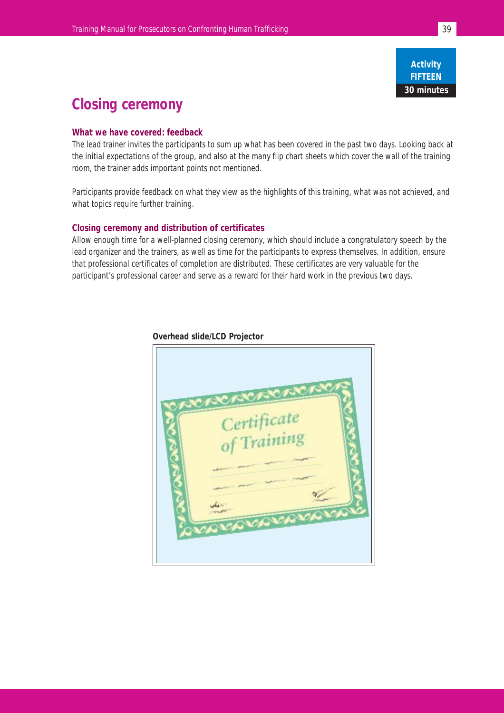**Activity FIFTEEN 30 minutes**

### **Closing ceremony**

### **What we have covered: feedback**

The lead trainer invites the participants to sum up what has been covered in the past two days. Looking back at the initial expectations of the group, and also at the many flip chart sheets which cover the wall of the training room, the trainer adds important points not mentioned.

Participants provide feedback on what they view as the highlights of this training, what was not achieved, and what topics require further training.

### **Closing ceremony and distribution of certificates**

Allow enough time for a well-planned closing ceremony, which should include a congratulatory speech by the lead organizer and the trainers, as well as time for the participants to express themselves. In addition, ensure that professional certificates of completion are distributed. These certificates are very valuable for the participant's professional career and serve as a reward for their hard work in the previous two days.



#### **Overhead slide/LCD Projector**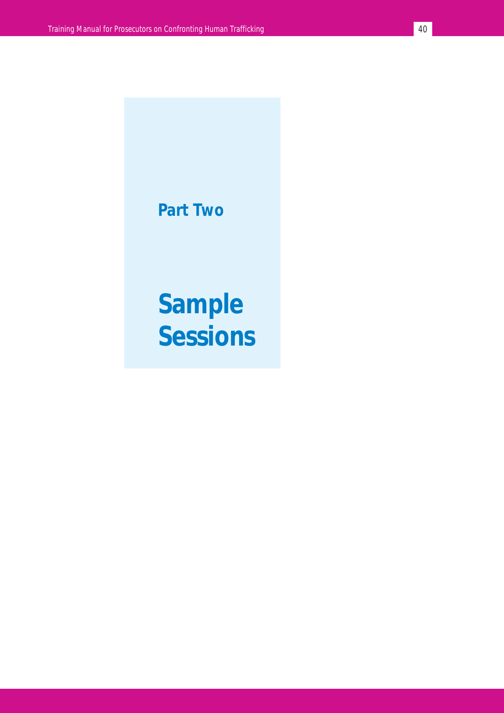**Part Two**

# **Sample Sessions**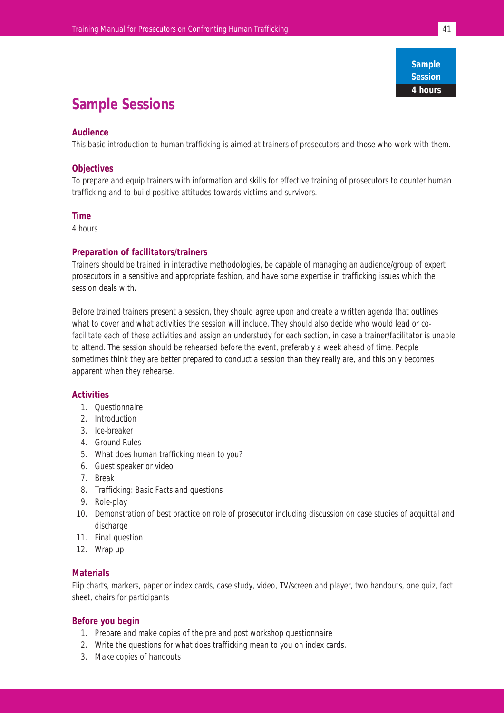**Sample Session 4 hours**

### **Sample Sessions**

### **Audience**

This basic introduction to human trafficking is aimed at trainers of prosecutors and those who work with them.

### **Objectives**

To prepare and equip trainers with information and skills for effective training of prosecutors to counter human trafficking and to build positive attitudes towards victims and survivors.

### **Time**

4 hours

### **Preparation of facilitators/trainers**

Trainers should be trained in interactive methodologies, be capable of managing an audience/group of expert prosecutors in a sensitive and appropriate fashion, and have some expertise in trafficking issues which the session deals with.

Before trained trainers present a session, they should agree upon and create a written agenda that outlines what to cover and what activities the session will include. They should also decide who would lead or cofacilitate each of these activities and assign an understudy for each section, in case a trainer/facilitator is unable to attend. The session should be rehearsed before the event, preferably a week ahead of time. People sometimes think they are better prepared to conduct a session than they really are, and this only becomes apparent when they rehearse.

### **Activities**

- 1. Questionnaire
- 2. Introduction
- 3. Ice-breaker
- 4. Ground Rules
- 5. What does human trafficking mean to you?
- 6. Guest speaker or video
- 7. Break
- 8. Trafficking: Basic Facts and questions
- 9. Role-play
- 10. Demonstration of best practice on role of prosecutor including discussion on case studies of acquittal and discharge
- 11. Final question
- 12. Wrap up

### **Materials**

Flip charts, markers, paper or index cards, case study, video, TV/screen and player, two handouts, one quiz, fact sheet, chairs for participants

### **Before you begin**

- 1. Prepare and make copies of the pre and post workshop questionnaire
- 2. Write the questions for what does trafficking mean to you on index cards.
- 3. Make copies of handouts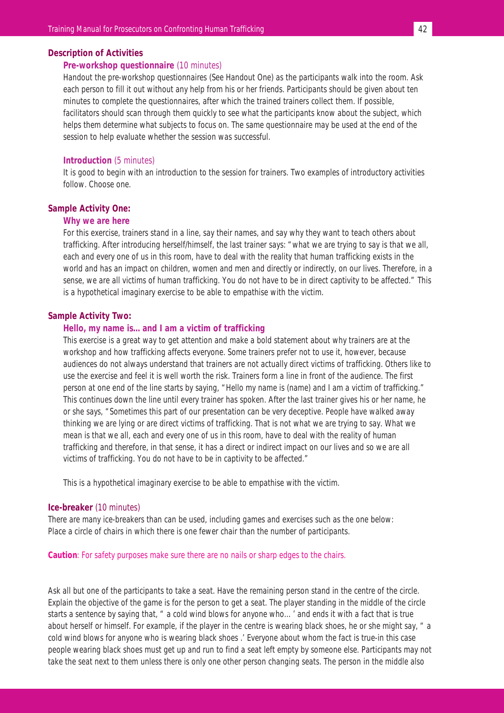### **Description of Activities**

### **Pre-workshop questionnaire** (10 minutes)

Handout the pre-workshop questionnaires (See Handout One) as the participants walk into the room. Ask each person to fill it out without any help from his or her friends. Participants should be given about ten minutes to complete the questionnaires, after which the trained trainers collect them. If possible, facilitators should scan through them quickly to see what the participants know about the subject, which helps them determine what subjects to focus on. The same questionnaire may be used at the end of the session to help evaluate whether the session was successful.

#### **Introduction** (5 minutes)

It is good to begin with an introduction to the session for trainers. Two examples of introductory activities follow. Choose one.

### **Sample Activity One:**

#### **Why we are here**

For this exercise, trainers stand in a line, say their names, and say why they want to teach others about trafficking. After introducing herself/himself, the last trainer says: "what we are trying to say is that we all, each and every one of us in this room, have to deal with the reality that human trafficking exists in the world and has an impact on children, women and men and directly or indirectly, on our lives. Therefore, in a sense, we are all victims of human trafficking. You do not have to be in direct captivity to be affected." This is a hypothetical imaginary exercise to be able to empathise with the victim.

#### **Sample Activity Two:**

### **Hello, my name is…and I am a victim of trafficking**

This exercise is a great way to get attention and make a bold statement about why trainers are at the workshop and how trafficking affects everyone. Some trainers prefer not to use it, however, because audiences do not always understand that trainers are not actually direct victims of trafficking. Others like to use the exercise and feel it is well worth the risk. Trainers form a line in front of the audience. The first person at one end of the line starts by saying, "Hello my name is (name) and I am a victim of trafficking." This continues down the line until every trainer has spoken. After the last trainer gives his or her name, he or she says, "Sometimes this part of our presentation can be very deceptive. People have walked away thinking we are lying or are direct victims of trafficking. That is not what we are trying to say. What we mean is that we all, each and every one of us in this room, have to deal with the reality of human trafficking and therefore, in that sense, it has a direct or indirect impact on our lives and so we are all victims of trafficking. You do not have to be in captivity to be affected."

This is a hypothetical imaginary exercise to be able to empathise with the victim.

### **Ice-breaker** (10 minutes)

There are many ice-breakers than can be used, including games and exercises such as the one below: Place a circle of chairs in which there is one fewer chair than the number of participants.

### **Caution**: For safety purposes make sure there are no nails or sharp edges to the chairs.

Ask all but one of the participants to take a seat. Have the remaining person stand in the centre of the circle. Explain the objective of the game is for the person to get a seat. The player standing in the middle of the circle starts a sentence by saying that, " a cold wind blows for anyone who…' and ends it with a fact that is true about herself or himself. For example, if the player in the centre is wearing black shoes, he or she might say, " a cold wind blows for anyone who is wearing black shoes .' Everyone about whom the fact is true-in this case people wearing black shoes must get up and run to find a seat left empty by someone else. Participants may not take the seat next to them unless there is only one other person changing seats. The person in the middle also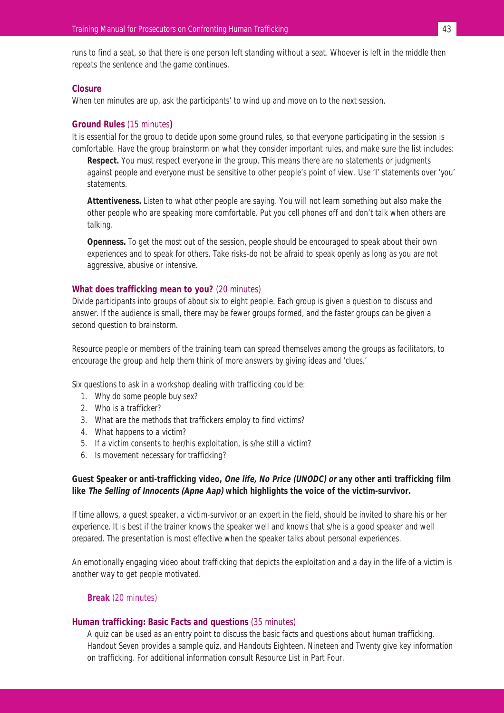runs to find a seat, so that there is one person left standing without a seat. Whoever is left in the middle then repeats the sentence and the game continues.

### **Closure**

When ten minutes are up, ask the participants' to wind up and move on to the next session.

### **Ground Rules** (15 minutes**)**

It is essential for the group to decide upon some ground rules, so that everyone participating in the session is comfortable. Have the group brainstorm on what they consider important rules, and make sure the list includes:

**Respect.** You must respect everyone in the group. This means there are no statements or judgments against people and everyone must be sensitive to other people's point of view. Use 'I' statements over 'you' statements.

**Attentiveness.** Listen to what other people are saying. You will not learn something but also make the other people who are speaking more comfortable. Put you cell phones off and don't talk when others are talking.

**Openness.** To get the most out of the session, people should be encouraged to speak about their own experiences and to speak for others. Take risks-do not be afraid to speak openly as long as you are not aggressive, abusive or intensive.

#### **What does trafficking mean to you?** (20 minutes)

Divide participants into groups of about six to eight people. Each group is given a question to discuss and answer. If the audience is small, there may be fewer groups formed, and the faster groups can be given a second question to brainstorm.

Resource people or members of the training team can spread themselves among the groups as facilitators, to encourage the group and help them think of more answers by giving ideas and 'clues.'

Six questions to ask in a workshop dealing with trafficking could be:

- 1. Why do some people buy sex?
- 2. Who is a trafficker?
- 3. What are the methods that traffickers employ to find victims?
- 4. What happens to a victim?
- 5. If a victim consents to her/his exploitation, is s/he still a victim?
- 6. Is movement necessary for trafficking?

### **Guest Speaker or anti-trafficking video, One life, No Price (UNODC) or any other anti trafficking film like The Selling of Innocents (Apne Aap) which highlights the voice of the victim-survivor.**

If time allows, a guest speaker, a victim-survivor or an expert in the field, should be invited to share his or her experience. It is best if the trainer knows the speaker well and knows that s/he is a good speaker and well prepared. The presentation is most effective when the speaker talks about personal experiences.

An emotionally engaging video about trafficking that depicts the exploitation and a day in the life of a victim is another way to get people motivated.

### **Break** (20 minutes)

#### **Human trafficking: Basic Facts and questions** (35 minutes)

A quiz can be used as an entry point to discuss the basic facts and questions about human trafficking. Handout Seven provides a sample quiz, and Handouts Eighteen, Nineteen and Twenty give key information on trafficking. For additional information consult Resource List in Part Four.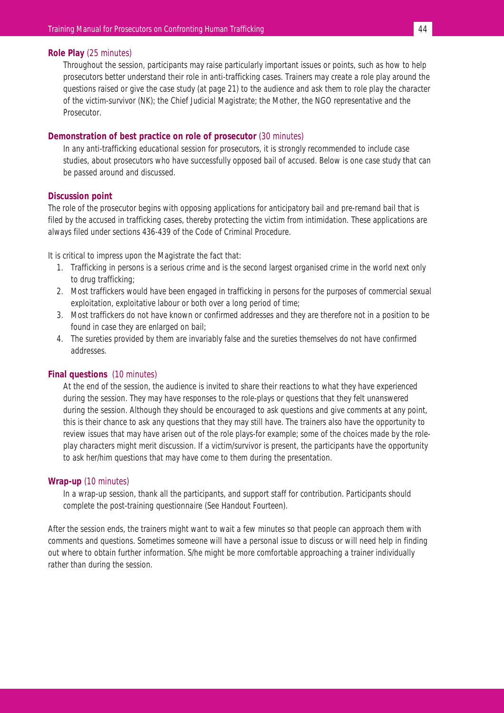### **Role Play** (25 minutes)

Throughout the session, participants may raise particularly important issues or points, such as how to help prosecutors better understand their role in anti-trafficking cases. Trainers may create a role play around the questions raised or give the case study (at page 21) to the audience and ask them to role play the character of the victim-survivor (NK); the Chief Judicial Magistrate; the Mother, the NGO representative and the Prosecutor.

### **Demonstration of best practice on role of prosecutor** (30 minutes)

In any anti-trafficking educational session for prosecutors, it is strongly recommended to include case studies, about prosecutors who have successfully opposed bail of accused. Below is one case study that can be passed around and discussed.

#### **Discussion point**

The role of the prosecutor begins with opposing applications for anticipatory bail and pre-remand bail that is filed by the accused in trafficking cases, thereby protecting the victim from intimidation. These applications are always filed under sections 436-439 of the Code of Criminal Procedure.

It is critical to impress upon the Magistrate the fact that:

- 1. Trafficking in persons is a serious crime and is the second largest organised crime in the world next only to drug trafficking;
- 2. Most traffickers would have been engaged in trafficking in persons for the purposes of commercial sexual exploitation, exploitative labour or both over a long period of time;
- 3. Most traffickers do not have known or confirmed addresses and they are therefore not in a position to be found in case they are enlarged on bail;
- 4. The sureties provided by them are invariably false and the sureties themselves do not have confirmed addresses.

### **Final questions** (10 minutes)

At the end of the session, the audience is invited to share their reactions to what they have experienced during the session. They may have responses to the role-plays or questions that they felt unanswered during the session. Although they should be encouraged to ask questions and give comments at any point, this is their chance to ask any questions that they may still have. The trainers also have the opportunity to review issues that may have arisen out of the role plays-for example; some of the choices made by the roleplay characters might merit discussion. If a victim/survivor is present, the participants have the opportunity to ask her/him questions that may have come to them during the presentation.

#### **Wrap-up** (10 minutes)

In a wrap-up session, thank all the participants, and support staff for contribution. Participants should complete the post-training questionnaire (See Handout Fourteen).

After the session ends, the trainers might want to wait a few minutes so that people can approach them with comments and questions. Sometimes someone will have a personal issue to discuss or will need help in finding out where to obtain further information. S/he might be more comfortable approaching a trainer individually rather than during the session.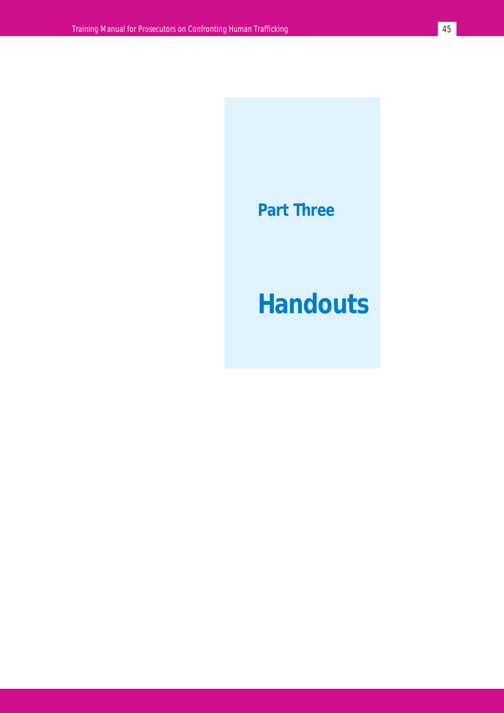# **Part Three**

# **Handouts**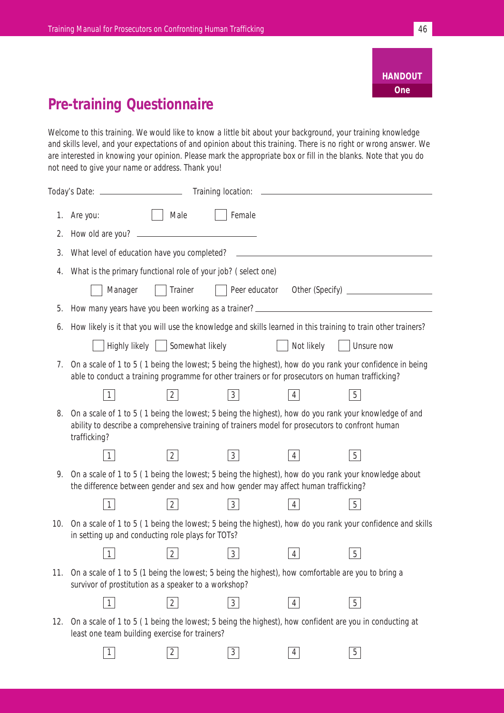# **Pre-training Questionnaire**

Welcome to this training. We would like to know a little bit about your background, your training knowledge and skills level, and your expectations of and opinion about this training. There is no right or wrong answer. We are interested in knowing your opinion. Please mark the appropriate box or fill in the blanks. Note that you do not need to give your name or address. Thank you!

|     | Today's Date: ____________________                                                                                                                                                         |                                                                                                                       | Training location: |                 | <u> 1989 - Andrea Stadt, fransk politiker (d. 1989)</u>                                          |  |
|-----|--------------------------------------------------------------------------------------------------------------------------------------------------------------------------------------------|-----------------------------------------------------------------------------------------------------------------------|--------------------|-----------------|--------------------------------------------------------------------------------------------------|--|
| 1.  | Are you:                                                                                                                                                                                   | Male                                                                                                                  | Female             |                 |                                                                                                  |  |
| 2.  | How old are you?                                                                                                                                                                           | <u> 1989 - Johann Barn, mars and de Branch Barn, mars and de Branch Barn, mars and de Branch Barn, mars and de Br</u> |                    |                 |                                                                                                  |  |
| 3.  | What level of education have you completed?                                                                                                                                                |                                                                                                                       |                    |                 |                                                                                                  |  |
| 4.  | What is the primary functional role of your job? (select one)                                                                                                                              |                                                                                                                       |                    |                 |                                                                                                  |  |
|     | Manager                                                                                                                                                                                    | Trainer                                                                                                               |                    |                 |                                                                                                  |  |
| 5.  | How many years have you been working as a trainer? _____________________________                                                                                                           |                                                                                                                       |                    |                 |                                                                                                  |  |
| 6.  | How likely is it that you will use the knowledge and skills learned in this training to train other trainers?                                                                              |                                                                                                                       |                    |                 |                                                                                                  |  |
|     |                                                                                                                                                                                            | Highly likely   Somewhat likely                                                                                       |                    | Not likely      | Unsure now                                                                                       |  |
| 7.  | On a scale of 1 to 5 (1 being the lowest; 5 being the highest), how do you rank your confidence in being                                                                                   |                                                                                                                       |                    |                 | able to conduct a training programme for other trainers or for prosecutors on human trafficking? |  |
|     | $\mathbf{1}$                                                                                                                                                                               | 2                                                                                                                     | 3 <sup>1</sup>     | $\vert 4 \vert$ | 5                                                                                                |  |
| 8.  | On a scale of 1 to 5 (1 being the lowest; 5 being the highest), how do you rank your knowledge of and<br>trafficking?                                                                      |                                                                                                                       |                    |                 | ability to describe a comprehensive training of trainers model for prosecutors to confront human |  |
|     | $\mathbf{1}$                                                                                                                                                                               | 2                                                                                                                     | 3 <sup>2</sup>     | 4               | $5\vert$                                                                                         |  |
| 9.  | On a scale of 1 to 5 (1 being the lowest; 5 being the highest), how do you rank your knowledge about<br>the difference between gender and sex and how gender may affect human trafficking? |                                                                                                                       |                    |                 |                                                                                                  |  |
|     | $\mathbf{1}$                                                                                                                                                                               | $\vert$ 2                                                                                                             | $\mathfrak{Z}$     | $\overline{4}$  | 5                                                                                                |  |
| 10. | On a scale of 1 to 5 (1 being the lowest; 5 being the highest), how do you rank your confidence and skills<br>in setting up and conducting role plays for TOTs?                            |                                                                                                                       |                    |                 |                                                                                                  |  |
|     |                                                                                                                                                                                            | 2                                                                                                                     | 3                  | 4               | 5                                                                                                |  |
| 11. | On a scale of 1 to 5 (1 being the lowest; 5 being the highest), how comfortable are you to bring a<br>survivor of prostitution as a speaker to a workshop?                                 |                                                                                                                       |                    |                 |                                                                                                  |  |
|     | 1                                                                                                                                                                                          | $\overline{2}$                                                                                                        | $\mathfrak{Z}$     | $\overline{4}$  | 5                                                                                                |  |
| 12. | On a scale of 1 to 5 (1 being the lowest; 5 being the highest), how confident are you in conducting at<br>least one team building exercise for trainers?                                   |                                                                                                                       |                    |                 |                                                                                                  |  |
|     | 1                                                                                                                                                                                          | $\overline{2}$                                                                                                        | $3\phantom{a}$     | 4               | 5                                                                                                |  |
|     |                                                                                                                                                                                            |                                                                                                                       |                    |                 |                                                                                                  |  |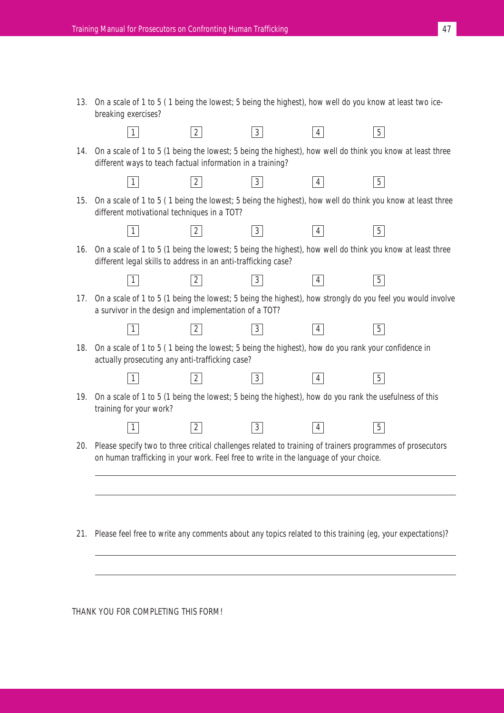| 13. | breaking exercises?                                                                   |                |                |                | On a scale of 1 to 5 (1 being the lowest; 5 being the highest), how well do you know at least two ice-     |  |
|-----|---------------------------------------------------------------------------------------|----------------|----------------|----------------|------------------------------------------------------------------------------------------------------------|--|
|     | $\mathbf{1}$                                                                          | 2              | 3 <sup>2</sup> | 4              | 5 <sup>1</sup>                                                                                             |  |
| 14. | different ways to teach factual information in a training?                            |                |                |                | On a scale of 1 to 5 (1 being the lowest; 5 being the highest), how well do think you know at least three  |  |
|     | $\mathbf{1}$                                                                          | $\overline{2}$ | $\mathbf{3}$   | 4              | 5                                                                                                          |  |
| 15. | different motivational techniques in a TOT?                                           |                |                |                | On a scale of 1 to 5 (1 being the lowest; 5 being the highest), how well do think you know at least three  |  |
|     | $\mathbf{1}$                                                                          | $\overline{2}$ | 3 <sup>1</sup> | 4              | 5                                                                                                          |  |
| 16. | different legal skills to address in an anti-trafficking case?                        |                |                |                | On a scale of 1 to 5 (1 being the lowest; 5 being the highest), how well do think you know at least three  |  |
|     | $\mathbf{1}$                                                                          | $\overline{2}$ | $\mathfrak{Z}$ | $\overline{4}$ | 5 <sup>1</sup>                                                                                             |  |
| 17. | a survivor in the design and implementation of a TOT?                                 |                |                |                | On a scale of 1 to 5 (1 being the lowest; 5 being the highest), how strongly do you feel you would involve |  |
|     | $\mathbf{1}$                                                                          | $\overline{2}$ | $\mathfrak{Z}$ | $\overline{4}$ | 5                                                                                                          |  |
| 18. | actually prosecuting any anti-trafficking case?                                       |                |                |                | On a scale of 1 to 5 (1 being the lowest; 5 being the highest), how do you rank your confidence in         |  |
|     | 1                                                                                     | $\overline{2}$ | 3              | 4              | 5 <sup>1</sup>                                                                                             |  |
| 19. | training for your work?                                                               |                |                |                | On a scale of 1 to 5 (1 being the lowest; 5 being the highest), how do you rank the usefulness of this     |  |
|     | $\mathbf{1}$                                                                          | $\overline{2}$ | 3 <sup>1</sup> | 4              | 5 <sup>1</sup>                                                                                             |  |
| 20. | on human trafficking in your work. Feel free to write in the language of your choice. |                |                |                | Please specify two to three critical challenges related to training of trainers programmes of prosecutors  |  |
|     |                                                                                       |                |                |                |                                                                                                            |  |
|     |                                                                                       |                |                |                |                                                                                                            |  |
| 21. |                                                                                       |                |                |                | Please feel free to write any comments about any topics related to this training (eg, your expectations)?  |  |
|     |                                                                                       |                |                |                |                                                                                                            |  |
|     |                                                                                       |                |                |                |                                                                                                            |  |

THANK YOU FOR COMPLETING THIS FORM!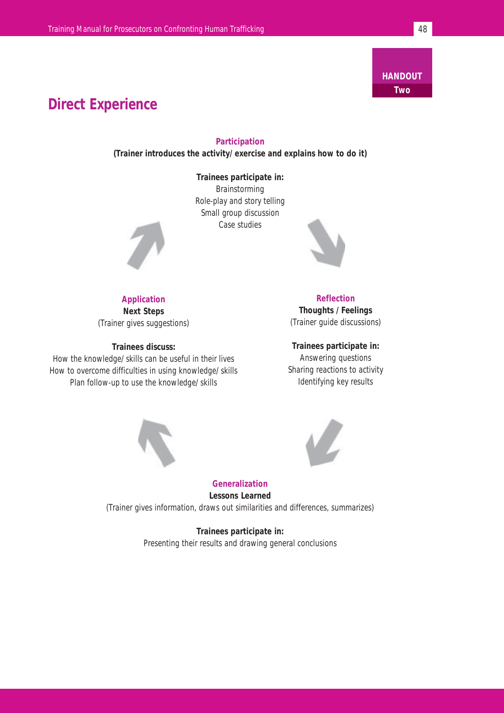

### **Direct Experience**

**Participation (Trainer introduces the activity/ exercise and explains how to do it)**

> **Trainees participate in:** Brainstorming Role-play and story telling Small group discussion Case studies



**Application Next Steps** (Trainer gives suggestions)

### **Trainees discuss:**

How the knowledge/ skills can be useful in their lives How to overcome difficulties in using knowledge/ skills Plan follow-up to use the knowledge/ skills



### **Reflection**

**Thoughts / Feelings** (Trainer guide discussions)

**Trainees participate in:**

Answering questions Sharing reactions to activity Identifying key results





**Generalization Lessons Learned** (Trainer gives information, draws out similarities and differences, summarizes)

> **Trainees participate in:** Presenting their results and drawing general conclusions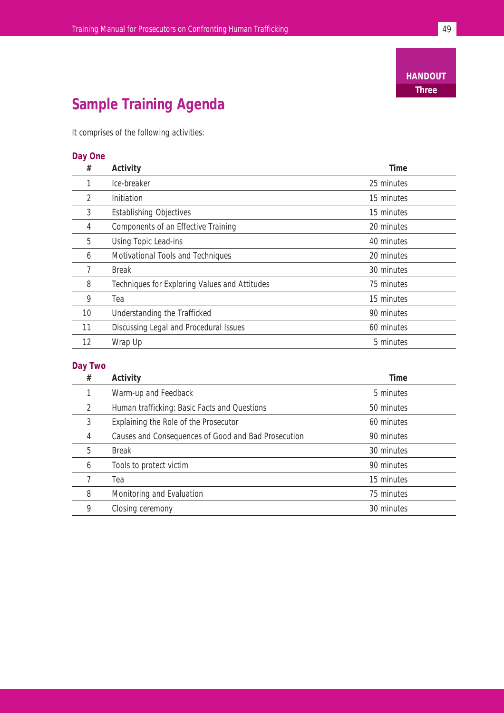**HANDOUT Three**

# **Sample Training Agenda**

It comprises of the following activities:

### **Day One**

| $\#$ | Activity                                      | Time       |
|------|-----------------------------------------------|------------|
|      | Ice-breaker                                   | 25 minutes |
| 2    | Initiation                                    | 15 minutes |
| 3    | <b>Establishing Objectives</b>                | 15 minutes |
| 4    | Components of an Effective Training           | 20 minutes |
| 5    | Using Topic Lead-ins                          | 40 minutes |
| 6    | Motivational Tools and Techniques             | 20 minutes |
|      | <b>Break</b>                                  | 30 minutes |
| 8    | Techniques for Exploring Values and Attitudes | 75 minutes |
| 9    | Tea                                           | 15 minutes |
| 10   | Understanding the Trafficked                  | 90 minutes |
| 11   | Discussing Legal and Procedural Issues        | 60 minutes |
| 12   | Wrap Up                                       | 5 minutes  |

### **Day Two**

| # | Activity                                            | Time       |
|---|-----------------------------------------------------|------------|
|   | Warm-up and Feedback                                | 5 minutes  |
| 2 | Human trafficking: Basic Facts and Questions        | 50 minutes |
| 3 | Explaining the Role of the Prosecutor               | 60 minutes |
| 4 | Causes and Consequences of Good and Bad Prosecution | 90 minutes |
| 5 | <b>Break</b>                                        | 30 minutes |
| 6 | Tools to protect victim                             | 90 minutes |
|   | Tea                                                 | 15 minutes |
| 8 | Monitoring and Evaluation                           | 75 minutes |
| 9 | Closing ceremony                                    | 30 minutes |
|   |                                                     |            |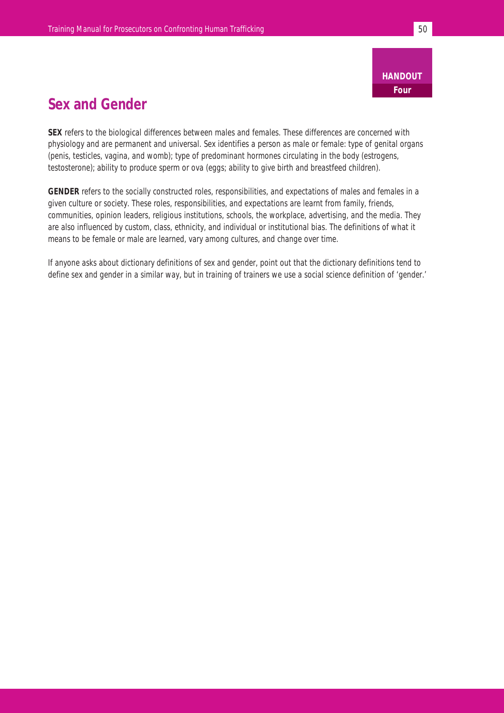### **Sex and Gender**

**SEX** refers to the biological differences between males and females. These differences are concerned with physiology and are permanent and universal. Sex identifies a person as male or female: type of genital organs (penis, testicles, vagina, and womb); type of predominant hormones circulating in the body (estrogens, testosterone); ability to produce sperm or ova (eggs; ability to give birth and breastfeed children).

**GENDER** refers to the socially constructed roles, responsibilities, and expectations of males and females in a given culture or society. These roles, responsibilities, and expectations are learnt from family, friends, communities, opinion leaders, religious institutions, schools, the workplace, advertising, and the media. They are also influenced by custom, class, ethnicity, and individual or institutional bias. The definitions of what it means to be female or male are learned, vary among cultures, and change over time.

If anyone asks about dictionary definitions of sex and gender, point out that the dictionary definitions tend to define sex and gender in a similar way, but in training of trainers we use a social science definition of 'gender.'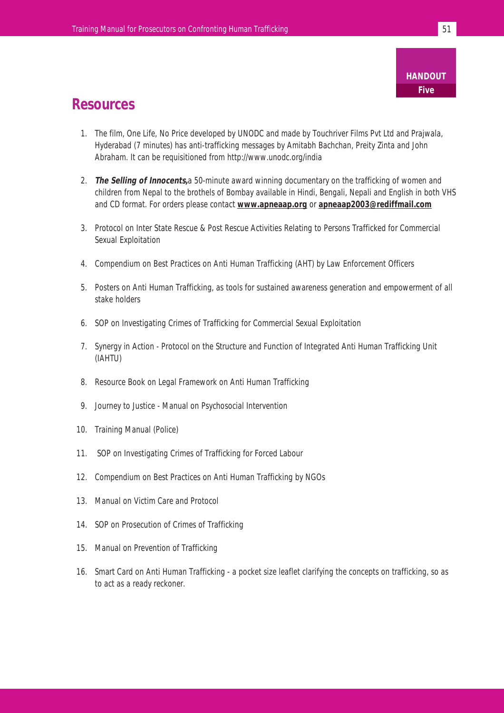### **Resources**

- 1. The film, One Life, No Price developed by UNODC and made by Touchriver Films Pvt Ltd and Prajwala, Hyderabad (7 minutes) has anti-trafficking messages by Amitabh Bachchan, Preity Zinta and John Abraham. It can be requisitioned from http://www.unodc.org/india
- 2. **The Selling of Innocents,**a 50-minute award winning documentary on the trafficking of women and children from Nepal to the brothels of Bombay available in Hindi, Bengali, Nepali and English in both VHS and CD format. For orders please contact **www.apneaap.org** or **apneaap2003@rediffmail.com**
- 3. Protocol on Inter State Rescue & Post Rescue Activities Relating to Persons Trafficked for Commercial Sexual Exploitation
- 4. Compendium on Best Practices on Anti Human Trafficking (AHT) by Law Enforcement Officers
- 5. Posters on Anti Human Trafficking, as tools for sustained awareness generation and empowerment of all stake holders
- 6. SOP on Investigating Crimes of Trafficking for Commercial Sexual Exploitation
- 7. Synergy in Action Protocol on the Structure and Function of Integrated Anti Human Trafficking Unit (IAHTU)
- 8. Resource Book on Legal Framework on Anti Human Trafficking
- 9. Journey to Justice Manual on Psychosocial Intervention
- 10. Training Manual (Police)
- 11. SOP on Investigating Crimes of Trafficking for Forced Labour
- 12. Compendium on Best Practices on Anti Human Trafficking by NGOs
- 13. Manual on Victim Care and Protocol
- 14. SOP on Prosecution of Crimes of Trafficking
- 15. Manual on Prevention of Trafficking
- 16. Smart Card on Anti Human Trafficking a pocket size leaflet clarifying the concepts on trafficking, so as to act as a ready reckoner.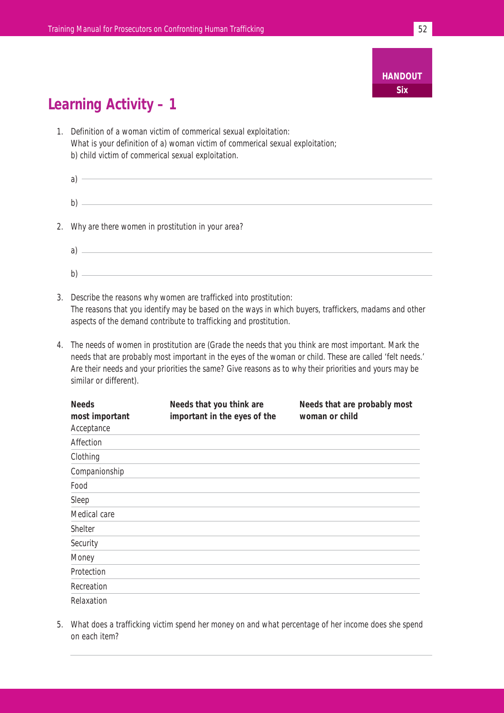# **Learning Activity – 1**

1. Definition of a woman victim of commerical sexual exploitation: What is your definition of a) woman victim of commerical sexual exploitation; b) child victim of commerical sexual exploitation.

| 2. Why are there women in prostitution in your area? |
|------------------------------------------------------|

- a)  $\overline{\phantom{a}}$ b)  $\overline{\qquad \qquad }$
- 3. Describe the reasons why women are trafficked into prostitution: The reasons that you identify may be based on the ways in which buyers, traffickers, madams and other aspects of the demand contribute to trafficking and prostitution.
- 4. The needs of women in prostitution are (Grade the needs that you think are most important. Mark the needs that are probably most important in the eyes of the woman or child. These are called 'felt needs.' Are their needs and your priorities the same? Give reasons as to why their priorities and yours may be similar or different).

| <b>Needs</b><br>most important<br>Acceptance | Needs that you think are<br>important in the eyes of the | Needs that are probably most<br>woman or child |
|----------------------------------------------|----------------------------------------------------------|------------------------------------------------|
| Affection                                    |                                                          |                                                |
| Clothing                                     |                                                          |                                                |
| Companionship                                |                                                          |                                                |
| Food                                         |                                                          |                                                |
| Sleep                                        |                                                          |                                                |
| Medical care                                 |                                                          |                                                |
| Shelter                                      |                                                          |                                                |
| Security                                     |                                                          |                                                |
| Money                                        |                                                          |                                                |
| Protection                                   |                                                          |                                                |
| Recreation                                   |                                                          |                                                |
| Relaxation                                   |                                                          |                                                |

5. What does a trafficking victim spend her money on and what percentage of her income does she spend on each item?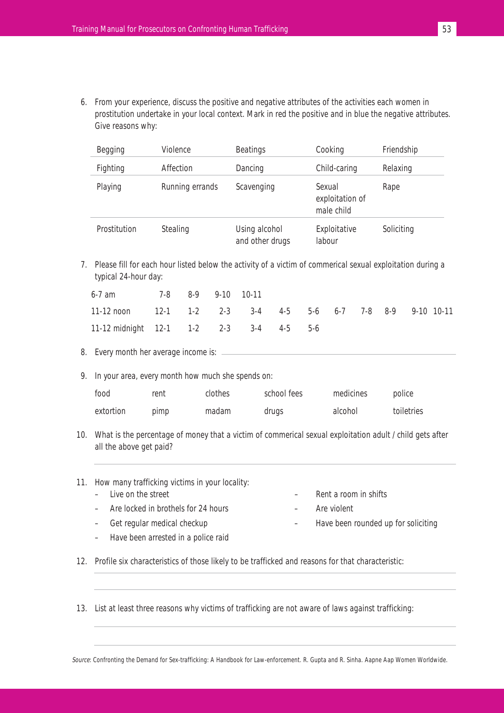6. From your experience, discuss the positive and negative attributes of the activities each women in prostitution undertake in your local context. Mark in red the positive and in blue the negative attributes. Give reasons why:

| Begging      | Violence        | <b>Beatings</b>                  | Cooking                                 | Friendship |
|--------------|-----------------|----------------------------------|-----------------------------------------|------------|
| Fighting     | Affection       | Dancing                          | Child-caring                            | Relaxing   |
| Playing      | Running errands | Scavenging                       | Sexual<br>exploitation of<br>male child | Rape       |
| Prostitution | Stealing        | Using alcohol<br>and other drugs | Exploitative<br>labour                  | Soliciting |

7. Please fill for each hour listed below the activity of a victim of commerical sexual exploitation during a typical 24-hour day:

| 6-7 am march 100 am march 100 am march 100 am march 100 am march 100 am march 100 am march 100 am march 100 am |  | 7-8 8-9 9-10 10-11 |  |  |  |  |
|----------------------------------------------------------------------------------------------------------------|--|--------------------|--|--|--|--|
|                                                                                                                |  |                    |  |  |  |  |
| 11-12 midnight 12-1 1-2 2-3 3-4 4-5 5-6                                                                        |  |                    |  |  |  |  |

8. Every month her average income is:

9. In your area, every month how much she spends on:

| food      | rent | clothes | school fees | medicines | police     |
|-----------|------|---------|-------------|-----------|------------|
| extortion | pimp | madam   | drugs       | alcohol   | toiletries |

10. What is the percentage of money that a victim of commerical sexual exploitation adult / child gets after all the above get paid?

|  | 11. How many trafficking victims in your locality: |                                     |
|--|----------------------------------------------------|-------------------------------------|
|  | - Live on the street                               | Rent a room in shifts               |
|  | - Are locked in brothels for 24 hours              | Are violent                         |
|  | - Get regular medical checkup                      | Have been rounded up for soliciting |
|  | - Have been arrested in a police raid              |                                     |
|  |                                                    |                                     |

12. Profile six characteristics of those likely to be trafficked and reasons for that characteristic:

13. List at least three reasons why victims of trafficking are not aware of laws against trafficking:

Source: Confronting the Demand for Sex-trafficking: A Handbook for Law-enforcement. R. Gupta and R. Sinha. Aapne Aap Women Worldwide.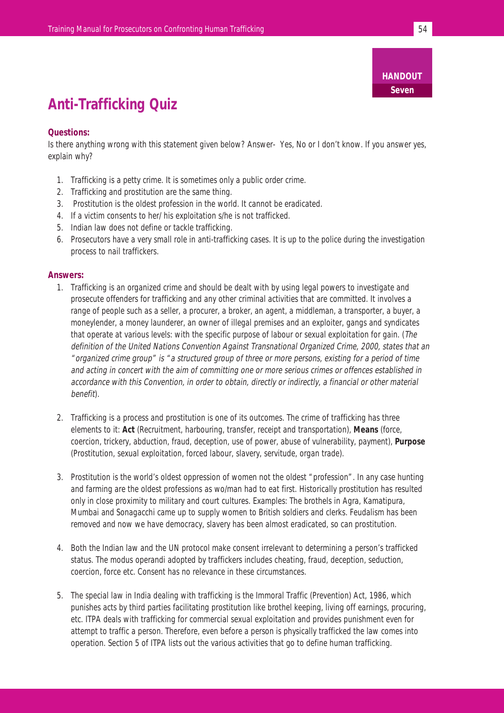# **Anti-Trafficking Quiz**

### **Questions:**

Is there anything wrong with this statement given below? Answer- Yes, No or I don't know. If you answer yes, explain why?

- 1. Trafficking is a petty crime. It is sometimes only a public order crime.
- 2. Trafficking and prostitution are the same thing.
- 3. Prostitution is the oldest profession in the world. It cannot be eradicated.
- 4. If a victim consents to her/ his exploitation s/he is not trafficked.
- 5. Indian law does not define or tackle trafficking.
- 6. Prosecutors have a very small role in anti-trafficking cases. It is up to the police during the investigation process to nail traffickers.

### **Answers:**

- 1. Trafficking is an organized crime and should be dealt with by using legal powers to investigate and prosecute offenders for trafficking and any other criminal activities that are committed. It involves a range of people such as a seller, a procurer, a broker, an agent, a middleman, a transporter, a buyer, a moneylender, a money launderer, an owner of illegal premises and an exploiter, gangs and syndicates that operate at various levels: with the specific purpose of labour or sexual exploitation for gain. (The definition of the United Nations Convention Against Transnational Organized Crime, 2000, states that an "organized crime group" is "a structured group of three or more persons, existing for a period of time and acting in concert with the aim of committing one or more serious crimes or offences established in accordance with this Convention, in order to obtain, directly or indirectly, a financial or other material benefit).
- 2. Trafficking is a process and prostitution is one of its outcomes. The crime of trafficking has three elements to it: **Act** (Recruitment, harbouring, transfer, receipt and transportation), **Means** (force, coercion, trickery, abduction, fraud, deception, use of power, abuse of vulnerability, payment), **Purpose** (Prostitution, sexual exploitation, forced labour, slavery, servitude, organ trade).
- 3. Prostitution is the world's oldest oppression of women not the oldest "profession". In any case hunting and farming are the oldest professions as wo/man had to eat first. Historically prostitution has resulted only in close proximity to military and court cultures. Examples: The brothels in Agra, Kamatipura, Mumbai and Sonagacchi came up to supply women to British soldiers and clerks. Feudalism has been removed and now we have democracy, slavery has been almost eradicated, so can prostitution.
- 4. Both the Indian law and the UN protocol make consent irrelevant to determining a person's trafficked status. The modus operandi adopted by traffickers includes cheating, fraud, deception, seduction, coercion, force etc. Consent has no relevance in these circumstances.
- 5. The special law in India dealing with trafficking is the Immoral Traffic (Prevention) Act, 1986, which punishes acts by third parties facilitating prostitution like brothel keeping, living off earnings, procuring, etc. ITPA deals with trafficking for commercial sexual exploitation and provides punishment even for attempt to traffic a person. Therefore, even before a person is physically trafficked the law comes into operation. Section 5 of ITPA lists out the various activities that go to define human trafficking.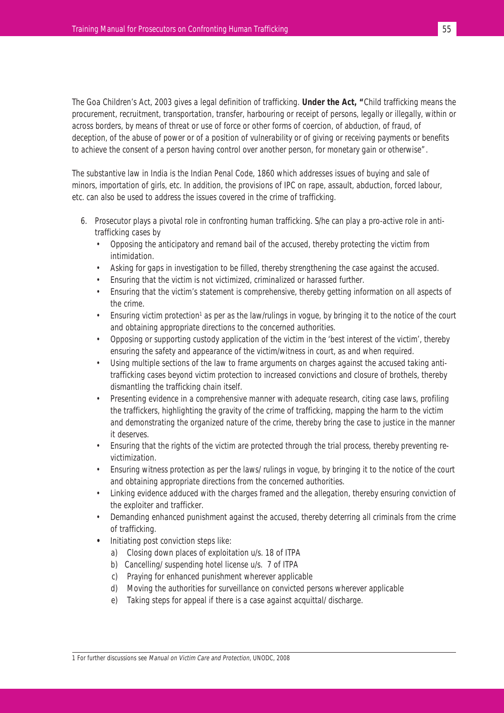The Goa Children's Act, 2003 gives a legal definition of trafficking. **Under the Act, "**Child trafficking means the procurement, recruitment, transportation, transfer, harbouring or receipt of persons, legally or illegally, within or across borders, by means of threat or use of force or other forms of coercion, of abduction, of fraud, of deception, of the abuse of power or of a position of vulnerability or of giving or receiving payments or benefits to achieve the consent of a person having control over another person, for monetary gain or otherwise".

The substantive law in India is the Indian Penal Code, 1860 which addresses issues of buying and sale of minors, importation of girls, etc. In addition, the provisions of IPC on rape, assault, abduction, forced labour, etc. can also be used to address the issues covered in the crime of trafficking.

- 6. Prosecutor plays a pivotal role in confronting human trafficking. S/he can play a pro-active role in antitrafficking cases by
	- Opposing the anticipatory and remand bail of the accused, thereby protecting the victim from intimidation.
	- Asking for gaps in investigation to be filled, thereby strengthening the case against the accused.
	- Ensuring that the victim is not victimized, criminalized or harassed further.
	- Ensuring that the victim's statement is comprehensive, thereby getting information on all aspects of the crime.
	- Ensuring victim protection<sup>1</sup> as per as the law/rulings in vogue, by bringing it to the notice of the court and obtaining appropriate directions to the concerned authorities.
	- Opposing or supporting custody application of the victim in the 'best interest of the victim', thereby ensuring the safety and appearance of the victim/witness in court, as and when required.
	- Using multiple sections of the law to frame arguments on charges against the accused taking antitrafficking cases beyond victim protection to increased convictions and closure of brothels, thereby dismantling the trafficking chain itself.
	- Presenting evidence in a comprehensive manner with adequate research, citing case laws, profiling the traffickers, highlighting the gravity of the crime of trafficking, mapping the harm to the victim and demonstrating the organized nature of the crime, thereby bring the case to justice in the manner it deserves.
	- Ensuring that the rights of the victim are protected through the trial process, thereby preventing revictimization.
	- Ensuring witness protection as per the laws/ rulings in vogue, by bringing it to the notice of the court and obtaining appropriate directions from the concerned authorities.
	- Linking evidence adduced with the charges framed and the allegation, thereby ensuring conviction of the exploiter and trafficker.
	- Demanding enhanced punishment against the accused, thereby deterring all criminals from the crime of trafficking.
	- **•** Initiating post conviction steps like:
		- a) Closing down places of exploitation u/s. 18 of ITPA
		- b) Cancelling/ suspending hotel license u/s. 7 of ITPA
		- c) Praying for enhanced punishment wherever applicable
		- d) Moving the authorities for surveillance on convicted persons wherever applicable
		- e) Taking steps for appeal if there is a case against acquittal/ discharge.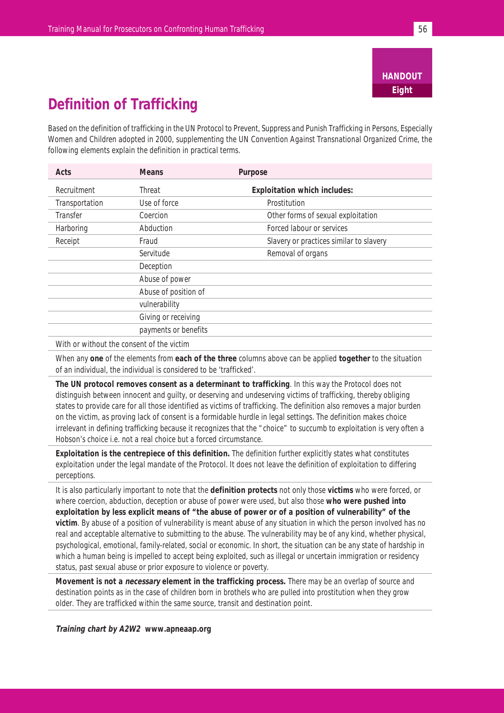

# **Definition of Trafficking**

Based on the definition of trafficking in the UN Protocol to Prevent, Suppress and Punish Trafficking in Persons, Especially Women and Children adopted in 2000, supplementing the UN Convention Against Transnational Organized Crime, the following elements explain the definition in practical terms.

| Acts           | <b>Means</b>         | Purpose                                 |
|----------------|----------------------|-----------------------------------------|
| Recruitment    | Threat               | <b>Exploitation which includes:</b>     |
| Transportation | Use of force         | Prostitution                            |
| Transfer       | Coercion             | Other forms of sexual exploitation      |
| Harboring      | Abduction            | Forced labour or services               |
| Receipt        | Fraud                | Slavery or practices similar to slavery |
|                | Servitude            | Removal of organs                       |
|                | Deception            |                                         |
|                | Abuse of power       |                                         |
|                | Abuse of position of |                                         |
|                | vulnerability        |                                         |
|                | Giving or receiving  |                                         |
|                | payments or benefits |                                         |
|                |                      |                                         |

With or without the consent of the victim

When any **one** of the elements from **each of the three** columns above can be applied **together** to the situation of an individual, the individual is considered to be 'trafficked'.

**The UN protocol removes consent as a determinant to trafficking**. In this way the Protocol does not distinguish between innocent and guilty, or deserving and undeserving victims of trafficking, thereby obliging states to provide care for all those identified as victims of trafficking. The definition also removes a major burden on the victim, as proving lack of consent is a formidable hurdle in legal settings. The definition makes choice irrelevant in defining trafficking because it recognizes that the "choice" to succumb to exploitation is very often a Hobson's choice i.e. not a real choice but a forced circumstance.

**Exploitation is the centrepiece of this definition.** The definition further explicitly states what constitutes exploitation under the legal mandate of the Protocol. It does not leave the definition of exploitation to differing perceptions.

It is also particularly important to note that the **definition protects** not only those **victims** who were forced, or where coercion, abduction, deception or abuse of power were used, but also those **who were pushed into exploitation by less explicit means of "the abuse of power or of a position of vulnerability" of the victim**. By abuse of a position of vulnerability is meant abuse of any situation in which the person involved has no real and acceptable alternative to submitting to the abuse. The vulnerability may be of any kind, whether physical, psychological, emotional, family-related, social or economic. In short, the situation can be any state of hardship in which a human being is impelled to accept being exploited, such as illegal or uncertain immigration or residency status, past sexual abuse or prior exposure to violence or poverty.

**Movement is not a necessary element in the trafficking process.** There may be an overlap of source and destination points as in the case of children born in brothels who are pulled into prostitution when they grow older. They are trafficked within the same source, transit and destination point.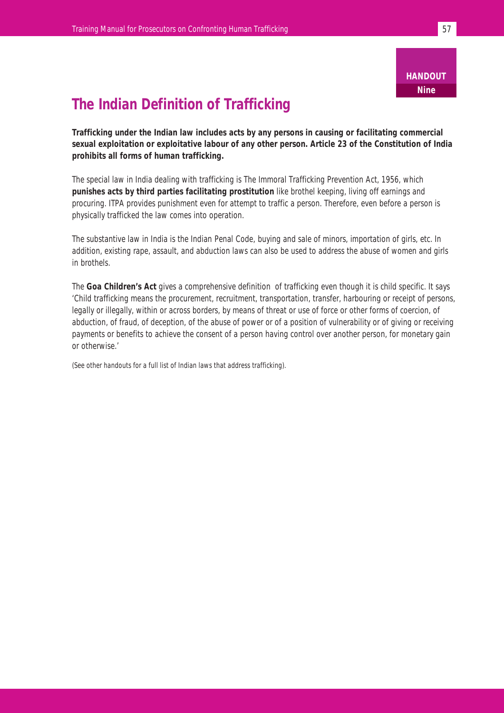**HANDOUT Nine**

### **The Indian Definition of Trafficking**

**Trafficking under the Indian law includes acts by any persons in causing or facilitating commercial sexual exploitation or exploitative labour of any other person. Article 23 of the Constitution of India prohibits all forms of human trafficking.**

The special law in India dealing with trafficking is The Immoral Trafficking Prevention Act, 1956, which **punishes acts by third parties facilitating prostitution** like brothel keeping, living off earnings and procuring. ITPA provides punishment even for attempt to traffic a person. Therefore, even before a person is physically trafficked the law comes into operation.

The substantive law in India is the Indian Penal Code, buying and sale of minors, importation of girls, etc. In addition, existing rape, assault, and abduction laws can also be used to address the abuse of women and girls in brothels.

The **Goa Children's Act** gives a comprehensive definition of trafficking even though it is child specific. It says 'Child trafficking means the procurement, recruitment, transportation, transfer, harbouring or receipt of persons, legally or illegally, within or across borders, by means of threat or use of force or other forms of coercion, of abduction, of fraud, of deception, of the abuse of power or of a position of vulnerability or of giving or receiving payments or benefits to achieve the consent of a person having control over another person, for monetary gain or otherwise.'

(See other handouts for a full list of Indian laws that address trafficking).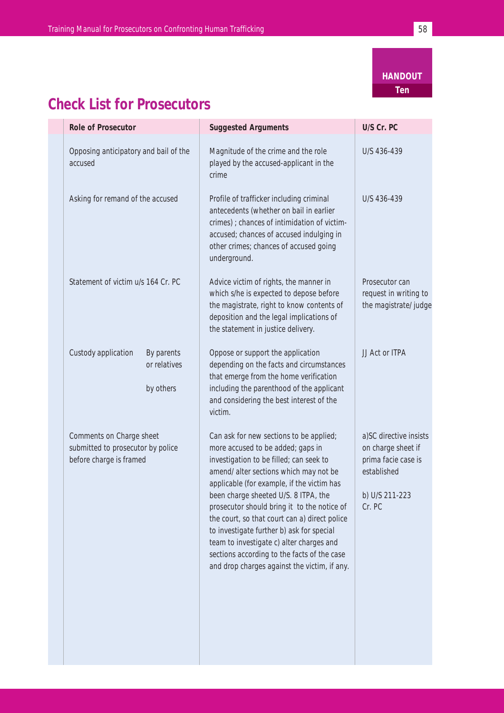### **HANDOUT Ten**

# **Check List for Prosecutors**

| Role of Prosecutor                                                                       |                                         | <b>Suggested Arguments</b>                                                                                                                                                                                                                                                                                                                                                                                                                                                                                                                      | U/S Cr. PC                                                                                                     |
|------------------------------------------------------------------------------------------|-----------------------------------------|-------------------------------------------------------------------------------------------------------------------------------------------------------------------------------------------------------------------------------------------------------------------------------------------------------------------------------------------------------------------------------------------------------------------------------------------------------------------------------------------------------------------------------------------------|----------------------------------------------------------------------------------------------------------------|
| Opposing anticipatory and bail of the<br>accused                                         |                                         | Magnitude of the crime and the role<br>played by the accused-applicant in the<br>crime                                                                                                                                                                                                                                                                                                                                                                                                                                                          | U/S 436-439                                                                                                    |
| Asking for remand of the accused                                                         |                                         | Profile of trafficker including criminal<br>antecedents (whether on bail in earlier<br>crimes) ; chances of intimidation of victim-<br>accused; chances of accused indulging in<br>other crimes; chances of accused going<br>underground.                                                                                                                                                                                                                                                                                                       | U/S 436-439                                                                                                    |
| Statement of victim u/s 164 Cr. PC                                                       |                                         | Advice victim of rights, the manner in<br>which s/he is expected to depose before<br>the magistrate, right to know contents of<br>deposition and the legal implications of<br>the statement in justice delivery.                                                                                                                                                                                                                                                                                                                                | Prosecutor can<br>request in writing to<br>the magistrate/ judge                                               |
| Custody application                                                                      | By parents<br>or relatives<br>by others | Oppose or support the application<br>depending on the facts and circumstances<br>that emerge from the home verification<br>including the parenthood of the applicant<br>and considering the best interest of the<br>victim.                                                                                                                                                                                                                                                                                                                     | JJ Act or ITPA                                                                                                 |
| Comments on Charge sheet<br>submitted to prosecutor by police<br>before charge is framed |                                         | Can ask for new sections to be applied;<br>more accused to be added; gaps in<br>investigation to be filled; can seek to<br>amend/ alter sections which may not be<br>applicable (for example, if the victim has<br>been charge sheeted U/S. 8 ITPA, the<br>prosecutor should bring it to the notice of<br>the court, so that court can a) direct police<br>to investigate further b) ask for special<br>team to investigate c) alter charges and<br>sections according to the facts of the case<br>and drop charges against the victim, if any. | a)SC directive insists<br>on charge sheet if<br>prima facie case is<br>established<br>b) U/S 211-223<br>Cr. PC |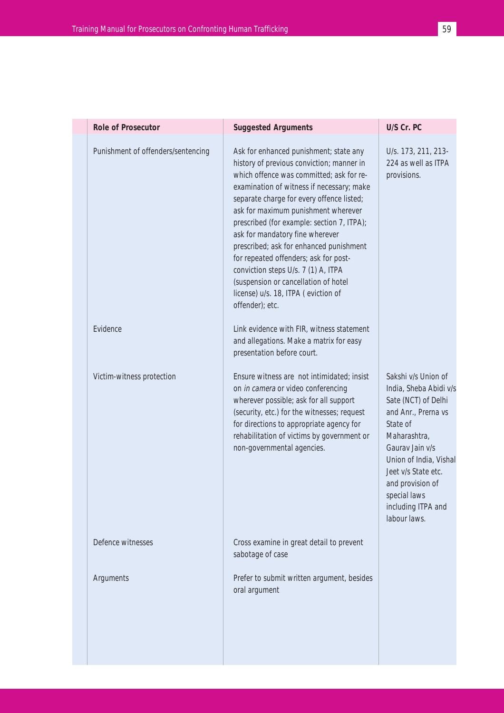| <b>Role of Prosecutor</b>          | <b>Suggested Arguments</b>                                                                                                                                                                                                                                                                                                                                                                                                                                                                                                                                                     | U/S Cr. PC                                                                                                                                                                                                                                                            |
|------------------------------------|--------------------------------------------------------------------------------------------------------------------------------------------------------------------------------------------------------------------------------------------------------------------------------------------------------------------------------------------------------------------------------------------------------------------------------------------------------------------------------------------------------------------------------------------------------------------------------|-----------------------------------------------------------------------------------------------------------------------------------------------------------------------------------------------------------------------------------------------------------------------|
| Punishment of offenders/sentencing | Ask for enhanced punishment; state any<br>history of previous conviction; manner in<br>which offence was committed; ask for re-<br>examination of witness if necessary; make<br>separate charge for every offence listed;<br>ask for maximum punishment wherever<br>prescribed (for example: section 7, ITPA);<br>ask for mandatory fine wherever<br>prescribed; ask for enhanced punishment<br>for repeated offenders; ask for post-<br>conviction steps U/s. 7 (1) A, ITPA<br>(suspension or cancellation of hotel<br>license) u/s. 18, ITPA (eviction of<br>offender); etc. | U/s. 173, 211, 213-<br>224 as well as ITPA<br>provisions.                                                                                                                                                                                                             |
| Evidence                           | Link evidence with FIR, witness statement<br>and allegations. Make a matrix for easy<br>presentation before court.                                                                                                                                                                                                                                                                                                                                                                                                                                                             |                                                                                                                                                                                                                                                                       |
| Victim-witness protection          | Ensure witness are not intimidated; insist<br>on in camera or video conferencing<br>wherever possible; ask for all support<br>(security, etc.) for the witnesses; request<br>for directions to appropriate agency for<br>rehabilitation of victims by government or<br>non-governmental agencies.                                                                                                                                                                                                                                                                              | Sakshi v/s Union of<br>India, Sheba Abidi v/s<br>Sate (NCT) of Delhi<br>and Anr., Prerna vs<br>State of<br>Maharashtra,<br>Gaurav Jain v/s<br>Union of India, Vishal<br>Jeet v/s State etc.<br>and provision of<br>special laws<br>including ITPA and<br>labour laws. |
| Defence witnesses                  | Cross examine in great detail to prevent<br>sabotage of case                                                                                                                                                                                                                                                                                                                                                                                                                                                                                                                   |                                                                                                                                                                                                                                                                       |
| Arguments                          | Prefer to submit written argument, besides<br>oral argument                                                                                                                                                                                                                                                                                                                                                                                                                                                                                                                    |                                                                                                                                                                                                                                                                       |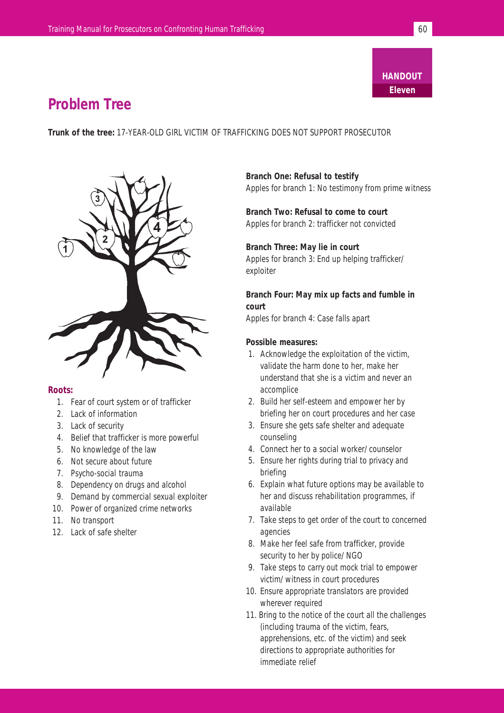### **Problem Tree**

**Trunk of the tree:** 17-YEAR-OLD GIRL VICTIM OF TRAFFICKING DOES NOT SUPPORT PROSECUTOR



### **Roots:**

- 1. Fear of court system or of trafficker
- 2. Lack of information
- 3. Lack of security
- 4. Belief that trafficker is more powerful
- 5. No knowledge of the law
- 6. Not secure about future
- 7. Psycho-social trauma
- 8. Dependency on drugs and alcohol
- 9. Demand by commercial sexual exploiter
- 10. Power of organized crime networks
- 11. No transport
- 12. Lack of safe shelter

**Branch One: Refusal to testify** Apples for branch 1: No testimony from prime witness

**Branch Two: Refusal to come to court** Apples for branch 2: trafficker not convicted

**Branch Three: May lie in court** Apples for branch 3: End up helping trafficker/ exploiter

**Branch Four: May mix up facts and fumble in court**

Apples for branch 4: Case falls apart

### **Possible measures:**

- 1. Acknowledge the exploitation of the victim, validate the harm done to her, make her understand that she is a victim and never an accomplice
- 2. Build her self-esteem and empower her by briefing her on court procedures and her case
- 3. Ensure she gets safe shelter and adequate counseling
- 4. Connect her to a social worker/ counselor
- 5. Ensure her rights during trial to privacy and briefing
- 6. Explain what future options may be available to her and discuss rehabilitation programmes, if available
- 7. Take steps to get order of the court to concerned agencies
- 8. Make her feel safe from trafficker, provide security to her by police/ NGO
- 9. Take steps to carry out mock trial to empower victim/ witness in court procedures
- 10. Ensure appropriate translators are provided wherever required
- 11. Bring to the notice of the court all the challenges (including trauma of the victim, fears, apprehensions, etc. of the victim) and seek directions to appropriate authorities for immediate relief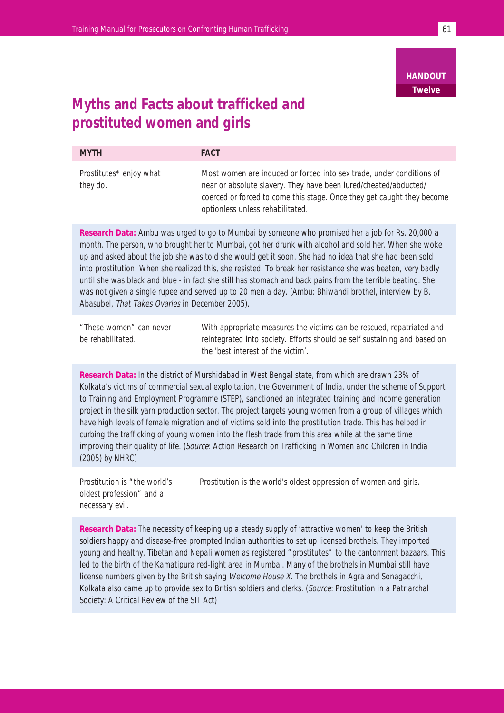### **Myths and Facts about trafficked and prostituted women and girls**

| Most women are induced or forced into sex trade, under conditions of<br>Prostitutes* enjoy what<br>near or absolute slavery. They have been lured/cheated/abducted/<br>they do.<br>coerced or forced to come this stage. Once they get caught they become<br>optionless unless rehabilitated. | <b>MYTH</b> | <b>FACT</b> |
|-----------------------------------------------------------------------------------------------------------------------------------------------------------------------------------------------------------------------------------------------------------------------------------------------|-------------|-------------|
|                                                                                                                                                                                                                                                                                               |             |             |

**Research Data:** Ambu was urged to go to Mumbai by someone who promised her a job for Rs. 20,000 a month. The person, who brought her to Mumbai, got her drunk with alcohol and sold her. When she woke up and asked about the job she was told she would get it soon. She had no idea that she had been sold into prostitution. When she realized this, she resisted. To break her resistance she was beaten, very badly until she was black and blue - in fact she still has stomach and back pains from the terrible beating. She was not given a single rupee and served up to 20 men a day. (Ambu: Bhiwandi brothel, interview by B. Abasubel, That Takes Ovaries in December 2005).

"These women" can never be rehabilitated.

With appropriate measures the victims can be rescued, repatriated and reintegrated into society. Efforts should be self sustaining and based on the 'best interest of the victim'.

**Research Data:** In the district of Murshidabad in West Bengal state, from which are drawn 23% of Kolkata's victims of commercial sexual exploitation, the Government of India, under the scheme of Support to Training and Employment Programme (STEP), sanctioned an integrated training and income generation project in the silk yarn production sector. The project targets young women from a group of villages which have high levels of female migration and of victims sold into the prostitution trade. This has helped in curbing the trafficking of young women into the flesh trade from this area while at the same time improving their quality of life. (Source: Action Research on Trafficking in Women and Children in India (2005) by NHRC)

Prostitution is the world's oldest oppression of women and girls. Prostitution is "the world's oldest profession" and a necessary evil.

**Research Data:** The necessity of keeping up a steady supply of 'attractive women' to keep the British soldiers happy and disease-free prompted Indian authorities to set up licensed brothels. They imported young and healthy, Tibetan and Nepali women as registered "prostitutes" to the cantonment bazaars. This led to the birth of the Kamatipura red-light area in Mumbai. Many of the brothels in Mumbai still have license numbers given by the British saying Welcome House X. The brothels in Agra and Sonagacchi, Kolkata also came up to provide sex to British soldiers and clerks. (Source: Prostitution in a Patriarchal Society: A Critical Review of the SIT Act)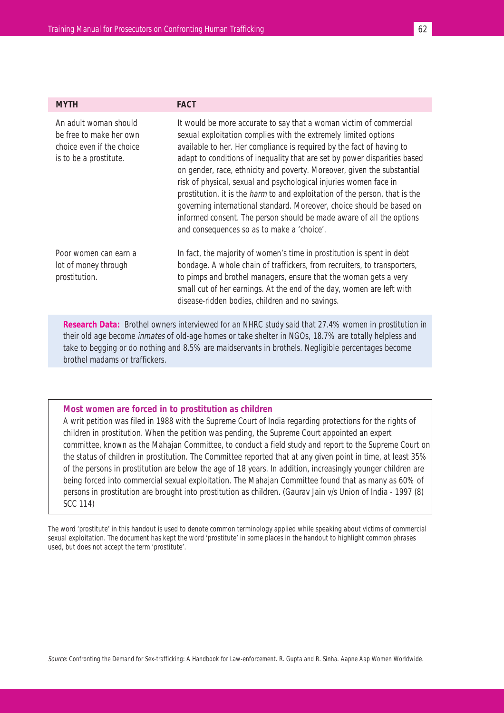| <b>MYTH</b>                                                                                             | <b>FACT</b>                                                                                                                                                                                                                                                                                                                                                                                                                                                                                                                                                                                                                                                                                                                      |
|---------------------------------------------------------------------------------------------------------|----------------------------------------------------------------------------------------------------------------------------------------------------------------------------------------------------------------------------------------------------------------------------------------------------------------------------------------------------------------------------------------------------------------------------------------------------------------------------------------------------------------------------------------------------------------------------------------------------------------------------------------------------------------------------------------------------------------------------------|
| An adult woman should<br>be free to make her own<br>choice even if the choice<br>is to be a prostitute. | It would be more accurate to say that a woman victim of commercial<br>sexual exploitation complies with the extremely limited options<br>available to her. Her compliance is required by the fact of having to<br>adapt to conditions of inequality that are set by power disparities based<br>on gender, race, ethnicity and poverty. Moreover, given the substantial<br>risk of physical, sexual and psychological injuries women face in<br>prostitution, it is the <i>harm</i> to and exploitation of the person, that is the<br>governing international standard. Moreover, choice should be based on<br>informed consent. The person should be made aware of all the options<br>and consequences so as to make a 'choice'. |
| Poor women can earn a<br>lot of money through<br>prostitution.                                          | In fact, the majority of women's time in prostitution is spent in debt<br>bondage. A whole chain of traffickers, from recruiters, to transporters,<br>to pimps and brothel managers, ensure that the woman gets a very<br>small cut of her earnings. At the end of the day, women are left with<br>disease-ridden bodies, children and no savings.                                                                                                                                                                                                                                                                                                                                                                               |

**Research Data:** Brothel owners interviewed for an NHRC study said that 27.4% women in prostitution in their old age become inmates of old-age homes or take shelter in NGOs, 18.7% are totally helpless and take to begging or do nothing and 8.5% are maidservants in brothels. Negligible percentages become brothel madams or traffickers.

#### **Most women are forced in to prostitution as children**

A writ petition was filed in 1988 with the Supreme Court of India regarding protections for the rights of children in prostitution. When the petition was pending, the Supreme Court appointed an expert committee, known as the Mahajan Committee, to conduct a field study and report to the Supreme Court on the status of children in prostitution. The Committee reported that at any given point in time, at least 35% of the persons in prostitution are below the age of 18 years. In addition, increasingly younger children are being forced into commercial sexual exploitation. The Mahajan Committee found that as many as 60% of persons in prostitution are brought into prostitution as children. (Gaurav Jain v/s Union of India - 1997 (8) SCC 114)

The word 'prostitute' in this handout is used to denote common terminology applied while speaking about victims of commercial sexual exploitation. The document has kept the word 'prostitute' in some places in the handout to highlight common phrases used, but does not accept the term 'prostitute'.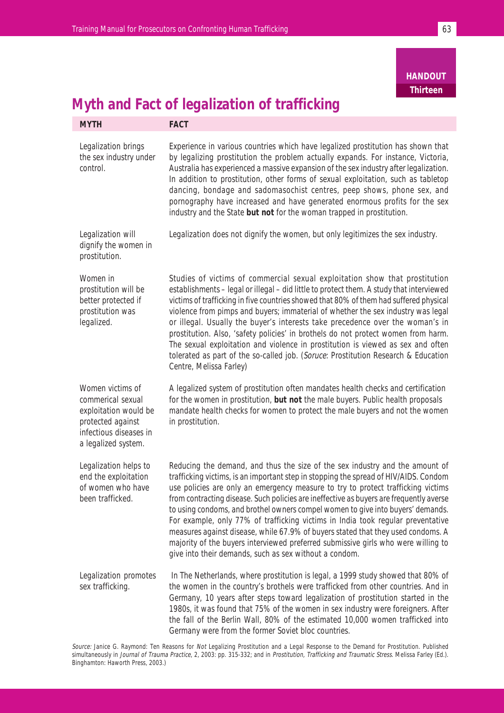**HANDOUT Thirteen**

## **Myth and Fact of legalization of trafficking**

| <b>MYTH</b>                                                                                                                          | <b>FACT</b>                                                                                                                                                                                                                                                                                                                                                                                                                                                                                                                                                                                                                                                                                                                                                  |
|--------------------------------------------------------------------------------------------------------------------------------------|--------------------------------------------------------------------------------------------------------------------------------------------------------------------------------------------------------------------------------------------------------------------------------------------------------------------------------------------------------------------------------------------------------------------------------------------------------------------------------------------------------------------------------------------------------------------------------------------------------------------------------------------------------------------------------------------------------------------------------------------------------------|
| Legalization brings<br>the sex industry under<br>control.                                                                            | Experience in various countries which have legalized prostitution has shown that<br>by legalizing prostitution the problem actually expands. For instance, Victoria,<br>Australia has experienced a massive expansion of the sex industry after legalization.<br>In addition to prostitution, other forms of sexual exploitation, such as tabletop<br>dancing, bondage and sadomasochist centres, peep shows, phone sex, and<br>pornography have increased and have generated enormous profits for the sex<br>industry and the State but not for the woman trapped in prostitution.                                                                                                                                                                          |
| Legalization will<br>dignify the women in<br>prostitution.                                                                           | Legalization does not dignify the women, but only legitimizes the sex industry.                                                                                                                                                                                                                                                                                                                                                                                                                                                                                                                                                                                                                                                                              |
| Women in<br>prostitution will be<br>better protected if<br>prostitution was<br>legalized.                                            | Studies of victims of commercial sexual exploitation show that prostitution<br>establishments - legal or illegal - did little to protect them. A study that interviewed<br>victims of trafficking in five countries showed that 80% of them had suffered physical<br>violence from pimps and buyers; immaterial of whether the sex industry was legal<br>or illegal. Usually the buyer's interests take precedence over the woman's in<br>prostitution. Also, 'safety policies' in brothels do not protect women from harm.<br>The sexual exploitation and violence in prostitution is viewed as sex and often<br>tolerated as part of the so-called job. (Soruce: Prostitution Research & Education<br>Centre, Melissa Farley)                              |
| Women victims of<br>commerical sexual<br>exploitation would be<br>protected against<br>infectious diseases in<br>a legalized system. | A legalized system of prostitution often mandates health checks and certification<br>for the women in prostitution, but not the male buyers. Public health proposals<br>mandate health checks for women to protect the male buyers and not the women<br>in prostitution.                                                                                                                                                                                                                                                                                                                                                                                                                                                                                     |
| Legalization helps to<br>end the exploitation<br>of women who have<br>been trafficked.                                               | Reducing the demand, and thus the size of the sex industry and the amount of<br>trafficking victims, is an important step in stopping the spread of HIV/AIDS. Condom<br>use policies are only an emergency measure to try to protect trafficking victims<br>from contracting disease. Such policies are ineffective as buyers are frequently averse<br>to using condoms, and brothel owners compel women to give into buyers' demands.<br>For example, only 77% of trafficking victims in India took regular preventative<br>measures against disease, while 67.9% of buyers stated that they used condoms. A<br>majority of the buyers interviewed preferred submissive girls who were willing to<br>give into their demands, such as sex without a condom. |
| Legalization promotes<br>sex trafficking.                                                                                            | In The Netherlands, where prostitution is legal, a 1999 study showed that 80% of<br>the women in the country's brothels were trafficked from other countries. And in<br>Germany, 10 years after steps toward legalization of prostitution started in the<br>1980s, it was found that 75% of the women in sex industry were foreigners. After<br>the fall of the Berlin Wall, 80% of the estimated 10,000 women trafficked into<br>Germany were from the former Soviet bloc countries.                                                                                                                                                                                                                                                                        |

Source: Janice G. Raymond: Ten Reasons for Not Legalizing Prostitution and a Legal Response to the Demand for Prostitution. Published simultaneously in Journal of Trauma Practice, 2, 2003: pp. 315-332; and in Prostitution, Trafficking and Traumatic Stress. Melissa Farley (Ed.). Binghamton: Haworth Press, 2003.)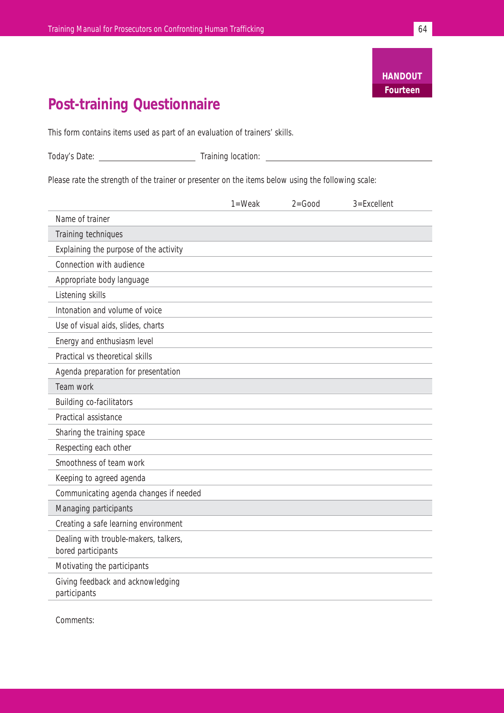# **Post-training Questionnaire**

This form contains items used as part of an evaluation of trainers' skills.

| Today's | .<br>location.<br>raining |  |
|---------|---------------------------|--|
|         |                           |  |

Please rate the strength of the trainer or presenter on the items below using the following scale:

|                                        | $1 = Weak$ | $2 = Good$ | 3=Excellent |
|----------------------------------------|------------|------------|-------------|
| Name of trainer                        |            |            |             |
| Training techniques                    |            |            |             |
| Explaining the purpose of the activity |            |            |             |
| Connection with audience               |            |            |             |
| Appropriate body language              |            |            |             |
| Listening skills                       |            |            |             |
| Intonation and volume of voice         |            |            |             |
| Use of visual aids, slides, charts     |            |            |             |
| Energy and enthusiasm level            |            |            |             |
| Practical vs theoretical skills        |            |            |             |
| Agenda preparation for presentation    |            |            |             |
| Team work                              |            |            |             |
| <b>Building co-facilitators</b>        |            |            |             |
| Practical assistance                   |            |            |             |
| Sharing the training space             |            |            |             |
| Respecting each other                  |            |            |             |
| Smoothness of team work                |            |            |             |
| Keeping to agreed agenda               |            |            |             |
| Communicating agenda changes if needed |            |            |             |
| Managing participants                  |            |            |             |
| Creating a safe learning environment   |            |            |             |
| Dealing with trouble-makers, talkers,  |            |            |             |
| bored participants                     |            |            |             |
| Motivating the participants            |            |            |             |
| Giving feedback and acknowledging      |            |            |             |
| participants                           |            |            |             |

Comments: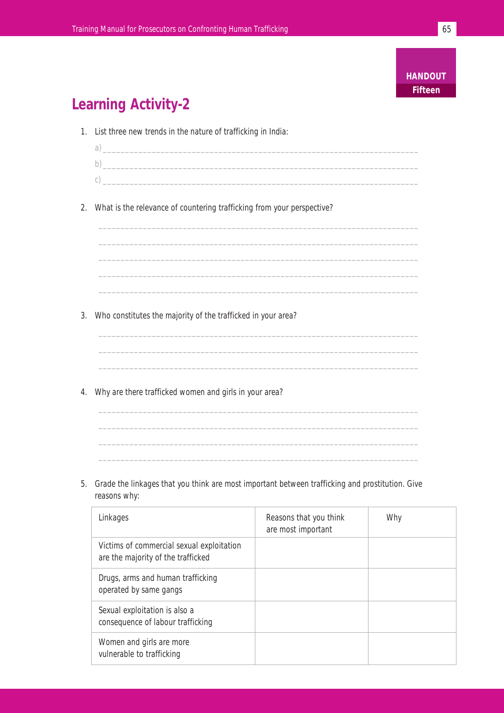# **Learning Activity-2**

- 1. List three new trends in the nature of trafficking in India:
	- a)  $\overline{\phantom{a}}$  $b)$ c) \_\_\_\_\_\_\_\_\_\_\_\_\_\_\_\_\_\_\_\_\_\_\_\_\_\_\_\_\_\_\_\_\_\_\_\_\_\_\_\_\_\_\_\_\_\_\_\_\_\_\_\_\_\_\_\_\_\_\_\_\_\_\_\_\_\_\_\_\_\_\_

 $\_$  , and the set of the set of the set of the set of the set of the set of the set of the set of the set of the set of the set of the set of the set of the set of the set of the set of the set of the set of the set of th  $\_$  , and the set of the set of the set of the set of the set of the set of the set of the set of the set of the set of the set of the set of the set of the set of the set of the set of the set of the set of the set of th  $\_$  , and the set of the set of the set of the set of the set of the set of the set of the set of the set of the set of the set of the set of the set of the set of the set of the set of the set of the set of the set of th  $\_$  , and the set of the set of the set of the set of the set of the set of the set of the set of the set of the set of the set of the set of the set of the set of the set of the set of the set of the set of the set of th  $\_$  , and the set of the set of the set of the set of the set of the set of the set of the set of the set of the set of the set of the set of the set of the set of the set of the set of the set of the set of the set of th

 $\_$  , and the set of the set of the set of the set of the set of the set of the set of the set of the set of the set of the set of the set of the set of the set of the set of the set of the set of the set of the set of th  $\_$  , and the set of the set of the set of the set of the set of the set of the set of the set of the set of the set of the set of the set of the set of the set of the set of the set of the set of the set of the set of th  $\_$  , and the set of the set of the set of the set of the set of the set of the set of the set of the set of the set of the set of the set of the set of the set of the set of the set of the set of the set of the set of th

 $\_$  , and the set of the set of the set of the set of the set of the set of the set of the set of the set of the set of the set of the set of the set of the set of the set of the set of the set of the set of the set of th  $\_$  , and the set of the set of the set of the set of the set of the set of the set of the set of the set of the set of the set of the set of the set of the set of the set of the set of the set of the set of the set of th  $\_$  , and the set of the set of the set of the set of the set of the set of the set of the set of the set of the set of the set of the set of the set of the set of the set of the set of the set of the set of the set of th  $\_$  , and the set of the set of the set of the set of the set of the set of the set of the set of the set of the set of the set of the set of the set of the set of the set of the set of the set of the set of the set of th

2. What is the relevance of countering trafficking from your perspective?

- 3. Who constitutes the majority of the trafficked in your area?
- 4. Why are there trafficked women and girls in your area?

5. Grade the linkages that you think are most important between trafficking and prostitution. Give reasons why:

| Linkages                                                                        | Reasons that you think<br>are most important | Why |
|---------------------------------------------------------------------------------|----------------------------------------------|-----|
| Victims of commercial sexual exploitation<br>are the majority of the trafficked |                                              |     |
| Drugs, arms and human trafficking<br>operated by same gangs                     |                                              |     |
| Sexual exploitation is also a<br>consequence of labour trafficking              |                                              |     |
| Women and girls are more<br>vulnerable to trafficking                           |                                              |     |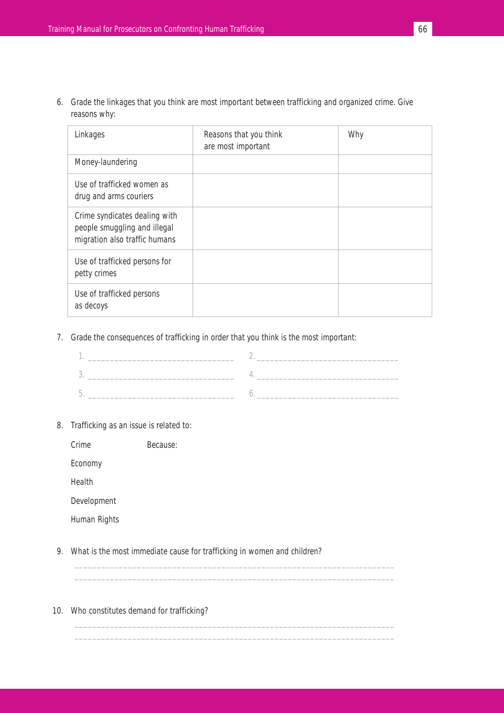6. Grade the linkages that you think are most important between trafficking and organized crime. Give reasons why:

| Linkages                                                                                       | Reasons that you think<br>are most important | Why |
|------------------------------------------------------------------------------------------------|----------------------------------------------|-----|
| Money-laundering                                                                               |                                              |     |
| Use of trafficked women as<br>drug and arms couriers                                           |                                              |     |
| Crime syndicates dealing with<br>people smuggling and illegal<br>migration also traffic humans |                                              |     |
| Use of trafficked persons for<br>petty crimes                                                  |                                              |     |
| Use of trafficked persons<br>as decoys                                                         |                                              |     |

7. Grade the consequences of trafficking in order that you think is the most important:

\_\_\_\_\_\_\_\_\_\_\_\_\_\_\_\_\_\_\_\_\_\_\_\_\_\_\_\_\_\_\_\_\_\_\_\_\_\_\_\_\_\_\_\_\_\_\_\_\_\_\_\_\_\_\_\_\_\_\_\_\_\_\_\_\_\_\_\_\_\_\_\_ \_\_\_\_\_\_\_\_\_\_\_\_\_\_\_\_\_\_\_\_\_\_\_\_\_\_\_\_\_\_\_\_\_\_\_\_\_\_\_\_\_\_\_\_\_\_\_\_\_\_\_\_\_\_\_\_\_\_\_\_\_\_\_\_\_\_\_\_\_\_\_\_

\_\_\_\_\_\_\_\_\_\_\_\_\_\_\_\_\_\_\_\_\_\_\_\_\_\_\_\_\_\_\_\_\_\_\_\_\_\_\_\_\_\_\_\_\_\_\_\_\_\_\_\_\_\_\_\_\_\_\_\_\_\_\_\_\_\_\_\_\_\_\_\_ \_\_\_\_\_\_\_\_\_\_\_\_\_\_\_\_\_\_\_\_\_\_\_\_\_\_\_\_\_\_\_\_\_\_\_\_\_\_\_\_\_\_\_\_\_\_\_\_\_\_\_\_\_\_\_\_\_\_\_\_\_\_\_\_\_\_\_\_\_\_\_\_

8. Trafficking as an issue is related to:

| Because: |
|----------|
|          |

Economy

Health

Development

Human Rights

- 9. What is the most immediate cause for trafficking in women and children?
- 10. Who constitutes demand for trafficking?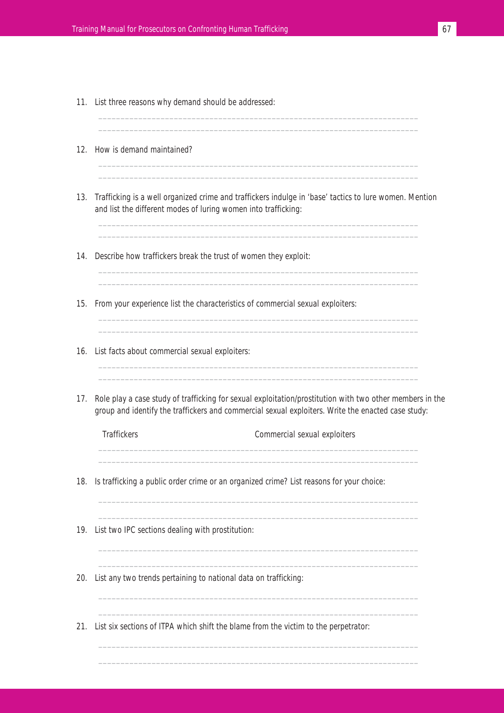- 11. List three reasons why demand should be addressed:
- 12. How is demand maintained?
- 13. Trafficking is a well organized crime and traffickers indulge in 'base' tactics to lure women. Mention and list the different modes of luring women into trafficking:

 $\_$  , and the set of the set of the set of the set of the set of the set of the set of the set of the set of the set of the set of the set of the set of the set of the set of the set of the set of the set of the set of th  $\_$  , and the set of the set of the set of the set of the set of the set of the set of the set of the set of the set of the set of the set of the set of the set of the set of the set of the set of the set of the set of th

 $\_$  , and the set of the set of the set of the set of the set of the set of the set of the set of the set of the set of the set of the set of the set of the set of the set of the set of the set of the set of the set of th  $\_$  , and the set of the set of the set of the set of the set of the set of the set of the set of the set of the set of the set of the set of the set of the set of the set of the set of the set of the set of the set of th

 $\_$  , and the set of the set of the set of the set of the set of the set of the set of the set of the set of the set of the set of the set of the set of the set of the set of the set of the set of the set of the set of th  $\_$  , and the set of the set of the set of the set of the set of the set of the set of the set of the set of the set of the set of the set of the set of the set of the set of the set of the set of the set of the set of th

 $\_$  , and the set of the set of the set of the set of the set of the set of the set of the set of the set of the set of the set of the set of the set of the set of the set of the set of the set of the set of the set of th  $\_$  , and the set of the set of the set of the set of the set of the set of the set of the set of the set of the set of the set of the set of the set of the set of the set of the set of the set of the set of the set of th

 $\_$  , and the set of the set of the set of the set of the set of the set of the set of the set of the set of the set of the set of the set of the set of the set of the set of the set of the set of the set of the set of th  $\_$  , and the set of the set of the set of the set of the set of the set of the set of the set of the set of the set of the set of the set of the set of the set of the set of the set of the set of the set of the set of th

 $\_$  , and the set of the set of the set of the set of the set of the set of the set of the set of the set of the set of the set of the set of the set of the set of the set of the set of the set of the set of the set of th  $\_$  , and the set of the set of the set of the set of the set of the set of the set of the set of the set of the set of the set of the set of the set of the set of the set of the set of the set of the set of the set of th

- 14. Describe how traffickers break the trust of women they exploit:
- 15. From your experience list the characteristics of commercial sexual exploiters:
- 16. List facts about commercial sexual exploiters:
- 17. Role play a case study of trafficking for sexual exploitation/prostitution with two other members in the group and identify the traffickers and commercial sexual exploiters. Write the enacted case study:

 $\_$  , and the set of the set of the set of the set of the set of the set of the set of the set of the set of the set of the set of the set of the set of the set of the set of the set of the set of the set of the set of th  $\_$  , and the set of the set of the set of the set of the set of the set of the set of the set of the set of the set of the set of the set of the set of the set of the set of the set of the set of the set of the set of th

 $\_$  , and the set of the set of the set of the set of the set of the set of the set of the set of the set of the set of the set of the set of the set of the set of the set of the set of the set of the set of the set of th  $\_$  , and the set of the set of the set of the set of the set of the set of the set of the set of the set of the set of the set of the set of the set of the set of the set of the set of the set of the set of the set of th

 $\_$  , and the set of the set of the set of the set of the set of the set of the set of the set of the set of the set of the set of the set of the set of the set of the set of the set of the set of the set of the set of th  $\_$  , and the set of the set of the set of the set of the set of the set of the set of the set of the set of the set of the set of the set of the set of the set of the set of the set of the set of the set of the set of th

 $\_$  , and the set of the set of the set of the set of the set of the set of the set of the set of the set of the set of the set of the set of the set of the set of the set of the set of the set of the set of the set of th  $\_$  , and the set of the set of the set of the set of the set of the set of the set of the set of the set of the set of the set of the set of the set of the set of the set of the set of the set of the set of the set of th

 $\_$  , and the set of the set of the set of the set of the set of the set of the set of the set of the set of the set of the set of the set of the set of the set of the set of the set of the set of the set of the set of th  $\_$  , and the set of the set of the set of the set of the set of the set of the set of the set of the set of the set of the set of the set of the set of the set of the set of the set of the set of the set of the set of th

Traffickers Commercial sexual exploiters

- 18. Is trafficking a public order crime or an organized crime? List reasons for your choice:
- 19. List two IPC sections dealing with prostitution:

20. List any two trends pertaining to national data on trafficking:

21. List six sections of ITPA which shift the blame from the victim to the perpetrator: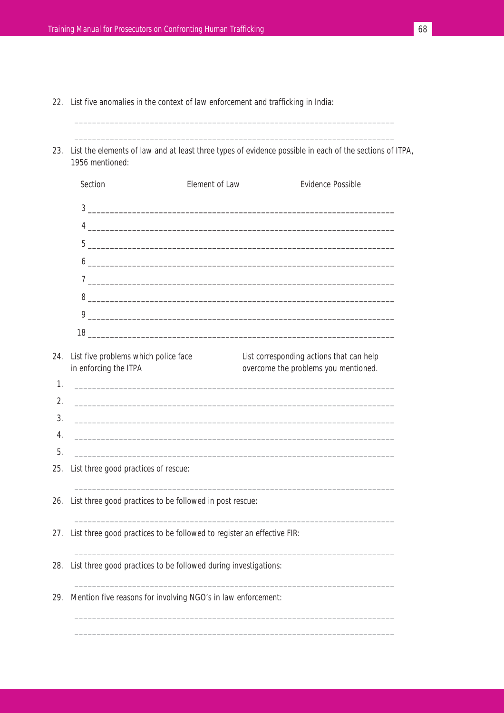22. List five anomalies in the context of law enforcement and trafficking in India:

| Section                                                       | Element of Law                                                                                                                                                                                                                                                                          | <b>Evidence Possible</b>                                                         |
|---------------------------------------------------------------|-----------------------------------------------------------------------------------------------------------------------------------------------------------------------------------------------------------------------------------------------------------------------------------------|----------------------------------------------------------------------------------|
|                                                               |                                                                                                                                                                                                                                                                                         |                                                                                  |
|                                                               |                                                                                                                                                                                                                                                                                         |                                                                                  |
|                                                               |                                                                                                                                                                                                                                                                                         |                                                                                  |
|                                                               |                                                                                                                                                                                                                                                                                         |                                                                                  |
|                                                               |                                                                                                                                                                                                                                                                                         |                                                                                  |
|                                                               |                                                                                                                                                                                                                                                                                         |                                                                                  |
|                                                               | 9                                                                                                                                                                                                                                                                                       |                                                                                  |
|                                                               | $18$ $\overline{\phantom{a}}$                                                                                                                                                                                                                                                           |                                                                                  |
|                                                               | List five problems which police face<br><u> 1980 - Jan Barbara, margaretar amerikan basar dan berasal dalam basa dan berasal dan berasal dalam berasal da</u><br><u> 1989 - Johann Stoff, deutscher Stoffen und der Stoffen und der Stoffen und der Stoffen und der Stoffen und der</u> | List corresponding actions that can help<br>overcome the problems you mentioned. |
|                                                               | <u> 1989 - Johann Stoff, deutscher Stoff, der Stoff, der Stoff, der Stoff, der Stoff, der Stoff, der Stoff, der S</u>                                                                                                                                                                   |                                                                                  |
|                                                               |                                                                                                                                                                                                                                                                                         |                                                                                  |
|                                                               | 26. List three good practices to be followed in post rescue:                                                                                                                                                                                                                            |                                                                                  |
|                                                               | List three good practices to be followed to register an effective FIR:                                                                                                                                                                                                                  |                                                                                  |
| in enforcing the ITPA<br>List three good practices of rescue: | List three good practices to be followed during investigations:                                                                                                                                                                                                                         |                                                                                  |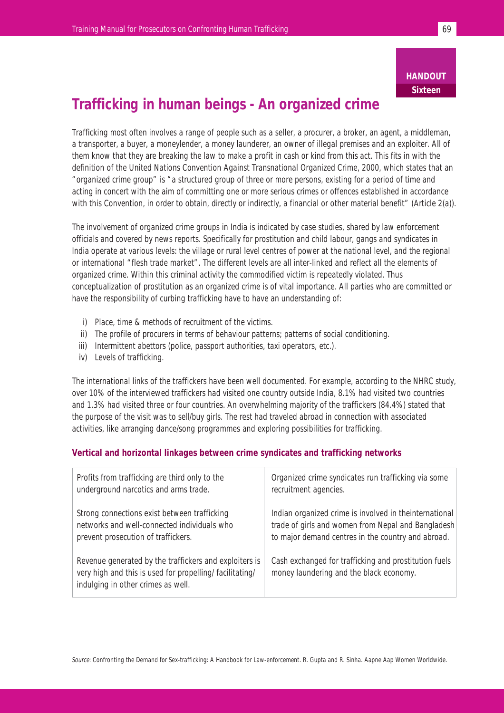### **HANDOUT Sixteen**

### **Trafficking in human beings - An organized crime**

Trafficking most often involves a range of people such as a seller, a procurer, a broker, an agent, a middleman, a transporter, a buyer, a moneylender, a money launderer, an owner of illegal premises and an exploiter. All of them know that they are breaking the law to make a profit in cash or kind from this act. This fits in with the definition of the United Nations Convention Against Transnational Organized Crime, 2000, which states that an "organized crime group" is "a structured group of three or more persons, existing for a period of time and acting in concert with the aim of committing one or more serious crimes or offences established in accordance with this Convention, in order to obtain, directly or indirectly, a financial or other material benefit" (Article 2(a)).

The involvement of organized crime groups in India is indicated by case studies, shared by law enforcement officials and covered by news reports. Specifically for prostitution and child labour, gangs and syndicates in India operate at various levels: the village or rural level centres of power at the national level, and the regional or international "flesh trade market". The different levels are all inter-linked and reflect all the elements of organized crime. Within this criminal activity the commodified victim is repeatedly violated. Thus conceptualization of prostitution as an organized crime is of vital importance. All parties who are committed or have the responsibility of curbing trafficking have to have an understanding of:

- i) Place, time & methods of recruitment of the victims.
- ii) The profile of procurers in terms of behaviour patterns; patterns of social conditioning.
- iii) Intermittent abettors (police, passport authorities, taxi operators, etc.).
- iv) Levels of trafficking.

The international links of the traffickers have been well documented. For example, according to the NHRC study, over 10% of the interviewed traffickers had visited one country outside India, 8.1% had visited two countries and 1.3% had visited three or four countries. An overwhelming majority of the traffickers (84.4%) stated that the purpose of the visit was to sell/buy girls. The rest had traveled abroad in connection with associated activities, like arranging dance/song programmes and exploring possibilities for trafficking.

### **Vertical and horizontal linkages between crime syndicates and trafficking networks**

| Profits from trafficking are third only to the                                                                                                           | Organized crime syndicates run trafficking via some                                              |
|----------------------------------------------------------------------------------------------------------------------------------------------------------|--------------------------------------------------------------------------------------------------|
| underground narcotics and arms trade.                                                                                                                    | recruitment agencies.                                                                            |
| Strong connections exist between trafficking                                                                                                             | Indian organized crime is involved in the international                                          |
| networks and well-connected individuals who                                                                                                              | trade of girls and women from Nepal and Bangladesh                                               |
| prevent prosecution of traffickers.                                                                                                                      | to major demand centres in the country and abroad.                                               |
| Revenue generated by the traffickers and exploiters is<br>very high and this is used for propelling/ facilitating/<br>indulging in other crimes as well. | Cash exchanged for trafficking and prostitution fuels<br>money laundering and the black economy. |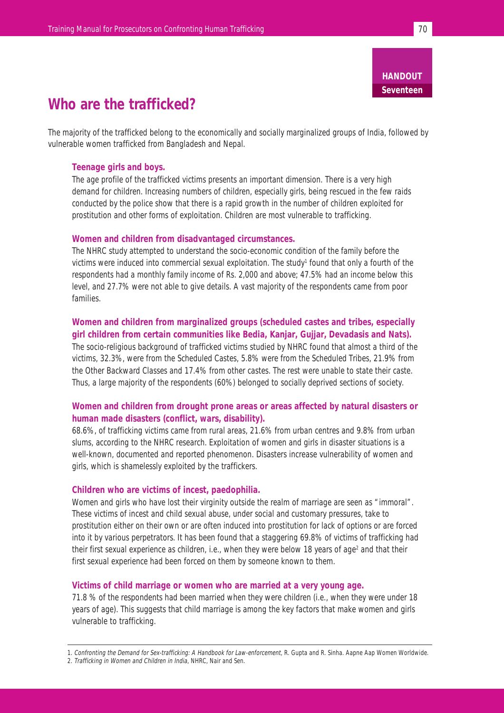### **Who are the trafficked?**

The majority of the trafficked belong to the economically and socially marginalized groups of India, followed by vulnerable women trafficked from Bangladesh and Nepal.

### **Teenage girls and boys.**

The age profile of the trafficked victims presents an important dimension. There is a very high demand for children. Increasing numbers of children, especially girls, being rescued in the few raids conducted by the police show that there is a rapid growth in the number of children exploited for prostitution and other forms of exploitation. Children are most vulnerable to trafficking.

### **Women and children from disadvantaged circumstances.**

The NHRC study attempted to understand the socio-economic condition of the family before the victims were induced into commercial sexual exploitation. The study<sup>1</sup> found that only a fourth of the respondents had a monthly family income of Rs. 2,000 and above; 47.5% had an income below this level, and 27.7% were not able to give details. A vast majority of the respondents came from poor families.

### **Women and children from marginalized groups (scheduled castes and tribes, especially girl children from certain communities like Bedia, Kanjar, Gujjar, Devadasis and Nats).**

The socio-religious background of trafficked victims studied by NHRC found that almost a third of the victims, 32.3%, were from the Scheduled Castes, 5.8% were from the Scheduled Tribes, 21.9% from the Other Backward Classes and 17.4% from other castes. The rest were unable to state their caste. Thus, a large majority of the respondents (60%) belonged to socially deprived sections of society.

### **Women and children from drought prone areas or areas affected by natural disasters or human made disasters (conflict, wars, disability).**

68.6%, of trafficking victims came from rural areas, 21.6% from urban centres and 9.8% from urban slums, according to the NHRC research. Exploitation of women and girls in disaster situations is a well-known, documented and reported phenomenon. Disasters increase vulnerability of women and girls, which is shamelessly exploited by the traffickers.

### **Children who are victims of incest, paedophilia.**

Women and girls who have lost their virginity outside the realm of marriage are seen as "immoral". These victims of incest and child sexual abuse, under social and customary pressures, take to prostitution either on their own or are often induced into prostitution for lack of options or are forced into it by various perpetrators. It has been found that a staggering 69.8% of victims of trafficking had their first sexual experience as children, i.e., when they were below 18 years of age<sup>2</sup> and that their first sexual experience had been forced on them by someone known to them.

### **Victims of child marriage or women who are married at a very young age.**

71.8 % of the respondents had been married when they were children (i.e., when they were under 18 years of age). This suggests that child marriage is among the key factors that make women and girls vulnerable to trafficking.

<sup>1.</sup> Confronting the Demand for Sex-trafficking: A Handbook for Law-enforcement, R. Gupta and R. Sinha. Aapne Aap Women Worldwide.

<sup>2.</sup> Trafficking in Women and Children in India, NHRC, Nair and Sen.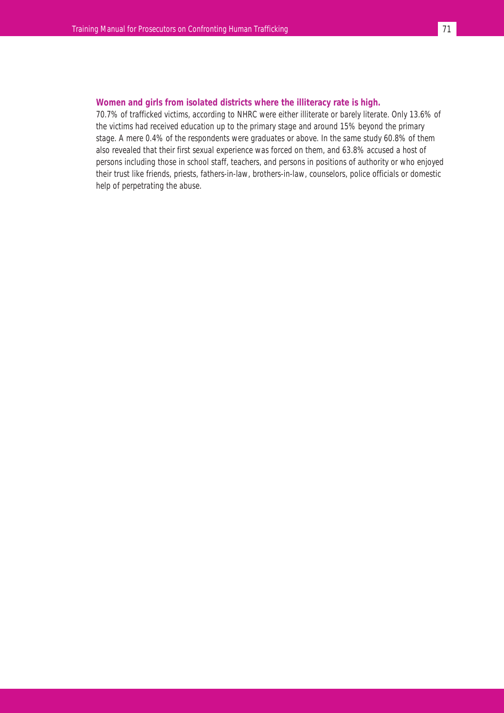### **Women and girls from isolated districts where the illiteracy rate is high.**

70.7% of trafficked victims, according to NHRC were either illiterate or barely literate. Only 13.6% of the victims had received education up to the primary stage and around 15% beyond the primary stage. A mere 0.4% of the respondents were graduates or above. In the same study 60.8% of them also revealed that their first sexual experience was forced on them, and 63.8% accused a host of persons including those in school staff, teachers, and persons in positions of authority or who enjoyed their trust like friends, priests, fathers-in-law, brothers-in-law, counselors, police officials or domestic help of perpetrating the abuse.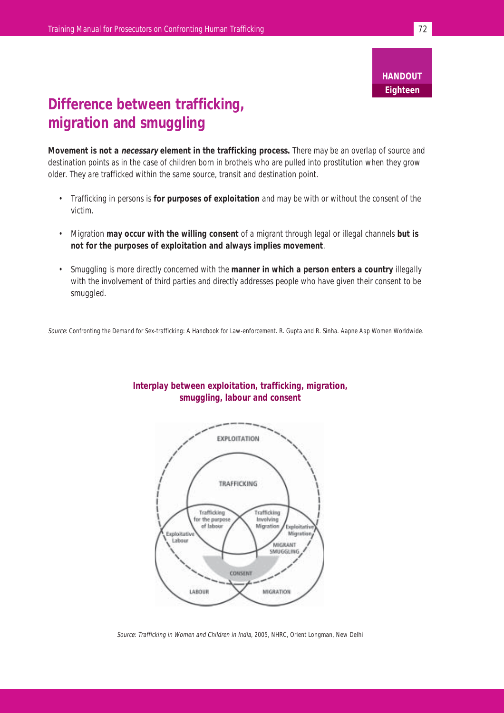### **Difference between trafficking, migration and smuggling**

**Movement is not a necessary element in the trafficking process.** There may be an overlap of source and destination points as in the case of children born in brothels who are pulled into prostitution when they grow older. They are trafficked within the same source, transit and destination point.

- Trafficking in persons is **for purposes of exploitation** and may be with or without the consent of the victim.
- Migration **may occur with the willing consent** of a migrant through legal or illegal channels **but is not for the purposes of exploitation and always implies movement**.
- Smuggling is more directly concerned with the **manner in which a person enters a country** illegally with the involvement of third parties and directly addresses people who have given their consent to be smuggled.

Source: Confronting the Demand for Sex-trafficking: A Handbook for Law-enforcement. R. Gupta and R. Sinha. Aapne Aap Women Worldwide.



### **Interplay between exploitation, trafficking, migration, smuggling, labour and consent**

Source: Trafficking in Women and Children in India, 2005, NHRC, Orient Longman, New Delhi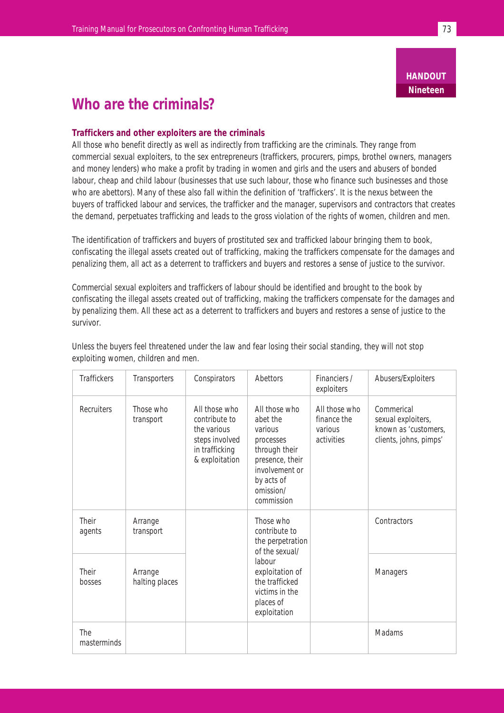### **Who are the criminals?**

#### **Traffickers and other exploiters are the criminals**

All those who benefit directly as well as indirectly from trafficking are the criminals. They range from commercial sexual exploiters, to the sex entrepreneurs (traffickers, procurers, pimps, brothel owners, managers and money lenders) who make a profit by trading in women and girls and the users and abusers of bonded labour, cheap and child labour (businesses that use such labour, those who finance such businesses and those who are abettors). Many of these also fall within the definition of 'traffickers'. It is the nexus between the buyers of trafficked labour and services, the trafficker and the manager, supervisors and contractors that creates the demand, perpetuates trafficking and leads to the gross violation of the rights of women, children and men.

The identification of traffickers and buyers of prostituted sex and trafficked labour bringing them to book, confiscating the illegal assets created out of trafficking, making the traffickers compensate for the damages and penalizing them, all act as a deterrent to traffickers and buyers and restores a sense of justice to the survivor.

Commercial sexual exploiters and traffickers of labour should be identified and brought to the book by confiscating the illegal assets created out of trafficking, making the traffickers compensate for the damages and by penalizing them. All these act as a deterrent to traffickers and buyers and restores a sense of justice to the survivor.

| <b>Traffickers</b>        | Transporters              | Conspirators                                                                                        | Abettors                                                                                                                                         | Financiers /<br>exploiters                            | Abusers/Exploiters                                                                 |
|---------------------------|---------------------------|-----------------------------------------------------------------------------------------------------|--------------------------------------------------------------------------------------------------------------------------------------------------|-------------------------------------------------------|------------------------------------------------------------------------------------|
| <b>Recruiters</b>         | Those who<br>transport    | All those who<br>contribute to<br>the various<br>steps involved<br>in trafficking<br>& exploitation | All those who<br>abet the<br>various<br>processes<br>through their<br>presence, their<br>involvement or<br>by acts of<br>omission/<br>commission | All those who<br>finance the<br>various<br>activities | Commerical<br>sexual exploiters,<br>known as 'customers,<br>clients, johns, pimps' |
| <b>Their</b><br>agents    | Arrange<br>transport      |                                                                                                     | Those who<br>contribute to<br>the perpetration<br>of the sexual/                                                                                 |                                                       | Contractors                                                                        |
| <b>Their</b><br>bosses    | Arrange<br>halting places |                                                                                                     | labour<br>exploitation of<br>the trafficked<br>victims in the<br>places of<br>exploitation                                                       |                                                       | Managers                                                                           |
| <b>The</b><br>masterminds |                           |                                                                                                     |                                                                                                                                                  |                                                       | Madams                                                                             |

Unless the buyers feel threatened under the law and fear losing their social standing, they will not stop exploiting women, children and men.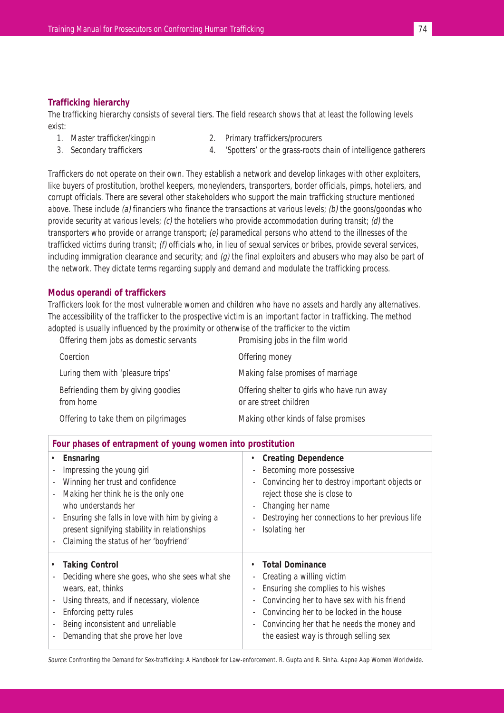#### **Trafficking hierarchy**

The trafficking hierarchy consists of several tiers. The field research shows that at least the following levels exist:

- 
- 1. Master trafficker/kingpin 2. Primary traffickers/procurers
- 
- 3. Secondary traffickers 4. 'Spotters' or the grass-roots chain of intelligence gatherers

Traffickers do not operate on their own. They establish a network and develop linkages with other exploiters, like buyers of prostitution, brothel keepers, moneylenders, transporters, border officials, pimps, hoteliers, and corrupt officials. There are several other stakeholders who support the main trafficking structure mentioned above. These include (a) financiers who finance the transactions at various levels; (b) the goons/goondas who provide security at various levels;  $(c)$  the hoteliers who provide accommodation during transit;  $(d)$  the transporters who provide or arrange transport; (e) paramedical persons who attend to the illnesses of the trafficked victims during transit; (f) officials who, in lieu of sexual services or bribes, provide several services, including immigration clearance and security; and  $(a)$  the final exploiters and abusers who may also be part of the network. They dictate terms regarding supply and demand and modulate the trafficking process.

### **Modus operandi of traffickers**

Traffickers look for the most vulnerable women and children who have no assets and hardly any alternatives. The accessibility of the trafficker to the prospective victim is an important factor in trafficking. The method adopted is usually influenced by the proximity or otherwise of the trafficker to the victim

| Offering them jobs as domestic servants         | Promising jobs in the film world                                      |
|-------------------------------------------------|-----------------------------------------------------------------------|
| Coercion                                        | Offering money                                                        |
| Luring them with 'pleasure trips'               | Making false promises of marriage                                     |
| Befriending them by giving goodies<br>from home | Offering shelter to girls who have run away<br>or are street children |
| Offering to take them on pilgrimages            | Making other kinds of false promises                                  |

| Four phases of entrapment of young women into prostitution                                                                                                                                                                                                                             |                                                                                                                                                                                                                                                                              |  |
|----------------------------------------------------------------------------------------------------------------------------------------------------------------------------------------------------------------------------------------------------------------------------------------|------------------------------------------------------------------------------------------------------------------------------------------------------------------------------------------------------------------------------------------------------------------------------|--|
| Ensnaring<br>Impressing the young girl<br>Winning her trust and confidence<br>Making her think he is the only one<br>who understands her<br>Ensuring she falls in love with him by giving a<br>present signifying stability in relationships<br>Claiming the status of her 'boyfriend' | <b>Creating Dependence</b><br>Becoming more possessive<br>Convincing her to destroy important objects or<br>reject those she is close to<br>Changing her name<br>Destroying her connections to her previous life<br>Isolating her                                            |  |
| <b>Taking Control</b><br>Deciding where she goes, who she sees what she<br>wears, eat, thinks<br>Using threats, and if necessary, violence<br>Enforcing petty rules<br>Being inconsistent and unreliable<br>Demanding that she prove her love                                          | <b>Total Dominance</b><br>Creating a willing victim<br>Ensuring she complies to his wishes<br>Convincing her to have sex with his friend<br>Convincing her to be locked in the house<br>Convincing her that he needs the money and<br>the easiest way is through selling sex |  |

Source: Confronting the Demand for Sex-trafficking: A Handbook for Law-enforcement. R. Gupta and R. Sinha. Aapne Aap Women Worldwide.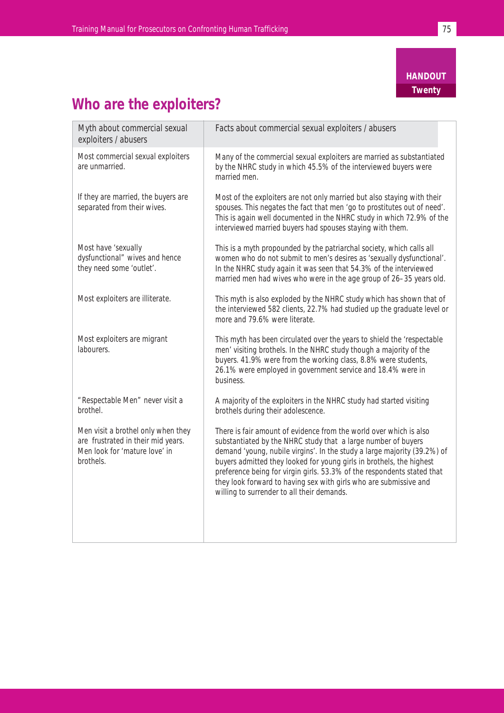

### **Who are the exploiters?**

| Facts about commercial sexual exploiters / abusers                                                                                                                                                                                                                                                                                                                                                                                                                                    |
|---------------------------------------------------------------------------------------------------------------------------------------------------------------------------------------------------------------------------------------------------------------------------------------------------------------------------------------------------------------------------------------------------------------------------------------------------------------------------------------|
| Many of the commercial sexual exploiters are married as substantiated<br>by the NHRC study in which 45.5% of the interviewed buyers were<br>married men.                                                                                                                                                                                                                                                                                                                              |
| Most of the exploiters are not only married but also staying with their<br>spouses. This negates the fact that men 'go to prostitutes out of need'.<br>This is again well documented in the NHRC study in which 72.9% of the<br>interviewed married buyers had spouses staying with them.                                                                                                                                                                                             |
| This is a myth propounded by the patriarchal society, which calls all<br>women who do not submit to men's desires as 'sexually dysfunctional'.<br>In the NHRC study again it was seen that 54.3% of the interviewed<br>married men had wives who were in the age group of 26-35 years old.                                                                                                                                                                                            |
| This myth is also exploded by the NHRC study which has shown that of<br>the interviewed 582 clients, 22.7% had studied up the graduate level or<br>more and 79.6% were literate.                                                                                                                                                                                                                                                                                                      |
| This myth has been circulated over the years to shield the 'respectable<br>men' visiting brothels. In the NHRC study though a majority of the<br>buyers. 41.9% were from the working class, 8.8% were students,<br>26.1% were employed in government service and 18.4% were in<br>business.                                                                                                                                                                                           |
| A majority of the exploiters in the NHRC study had started visiting<br>brothels during their adolescence.                                                                                                                                                                                                                                                                                                                                                                             |
| There is fair amount of evidence from the world over which is also<br>substantiated by the NHRC study that a large number of buyers<br>demand 'young, nubile virgins'. In the study a large majority (39.2%) of<br>buyers admitted they looked for young girls in brothels, the highest<br>preference being for virgin girls. 53.3% of the respondents stated that<br>they look forward to having sex with girls who are submissive and<br>willing to surrender to all their demands. |
|                                                                                                                                                                                                                                                                                                                                                                                                                                                                                       |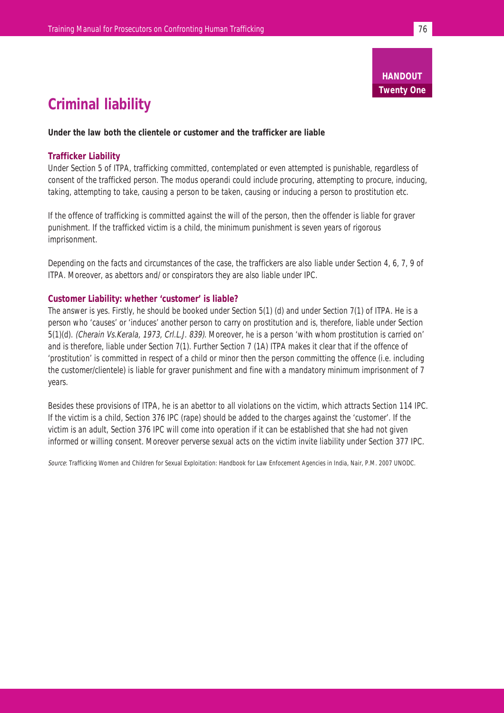### **Criminal liability**

**Under the law both the clientele or customer and the trafficker are liable**

### **Trafficker Liability**

Under Section 5 of ITPA, trafficking committed, contemplated or even attempted is punishable, regardless of consent of the trafficked person. The modus operandi could include procuring, attempting to procure, inducing, taking, attempting to take, causing a person to be taken, causing or inducing a person to prostitution etc.

If the offence of trafficking is committed against the will of the person, then the offender is liable for graver punishment. If the trafficked victim is a child, the minimum punishment is seven years of rigorous imprisonment.

Depending on the facts and circumstances of the case, the traffickers are also liable under Section 4, 6, 7, 9 of ITPA. Moreover, as abettors and/ or conspirators they are also liable under IPC.

### **Customer Liability: whether 'customer' is liable?**

The answer is yes. Firstly, he should be booked under Section 5(1) (d) and under Section 7(1) of ITPA. He is a person who 'causes' or 'induces' another person to carry on prostitution and is, therefore, liable under Section 5(1)(d). (Cherain Vs.Kerala, 1973, Crl.L.J. 839). Moreover, he is a person 'with whom prostitution is carried on' and is therefore, liable under Section 7(1). Further Section 7 (1A) ITPA makes it clear that if the offence of 'prostitution' is committed in respect of a child or minor then the person committing the offence (i.e. including the customer/clientele) is liable for graver punishment and fine with a mandatory minimum imprisonment of 7 years.

Besides these provisions of ITPA, he is an abettor to all violations on the victim, which attracts Section 114 IPC. If the victim is a child, Section 376 IPC (rape) should be added to the charges against the 'customer'. If the victim is an adult, Section 376 IPC will come into operation if it can be established that she had not given informed or willing consent. Moreover perverse sexual acts on the victim invite liability under Section 377 IPC.

Source: Trafficking Women and Children for Sexual Exploitation: Handbook for Law Enfocement Agencies in India, Nair, P.M. 2007 UNODC.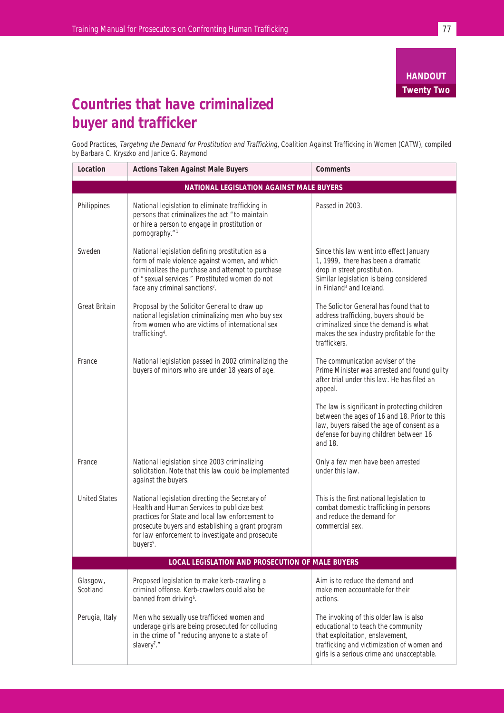**HANDOUT Twenty Two**

### **Countries that have criminalized buyer and trafficker**

Good Practices, Targeting the Demand for Prostitution and Trafficking, Coalition Against Trafficking in Women (CATW), compiled by Barbara C. Kryszko and Janice G. Raymond

| Location                                         | <b>Actions Taken Against Male Buyers</b>                                                                                                                                                                                                                                             | <b>Comments</b>                                                                                                                                                                                             |  |  |
|--------------------------------------------------|--------------------------------------------------------------------------------------------------------------------------------------------------------------------------------------------------------------------------------------------------------------------------------------|-------------------------------------------------------------------------------------------------------------------------------------------------------------------------------------------------------------|--|--|
| NATIONAL LEGISLATION AGAINST MALE BUYERS         |                                                                                                                                                                                                                                                                                      |                                                                                                                                                                                                             |  |  |
| Philippines                                      | National legislation to eliminate trafficking in<br>persons that criminalizes the act "to maintain<br>or hire a person to engage in prostitution or<br>pornography."1                                                                                                                | Passed in 2003.                                                                                                                                                                                             |  |  |
| Sweden                                           | National legislation defining prostitution as a<br>form of male violence against women, and which<br>criminalizes the purchase and attempt to purchase<br>of "sexual services." Prostituted women do not<br>face any criminal sanctions <sup>2</sup> .                               | Since this law went into effect January<br>1, 1999, there has been a dramatic<br>drop in street prostitution.<br>Similar legislation is being considered<br>in Finland <sup>3</sup> and Iceland.            |  |  |
| <b>Great Britain</b>                             | Proposal by the Solicitor General to draw up<br>national legislation criminalizing men who buy sex<br>from women who are victims of international sex<br>trafficking <sup>4</sup> .                                                                                                  | The Solicitor General has found that to<br>address trafficking, buyers should be<br>criminalized since the demand is what<br>makes the sex industry profitable for the<br>traffickers.                      |  |  |
| France                                           | National legislation passed in 2002 criminalizing the<br>buyers of minors who are under 18 years of age.                                                                                                                                                                             | The communication adviser of the<br>Prime Minister was arrested and found guilty<br>after trial under this law. He has filed an<br>appeal.                                                                  |  |  |
|                                                  |                                                                                                                                                                                                                                                                                      | The law is significant in protecting children<br>between the ages of 16 and 18. Prior to this<br>law, buyers raised the age of consent as a<br>defense for buying children between 16<br>and 18.            |  |  |
| France                                           | National legislation since 2003 criminalizing<br>solicitation. Note that this law could be implemented<br>against the buyers.                                                                                                                                                        | Only a few men have been arrested<br>under this law.                                                                                                                                                        |  |  |
| <b>United States</b>                             | National legislation directing the Secretary of<br>Health and Human Services to publicize best<br>practices for State and local law enforcement to<br>prosecute buyers and establishing a grant program<br>for law enforcement to investigate and prosecute<br>buyers <sup>5</sup> . | This is the first national legislation to<br>combat domestic trafficking in persons<br>and reduce the demand for<br>commercial sex.                                                                         |  |  |
| LOCAL LEGISLATION AND PROSECUTION OF MALE BUYERS |                                                                                                                                                                                                                                                                                      |                                                                                                                                                                                                             |  |  |
| Glasgow,<br>Scotland                             | Proposed legislation to make kerb-crawling a<br>criminal offense. Kerb-crawlers could also be<br>banned from driving <sup>6</sup> .                                                                                                                                                  | Aim is to reduce the demand and<br>make men accountable for their<br>actions.                                                                                                                               |  |  |
| Perugia, Italy                                   | Men who sexually use trafficked women and<br>underage girls are being prosecuted for colluding<br>in the crime of "reducing anyone to a state of<br>slavery <sup>7</sup> ."                                                                                                          | The invoking of this older law is also<br>educational to teach the community<br>that exploitation, enslavement,<br>trafficking and victimization of women and<br>girls is a serious crime and unacceptable. |  |  |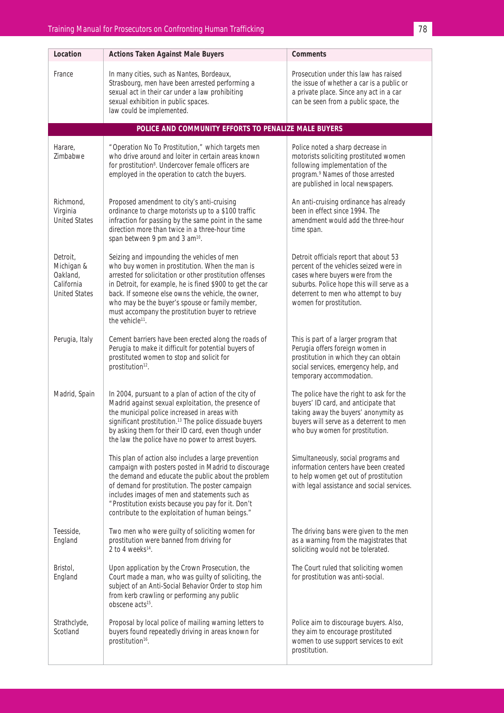| Location                                                                 | <b>Actions Taken Against Male Buyers</b>                                                                                                                                                                                                                                                                                                                                                                           | <b>Comments</b>                                                                                                                                                                                                                     |
|--------------------------------------------------------------------------|--------------------------------------------------------------------------------------------------------------------------------------------------------------------------------------------------------------------------------------------------------------------------------------------------------------------------------------------------------------------------------------------------------------------|-------------------------------------------------------------------------------------------------------------------------------------------------------------------------------------------------------------------------------------|
| France                                                                   | In many cities, such as Nantes, Bordeaux,<br>Strasbourg, men have been arrested performing a<br>sexual act in their car under a law prohibiting<br>sexual exhibition in public spaces.<br>law could be implemented.                                                                                                                                                                                                | Prosecution under this law has raised<br>the issue of whether a car is a public or<br>a private place. Since any act in a car<br>can be seen from a public space, the                                                               |
|                                                                          | POLICE AND COMMUNITY EFFORTS TO PENALIZE MALE BUYERS                                                                                                                                                                                                                                                                                                                                                               |                                                                                                                                                                                                                                     |
| Harare,<br>Zimbabwe                                                      | "Operation No To Prostitution," which targets men<br>who drive around and loiter in certain areas known<br>for prostitution <sup>8</sup> . Undercover female officers are<br>employed in the operation to catch the buyers.                                                                                                                                                                                        | Police noted a sharp decrease in<br>motorists soliciting prostituted women<br>following implementation of the<br>program. <sup>9</sup> Names of those arrested<br>are published in local newspapers.                                |
| Richmond,<br>Virginia<br><b>United States</b>                            | Proposed amendment to city's anti-cruising<br>ordinance to charge motorists up to a \$100 traffic<br>infraction for passing by the same point in the same<br>direction more than twice in a three-hour time<br>span between 9 pm and 3 am <sup>10</sup> .                                                                                                                                                          | An anti-cruising ordinance has already<br>been in effect since 1994. The<br>amendment would add the three-hour<br>time span.                                                                                                        |
| Detroit,<br>Michigan &<br>Oakland,<br>California<br><b>United States</b> | Seizing and impounding the vehicles of men<br>who buy women in prostitution. When the man is<br>arrested for solicitation or other prostitution offenses<br>in Detroit, for example, he is fined \$900 to get the car<br>back. If someone else owns the vehicle, the owner,<br>who may be the buyer's spouse or family member,<br>must accompany the prostitution buyer to retrieve<br>the vehicle <sup>11</sup> . | Detroit officials report that about 53<br>percent of the vehicles seized were in<br>cases where buyers were from the<br>suburbs. Police hope this will serve as a<br>deterrent to men who attempt to buy<br>women for prostitution. |
| Perugia, Italy                                                           | Cement barriers have been erected along the roads of<br>Perugia to make it difficult for potential buyers of<br>prostituted women to stop and solicit for<br>prostitution <sup>12</sup> .                                                                                                                                                                                                                          | This is part of a larger program that<br>Perugia offers foreign women in<br>prostitution in which they can obtain<br>social services, emergency help, and<br>temporary accommodation.                                               |
| Madrid, Spain                                                            | In 2004, pursuant to a plan of action of the city of<br>Madrid against sexual exploitation, the presence of<br>the municipal police increased in areas with<br>significant prostitution. <sup>13</sup> The police dissuade buyers<br>by asking them for their ID card, even though under<br>the law the police have no power to arrest buyers.                                                                     | The police have the right to ask for the<br>buyers' ID card, and anticipate that<br>taking away the buyers' anonymity as<br>buyers will serve as a deterrent to men<br>who buy women for prostitution.                              |
|                                                                          | This plan of action also includes a large prevention<br>campaign with posters posted in Madrid to discourage<br>the demand and educate the public about the problem<br>of demand for prostitution. The poster campaign<br>includes images of men and statements such as<br>"Prostitution exists because you pay for it. Don't<br>contribute to the exploitation of human beings."                                  | Simultaneously, social programs and<br>information centers have been created<br>to help women get out of prostitution<br>with legal assistance and social services.                                                                 |
| Teesside,<br>England                                                     | Two men who were guilty of soliciting women for<br>prostitution were banned from driving for<br>2 to 4 weeks <sup>14</sup> .                                                                                                                                                                                                                                                                                       | The driving bans were given to the men<br>as a warning from the magistrates that<br>soliciting would not be tolerated.                                                                                                              |
| Bristol,<br>England                                                      | Upon application by the Crown Prosecution, the<br>Court made a man, who was guilty of soliciting, the<br>subject of an Anti-Social Behavior Order to stop him<br>from kerb crawling or performing any public<br>obscene acts <sup>15</sup> .                                                                                                                                                                       | The Court ruled that soliciting women<br>for prostitution was anti-social.                                                                                                                                                          |
| Strathclyde,<br>Scotland                                                 | Proposal by local police of mailing warning letters to<br>buyers found repeatedly driving in areas known for<br>prostitution <sup>16</sup> .                                                                                                                                                                                                                                                                       | Police aim to discourage buyers. Also,<br>they aim to encourage prostituted<br>women to use support services to exit<br>prostitution.                                                                                               |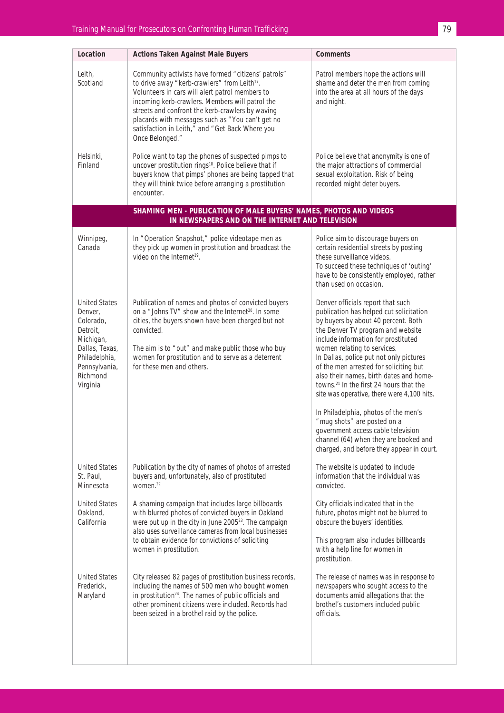| Location                                                                                                                                          | <b>Actions Taken Against Male Buyers</b>                                                                                                                                                                                                                                                                                                                                                            | Comments                                                                                                                                                                                                                                                                                                                                                                                                                                                                                                                                                                                                                                                               |
|---------------------------------------------------------------------------------------------------------------------------------------------------|-----------------------------------------------------------------------------------------------------------------------------------------------------------------------------------------------------------------------------------------------------------------------------------------------------------------------------------------------------------------------------------------------------|------------------------------------------------------------------------------------------------------------------------------------------------------------------------------------------------------------------------------------------------------------------------------------------------------------------------------------------------------------------------------------------------------------------------------------------------------------------------------------------------------------------------------------------------------------------------------------------------------------------------------------------------------------------------|
| Leith,<br>Scotland                                                                                                                                | Community activists have formed "citizens' patrols"<br>to drive away "kerb-crawlers" from Leith <sup>17</sup> .<br>Volunteers in cars will alert patrol members to<br>incoming kerb-crawlers. Members will patrol the<br>streets and confront the kerb-crawlers by waving<br>placards with messages such as "You can't get no<br>satisfaction in Leith," and "Get Back Where you<br>Once Belonged." | Patrol members hope the actions will<br>shame and deter the men from coming<br>into the area at all hours of the days<br>and night.                                                                                                                                                                                                                                                                                                                                                                                                                                                                                                                                    |
| Helsinki,<br>Finland                                                                                                                              | Police want to tap the phones of suspected pimps to<br>uncover prostitution rings <sup>18</sup> . Police believe that if<br>buyers know that pimps' phones are being tapped that<br>they will think twice before arranging a prostitution<br>encounter.                                                                                                                                             | Police believe that anonymity is one of<br>the major attractions of commercial<br>sexual exploitation. Risk of being<br>recorded might deter buyers.                                                                                                                                                                                                                                                                                                                                                                                                                                                                                                                   |
|                                                                                                                                                   | SHAMING MEN - PUBLICATION OF MALE BUYERS' NAMES, PHOTOS AND VIDEOS<br>IN NEWSPAPERS AND ON THE INTERNET AND TELEVISION                                                                                                                                                                                                                                                                              |                                                                                                                                                                                                                                                                                                                                                                                                                                                                                                                                                                                                                                                                        |
| Winnipeg,<br>Canada                                                                                                                               | In "Operation Snapshot," police videotape men as<br>they pick up women in prostitution and broadcast the<br>video on the Internet <sup>19</sup> .                                                                                                                                                                                                                                                   | Police aim to discourage buyers on<br>certain residential streets by posting<br>these surveillance videos.<br>To succeed these techniques of 'outing'<br>have to be consistently employed, rather<br>than used on occasion.                                                                                                                                                                                                                                                                                                                                                                                                                                            |
| <b>United States</b><br>Denver,<br>Colorado,<br>Detroit,<br>Michigan,<br>Dallas, Texas,<br>Philadelphia,<br>Pennsylvania,<br>Richmond<br>Virginia | Publication of names and photos of convicted buyers<br>on a "Johns TV" show and the Internet <sup>20</sup> . In some<br>cities, the buyers shown have been charged but not<br>convicted.<br>The aim is to "out" and make public those who buy<br>women for prostitution and to serve as a deterrent<br>for these men and others.                                                                    | Denver officials report that such<br>publication has helped cut solicitation<br>by buyers by about 40 percent. Both<br>the Denver TV program and website<br>include information for prostituted<br>women relating to services.<br>In Dallas, police put not only pictures<br>of the men arrested for soliciting but<br>also their names, birth dates and home-<br>towns. <sup>21</sup> In the first 24 hours that the<br>site was operative, there were 4,100 hits.<br>In Philadelphia, photos of the men's<br>"mug shots" are posted on a<br>government access cable television<br>channel (64) when they are booked and<br>charged, and before they appear in court. |
| <b>United States</b><br>St. Paul,<br>Minnesota                                                                                                    | Publication by the city of names of photos of arrested<br>buyers and, unfortunately, also of prostituted<br>women. $^{22}$                                                                                                                                                                                                                                                                          | The website is updated to include<br>information that the individual was<br>convicted.                                                                                                                                                                                                                                                                                                                                                                                                                                                                                                                                                                                 |
| <b>United States</b><br>Oakland,<br>California                                                                                                    | A shaming campaign that includes large billboards<br>with blurred photos of convicted buyers in Oakland<br>were put up in the city in June 2005 <sup>23</sup> . The campaign<br>also uses surveillance cameras from local businesses<br>to obtain evidence for convictions of soliciting<br>women in prostitution.                                                                                  | City officials indicated that in the<br>future, photos might not be blurred to<br>obscure the buyers' identities.<br>This program also includes billboards<br>with a help line for women in<br>prostitution.                                                                                                                                                                                                                                                                                                                                                                                                                                                           |
| <b>United States</b><br>Frederick,<br>Maryland                                                                                                    | City released 82 pages of prostitution business records,<br>including the names of 500 men who bought women<br>in prostitution <sup>24</sup> . The names of public officials and<br>other prominent citizens were included. Records had<br>been seized in a brothel raid by the police.                                                                                                             | The release of names was in response to<br>newspapers who sought access to the<br>documents amid allegations that the<br>brothel's customers included public<br>officials.                                                                                                                                                                                                                                                                                                                                                                                                                                                                                             |
|                                                                                                                                                   |                                                                                                                                                                                                                                                                                                                                                                                                     |                                                                                                                                                                                                                                                                                                                                                                                                                                                                                                                                                                                                                                                                        |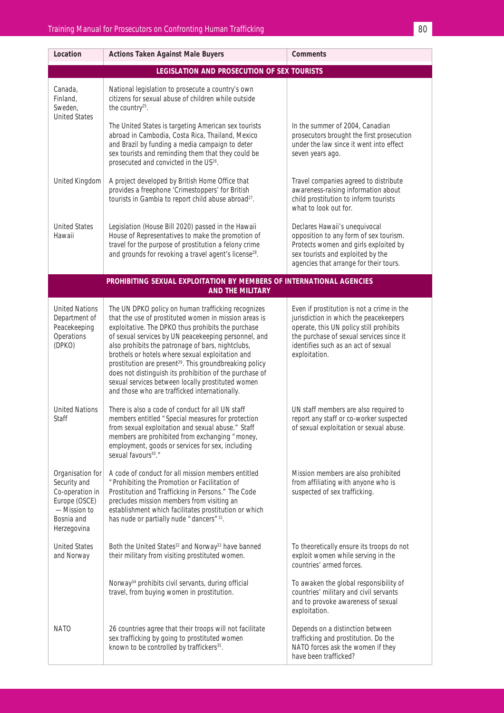| Location                                                                                                         | <b>Actions Taken Against Male Buyers</b>                                                                                                                                                                                                                                                                                                                                                                                                                                                                                                                                   | Comments                                                                                                                                                                                                                            |
|------------------------------------------------------------------------------------------------------------------|----------------------------------------------------------------------------------------------------------------------------------------------------------------------------------------------------------------------------------------------------------------------------------------------------------------------------------------------------------------------------------------------------------------------------------------------------------------------------------------------------------------------------------------------------------------------------|-------------------------------------------------------------------------------------------------------------------------------------------------------------------------------------------------------------------------------------|
|                                                                                                                  | <b>LEGISLATION AND PROSECUTION OF SEX TOURISTS</b>                                                                                                                                                                                                                                                                                                                                                                                                                                                                                                                         |                                                                                                                                                                                                                                     |
| Canada,<br>Finland,<br>Sweden,<br><b>United States</b>                                                           | National legislation to prosecute a country's own<br>citizens for sexual abuse of children while outside<br>the country <sup>25</sup> .<br>The United States is targeting American sex tourists<br>abroad in Cambodia, Costa Rica, Thailand, Mexico<br>and Brazil by funding a media campaign to deter<br>sex tourists and reminding them that they could be                                                                                                                                                                                                               | In the summer of 2004, Canadian<br>prosecutors brought the first prosecution<br>under the law since it went into effect<br>seven years ago.                                                                                         |
| United Kingdom                                                                                                   | prosecuted and convicted in the US <sup>26</sup> .<br>A project developed by British Home Office that<br>provides a freephone 'Crimestoppers' for British<br>tourists in Gambia to report child abuse abroad <sup>27</sup> .                                                                                                                                                                                                                                                                                                                                               | Travel companies agreed to distribute<br>awareness-raising information about<br>child prostitution to inform tourists<br>what to look out for.                                                                                      |
| <b>United States</b><br>Hawaii                                                                                   | Legislation (House Bill 2020) passed in the Hawaii<br>House of Representatives to make the promotion of<br>travel for the purpose of prostitution a felony crime<br>and grounds for revoking a travel agent's license <sup>28</sup> .                                                                                                                                                                                                                                                                                                                                      | Declares Hawaii's unequivocal<br>opposition to any form of sex tourism.<br>Protects women and girls exploited by<br>sex tourists and exploited by the<br>agencies that arrange for their tours.                                     |
|                                                                                                                  | PROHIBITING SEXUAL EXPLOITATION BY MEMBERS OF INTERNATIONAL AGENCIES                                                                                                                                                                                                                                                                                                                                                                                                                                                                                                       |                                                                                                                                                                                                                                     |
|                                                                                                                  | <b>AND THE MILITARY</b>                                                                                                                                                                                                                                                                                                                                                                                                                                                                                                                                                    |                                                                                                                                                                                                                                     |
| <b>United Nations</b><br>Department of<br>Peacekeeping<br>Operations<br>(DPKO)                                   | The UN DPKO policy on human trafficking recognizes<br>that the use of prostituted women in mission areas is<br>exploitative. The DPKO thus prohibits the purchase<br>of sexual services by UN peacekeeping personnel, and<br>also prohibits the patronage of bars, nightclubs,<br>brothels or hotels where sexual exploitation and<br>prostitution are present <sup>29</sup> . This groundbreaking policy<br>does not distinguish its prohibition of the purchase of<br>sexual services between locally prostituted women<br>and those who are trafficked internationally. | Even if prostitution is not a crime in the<br>jurisdiction in which the peacekeepers<br>operate, this UN policy still prohibits<br>the purchase of sexual services since it<br>identifies such as an act of sexual<br>exploitation. |
| <b>United Nations</b><br>Staff                                                                                   | There is also a code of conduct for all UN staff<br>members entitled "Special measures for protection<br>from sexual exploitation and sexual abuse." Staff<br>members are prohibited from exchanging "money,<br>employment, goods or services for sex, including<br>sexual favours <sup>30</sup> ."                                                                                                                                                                                                                                                                        | UN staff members are also required to<br>report any staff or co-worker suspected<br>of sexual exploitation or sexual abuse.                                                                                                         |
| Organisation for<br>Security and<br>Co-operation in<br>Europe (OSCE)<br>-Mission to<br>Bosnia and<br>Herzegovina | A code of conduct for all mission members entitled<br>"Prohibiting the Promotion or Facilitation of<br>Prostitution and Trafficking in Persons." The Code<br>precludes mission members from visiting an<br>establishment which facilitates prostitution or which<br>has nude or partially nude "dancers"31.                                                                                                                                                                                                                                                                | Mission members are also prohibited<br>from affiliating with anyone who is<br>suspected of sex trafficking.                                                                                                                         |
| <b>United States</b><br>and Norway                                                                               | Both the United States <sup>32</sup> and Norway <sup>33</sup> have banned<br>their military from visiting prostituted women.                                                                                                                                                                                                                                                                                                                                                                                                                                               | To theoretically ensure its troops do not<br>exploit women while serving in the<br>countries' armed forces.                                                                                                                         |
|                                                                                                                  | Norway <sup>34</sup> prohibits civil servants, during official<br>travel, from buying women in prostitution.                                                                                                                                                                                                                                                                                                                                                                                                                                                               | To awaken the global responsibility of<br>countries' military and civil servants<br>and to provoke awareness of sexual<br>exploitation.                                                                                             |
| <b>NATO</b>                                                                                                      | 26 countries agree that their troops will not facilitate<br>sex trafficking by going to prostituted women<br>known to be controlled by traffickers <sup>35</sup> .                                                                                                                                                                                                                                                                                                                                                                                                         | Depends on a distinction between<br>trafficking and prostitution. Do the<br>NATO forces ask the women if they<br>have been trafficked?                                                                                              |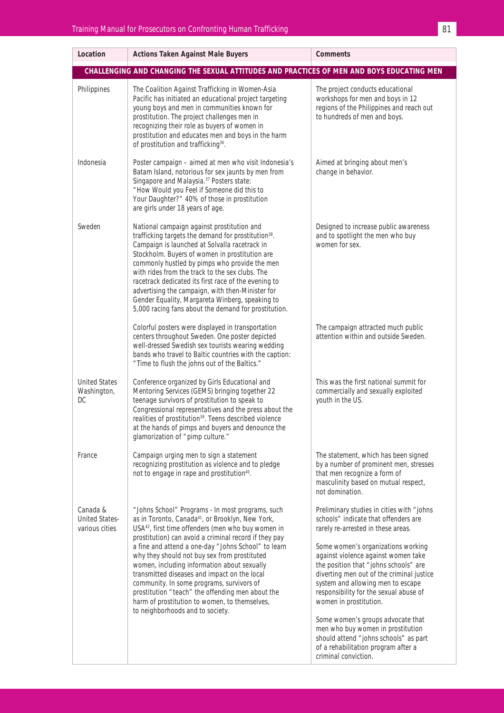| Location                                            | <b>Actions Taken Against Male Buyers</b>                                                                                                                                                                                                                                                                                                                                                                                                                                                                                                                                                                                                | Comments                                                                                                                                                                                                                                                                                                                                                                                                                                                                                                                                                                              |
|-----------------------------------------------------|-----------------------------------------------------------------------------------------------------------------------------------------------------------------------------------------------------------------------------------------------------------------------------------------------------------------------------------------------------------------------------------------------------------------------------------------------------------------------------------------------------------------------------------------------------------------------------------------------------------------------------------------|---------------------------------------------------------------------------------------------------------------------------------------------------------------------------------------------------------------------------------------------------------------------------------------------------------------------------------------------------------------------------------------------------------------------------------------------------------------------------------------------------------------------------------------------------------------------------------------|
|                                                     | CHALLENGING AND CHANGING THE SEXUAL ATTITUDES AND PRACTICES OF MEN AND BOYS EDUCATING MEN                                                                                                                                                                                                                                                                                                                                                                                                                                                                                                                                               |                                                                                                                                                                                                                                                                                                                                                                                                                                                                                                                                                                                       |
| Philippines                                         | The Coalition Against Trafficking in Women-Asia<br>Pacific has initiated an educational project targeting<br>young boys and men in communities known for<br>prostitution. The project challenges men in<br>recognizing their role as buyers of women in<br>prostitution and educates men and boys in the harm<br>of prostitution and trafficking <sup>36</sup> .                                                                                                                                                                                                                                                                        | The project conducts educational<br>workshops for men and boys in 12<br>regions of the Philippines and reach out<br>to hundreds of men and boys.                                                                                                                                                                                                                                                                                                                                                                                                                                      |
| Indonesia                                           | Poster campaign - aimed at men who visit Indonesia's<br>Batam Island, notorious for sex jaunts by men from<br>Singapore and Malaysia. <sup>37</sup> Posters state:<br>"How Would you Feel if Someone did this to<br>Your Daughter?" 40% of those in prostitution<br>are girls under 18 years of age.                                                                                                                                                                                                                                                                                                                                    | Aimed at bringing about men's<br>change in behavior.                                                                                                                                                                                                                                                                                                                                                                                                                                                                                                                                  |
| Sweden                                              | National campaign against prostitution and<br>trafficking targets the demand for prostitution <sup>38</sup> .<br>Campaign is launched at Solvalla racetrack in<br>Stockholm. Buyers of women in prostitution are<br>commonly hustled by pimps who provide the men<br>with rides from the track to the sex clubs. The<br>racetrack dedicated its first race of the evening to<br>advertising the campaign, with then-Minister for<br>Gender Equality, Margareta Winberg, speaking to<br>5,000 racing fans about the demand for prostitution.                                                                                             | Designed to increase public awareness<br>and to spotlight the men who buy<br>women for sex.                                                                                                                                                                                                                                                                                                                                                                                                                                                                                           |
|                                                     | Colorful posters were displayed in transportation<br>centers throughout Sweden. One poster depicted<br>well-dressed Swedish sex tourists wearing wedding<br>bands who travel to Baltic countries with the caption:<br>"Time to flush the johns out of the Baltics."                                                                                                                                                                                                                                                                                                                                                                     | The campaign attracted much public<br>attention within and outside Sweden.                                                                                                                                                                                                                                                                                                                                                                                                                                                                                                            |
| <b>United States</b><br>Washington,<br>DC           | Conference organized by Girls Educational and<br>Mentoring Services (GEMS) bringing together 22<br>teenage survivors of prostitution to speak to<br>Congressional representatives and the press about the<br>realities of prostitution <sup>39</sup> . Teens described violence<br>at the hands of pimps and buyers and denounce the<br>glamorization of "pimp culture."                                                                                                                                                                                                                                                                | This was the first national summit for<br>commercially and sexually exploited<br>youth in the US.                                                                                                                                                                                                                                                                                                                                                                                                                                                                                     |
| France                                              | Campaign urging men to sign a statement<br>recognizing prostitution as violence and to pledge<br>not to engage in rape and prostitution <sup>40</sup> .                                                                                                                                                                                                                                                                                                                                                                                                                                                                                 | The statement, which has been signed<br>by a number of prominent men, stresses<br>that men recognize a form of<br>masculinity based on mutual respect,<br>not domination.                                                                                                                                                                                                                                                                                                                                                                                                             |
| Canada &<br><b>United States-</b><br>various cities | "Johns School" Programs - In most programs, such<br>as in Toronto, Canada <sup>41</sup> , or Brooklyn, New York,<br>USA <sup>42</sup> , first time offenders (men who buy women in<br>prostitution) can avoid a criminal record if they pay<br>a fine and attend a one-day "Johns School" to learn<br>why they should not buy sex from prostituted<br>women, including information about sexually<br>transmitted diseases and impact on the local<br>community. In some programs, survivors of<br>prostitution "teach" the offending men about the<br>harm of prostitution to women, to themselves,<br>to neighborhoods and to society. | Preliminary studies in cities with "johns<br>schools" indicate that offenders are<br>rarely re-arrested in these areas.<br>Some women's organizations working<br>against violence against women take<br>the position that "johns schools" are<br>diverting men out of the criminal justice<br>system and allowing men to escape<br>responsibility for the sexual abuse of<br>women in prostitution.<br>Some women's groups advocate that<br>men who buy women in prostitution<br>should attend "johns schools" as part<br>of a rehabilitation program after a<br>criminal conviction. |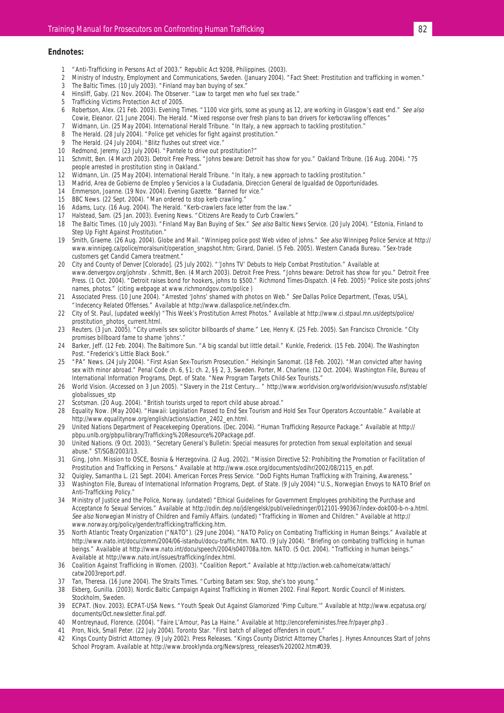#### **Endnotes:**

- 1 "Anti-Trafficking in Persons Act of 2003." Republic Act 9208, Philippines. (2003).
- 2 Ministry of Industry, Employment and Communications, Sweden. (January 2004). "Fact Sheet: Prostitution and trafficking in women."
- 3 The Baltic Times. (10 July 2003). "Finland may ban buying of sex."
- 4 Hinsliff, Gaby. (21 Nov. 2004). The Observer. "Law to target men who fuel sex trade."
- 5 Trafficking Victims Protection Act of 2005.
- 6 Robertson, Alex. (21 Feb. 2003). Evening Times. "1100 vice girls, some as young as 12, are working in Glasgow's east end." See also Cowie, Eleanor. (21 June 2004). The Herald. "Mixed response over fresh plans to ban drivers for kerbcrawling offences."
- 7 Widmann, Lin. (25 May 2004). International Herald Tribune. "In Italy, a new approach to tackling prostitution."
- 8 The Herald. (28 July 2004). "Police get vehicles for fight against prostitution."
- 9 The Herald. (24 July 2004). "Blitz flushes out street vice.
- 10 Redmond, Jeremy. (23 July 2004). "Pantele to drive out prostitution?"
- 11 Schmitt, Ben. (4 March 2003). Detroit Free Press. "Johns beware: Detroit has show for you." Oakland Tribune. (16 Aug. 2004). "75 people arrested in prostitution sting in Oakland."
- 12 Widmann, Lin. (25 May 2004). International Herald Tribune. "In Italy, a new approach to tackling prostitution."
- 13 Madrid, Area de Gobierno de Empleo y Servicios a la Ciudadania, Direccion General de Igualdad de Opportunidades.
- 14 Emmerson, Joanne. (19 Nov. 2004). Evening Gazette. "Banned for vice."
- 15 BBC News. (22 Sept. 2004). "Man ordered to stop kerb crawling."
- 16 Adams, Lucy. (16 Aug. 2004). The Herald. "Kerb-crawlers face letter from the law."
- 17 Halstead, Sam. (25 Jan. 2003). Evening News. "Citizens Are Ready to Curb Crawlers."
- 18 The Baltic Times. (10 July 2003). "Finland May Ban Buying of Sex." See also Baltic News Service. (20 July 2004). "Estonia, Finland to Step Up Fight Against Prostitution."
- 19 Smith, Graeme. (26 Aug. 2004). Globe and Mail. "Winnipeg police post Web video of johns." See also Winnipeg Police Service at http:// www.winnipeg.ca/police/moralsunit/operation\_snapshot.htm; Girard, Daniel. (5 Feb. 2005). Western Canada Bureau. "Sex-trade customers get Candid Camera treatment."
- 20 City and County of Denver [Colorado]. (25 July 2002). "'Johns TV' Debuts to Help Combat Prostitution." Available at www.denvergov.org/johnstv . Schmitt, Ben. (4 March 2003). Detroit Free Press. "Johns beware: Detroit has show for you." Detroit Free Press. (1 Oct. 2004). "Detroit raises bond for hookers, johns to \$500." Richmond Times-Dispatch. (4 Feb. 2005) "Police site posts johns' names, photos." (citing webpage at www.richmondgov.com/police )
- 21 Associated Press. (10 June 2004). "Arrested 'Johns' shamed with photos on Web." See Dallas Police Department, (Texas, USA), "Indecency Related Offenses." Available at http://www.dallaspolice.net/index.cfm.
- 22 City of St. Paul, (updated weekly) "This Week's Prostitution Arrest Photos." Available at http://www.ci.stpaul.mn.us/depts/police/ prostitution\_photos\_current.html.
- 23 Reuters. (3 Jun. 2005). "City unveils sex solicitor billboards of shame." Lee, Henry K. (25 Feb. 2005). San Francisco Chronicle. "City promises billboard fame to shame 'johns'.
- 24 Barker, Jeff. (12 Feb. 2004). The Baltimore Sun. "A big scandal but little detail." Kunkle, Frederick. (15 Feb. 2004). The Washington Post. "Frederick's Little Black Book."
- 25 "PA" News. (24 July 2004). "First Asian Sex-Tourism Prosecution." Helsingin Sanomat. (18 Feb. 2002). "Man convicted after having sex with minor abroad." Penal Code ch. 6, §1; ch. 2, §§ 2, 3, Sweden. Porter, M. Charlene. (12 Oct. 2004). Washington File, Bureau of International Information Programs, Dept. of State. "New Program Targets Child-Sex Tourists."
- 26 World Vision. (Accessed on 3 Jun 2005). "Slavery in the 21st Century…" http://www.worldvision.org/worldvision/wvususfo.nsf/stable/ globalissues\_stp
- 27 Scotsman. (20 Aug. 2004). "British tourists urged to report child abuse abroad."
- 28 Equality Now. (May 2004). "Hawaii: Legislation Passed to End Sex Tourism and Hold Sex Tour Operators Accountable." Available at http://www.equalitynow.org/english/actions/action\_2402\_en.html.
- 29 United Nations Department of Peacekeeping Operations. (Dec. 2004). "Human Trafficking Resource Package." Available at http:// pbpu.unlb.org/pbpu/library/Trafficking%20Resource%20Package.pdf.
- 30 United Nations. (9 Oct. 2003). "Secretary General's Bulletin: Special measures for protection from sexual exploitation and sexual abuse." ST/SGB/2003/13.
- 31 Ging, John. Mission to OSCE, Bosnia & Herzegovina. (2 Aug. 2002). "Mission Directive 52: Prohibiting the Promotion or Facilitation of Prostitution and Trafficking in Persons." Available at http://www.osce.org/documents/odihr/2002/08/2115\_en.pdf.
- 32 Quigley, Samantha L. (21 Sept. 2004). American Forces Press Service. "DoD Fights Human Trafficking with Training, Awareness."
- 33 Washington File, Bureau of International Information Programs, Dept. of State. (9 July 2004) "U.S., Norwegian Envoys to NATO Brief on Anti-Trafficking Policy."
- 34 Ministry of Justice and the Police, Norway. (undated) "Ethical Guidelines for Government Employees prohibiting the Purchase and Acceptance fo Sexual Services." Available at http://odin.dep.no/jd/engelsk/publ/veiledninger/012101-990367/index-dok000-b-n-a.html. See also Norwegian Ministry of Children and Family Affairs. (undated) "Trafficking in Women and Children." Available at http:// www.norway.org/policy/gender/trafficking/trafficking.htm.
- 35 North Atlantic Treaty Organization ("NATO"). (29 June 2004). "NATO Policy on Combating Trafficking in Human Beings." Available at http://www.nato.int/docu/comm/2004/06-istanbul/docu-traffic.htm. NATO. (9 July 2004). "Briefing on combating trafficking in human beings." Available at http://www.nato.int/docu/speech/2004/s040708a.htm. NATO. (5 Oct. 2004). "Trafficking in human beings." Available at http://www.nato.int/issues/trafficking/index.html.
- 36 Coalition Against Trafficking in Women. (2003). "Coalition Report." Available at http://action.web.ca/home/catw/attach/ catw2003report.pdf
- 37 Tan, Theresa. (16 June 2004). The Straits Times. "Curbing Batam sex: Stop, she's too young."
- 38 Ekberg, Gunilla. (2003). Nordic Baltic Campaign Against Trafficking in Women 2002. Final Report. Nordic Council of Ministers. Stockholm, Sweden.
- 39 ECPAT. (Nov. 2003). ECPAT-USA News. "Youth Speak Out Against Glamorized 'Pimp Culture.'" Available at http://www.ecpatusa.org/ documents/Oct.newsletter.final.pdf.
- 40 Montreynaud, Florence. (2004). "Faire L'Amour, Pas La Haine." Available at http://encorefeministes.free.fr/payer.php3 .
- 41 Pron, Nick, Small Peter. (22 July 2004). Toronto Star. "First batch of alleged offenders in court."
- 42 Kings County District Attorney. (9 July 2002). Press Releases. "Kings County District Attorney Charles J. Hynes Announces Start of Johns School Program. Available at http://www.brooklynda.org/News/press\_releases%202002.htm#039.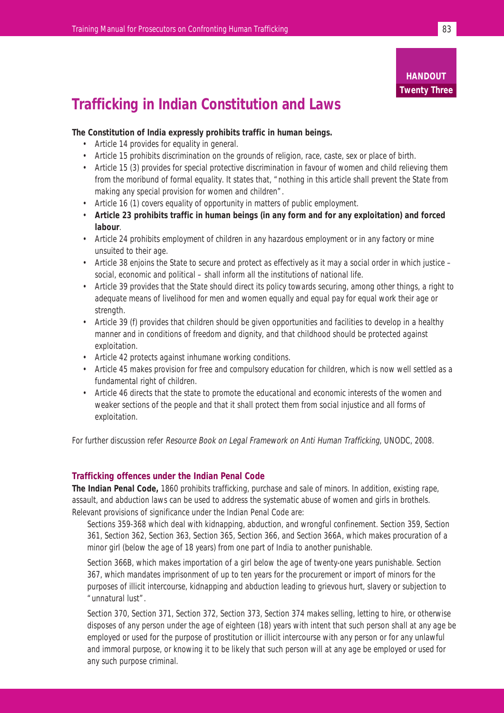### **Trafficking in Indian Constitution and Laws**

### **The Constitution of India expressly prohibits traffic in human beings.**

- Article 14 provides for equality in general.
- Article 15 prohibits discrimination on the grounds of religion, race, caste, sex or place of birth.
- Article 15 (3) provides for special protective discrimination in favour of women and child relieving them from the moribund of formal equality. It states that, "nothing in this article shall prevent the State from making any special provision for women and children".
- Article 16 (1) covers equality of opportunity in matters of public employment.
- **Article 23 prohibits traffic in human beings (in any form and for any exploitation) and forced labour**.
- Article 24 prohibits employment of children in any hazardous employment or in any factory or mine unsuited to their age.
- Article 38 enjoins the State to secure and protect as effectively as it may a social order in which justice social, economic and political – shall inform all the institutions of national life.
- Article 39 provides that the State should direct its policy towards securing, among other things, a right to adequate means of livelihood for men and women equally and equal pay for equal work their age or strength.
- Article 39 (f) provides that children should be given opportunities and facilities to develop in a healthy manner and in conditions of freedom and dignity, and that childhood should be protected against exploitation.
- Article 42 protects against inhumane working conditions.
- Article 45 makes provision for free and compulsory education for children, which is now well settled as a fundamental right of children.
- Article 46 directs that the state to promote the educational and economic interests of the women and weaker sections of the people and that it shall protect them from social injustice and all forms of exploitation.

For further discussion refer Resource Book on Legal Framework on Anti Human Trafficking, UNODC, 2008.

### **Trafficking offences under the Indian Penal Code**

**The Indian Penal Code,** 1860 prohibits trafficking, purchase and sale of minors. In addition, existing rape, assault, and abduction laws can be used to address the systematic abuse of women and girls in brothels. Relevant provisions of significance under the Indian Penal Code are:

Sections 359-368 which deal with kidnapping, abduction, and wrongful confinement. Section 359, Section 361, Section 362, Section 363, Section 365, Section 366, and Section 366A, which makes procuration of a minor girl (below the age of 18 years) from one part of India to another punishable.

Section 366B, which makes importation of a girl below the age of twenty-one years punishable. Section 367, which mandates imprisonment of up to ten years for the procurement or import of minors for the purposes of illicit intercourse, kidnapping and abduction leading to grievous hurt, slavery or subjection to "unnatural lust".

Section 370, Section 371, Section 372, Section 373, Section 374 makes selling, letting to hire, or otherwise disposes of any person under the age of eighteen (18) years with intent that such person shall at any age be employed or used for the purpose of prostitution or illicit intercourse with any person or for any unlawful and immoral purpose, or knowing it to be likely that such person will at any age be employed or used for any such purpose criminal.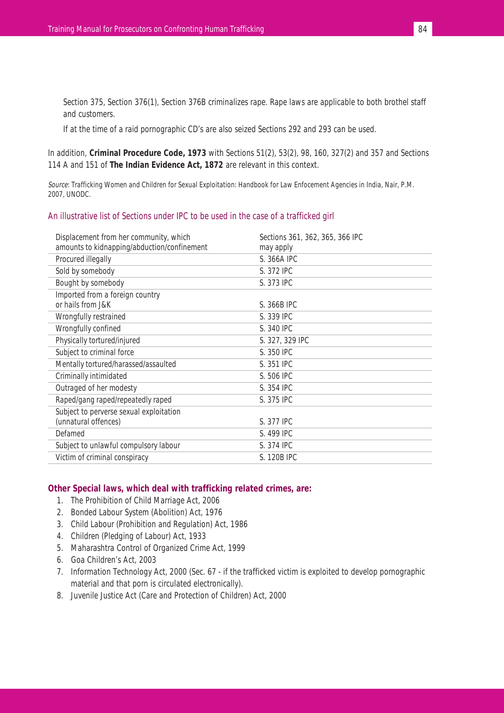Section 375, Section 376(1), Section 376B criminalizes rape. Rape laws are applicable to both brothel staff and customers.

If at the time of a raid pornographic CD's are also seized Sections 292 and 293 can be used.

In addition, **Criminal Procedure Code, 1973** with Sections 51(2), 53(2), 98, 160, 327(2) and 357 and Sections 114 A and 151 of **The Indian Evidence Act, 1872** are relevant in this context.

Source: Trafficking Women and Children for Sexual Exploitation: Handbook for Law Enfocement Agencies in India, Nair, P.M. 2007, UNODC.

#### An illustrative list of Sections under IPC to be used in the case of a trafficked girl

| Displacement from her community, which<br>amounts to kidnapping/abduction/confinement | Sections 361, 362, 365, 366 IPC<br>may apply |
|---------------------------------------------------------------------------------------|----------------------------------------------|
| Procured illegally                                                                    | S. 366A IPC                                  |
| Sold by somebody                                                                      | S. 372 IPC                                   |
| Bought by somebody                                                                    | S. 373 IPC                                   |
| Imported from a foreign country                                                       |                                              |
| or hails from J&K                                                                     | S. 366B IPC                                  |
| Wrongfully restrained                                                                 | S. 339 IPC                                   |
| Wrongfully confined                                                                   | S. 340 IPC                                   |
| Physically tortured/injured                                                           | S. 327, 329 IPC                              |
| Subject to criminal force                                                             | S. 350 IPC                                   |
| Mentally tortured/harassed/assaulted                                                  | S. 351 IPC                                   |
| Criminally intimidated                                                                | S. 506 IPC                                   |
| Outraged of her modesty                                                               | S. 354 IPC                                   |
| Raped/gang raped/repeatedly raped                                                     | S. 375 IPC                                   |
| Subject to perverse sexual exploitation                                               |                                              |
| (unnatural offences)                                                                  | S. 377 IPC                                   |
| Defamed                                                                               | S. 499 IPC                                   |
| Subject to unlawful compulsory labour                                                 | S. 374 IPC                                   |
| Victim of criminal conspiracy                                                         | S. 120B IPC                                  |

### **Other Special laws, which deal with trafficking related crimes, are:**

- 1. The Prohibition of Child Marriage Act, 2006
- 2. Bonded Labour System (Abolition) Act, 1976
- 3. Child Labour (Prohibition and Regulation) Act, 1986
- 4. Children (Pledging of Labour) Act, 1933
- 5. Maharashtra Control of Organized Crime Act, 1999
- 6. Goa Children's Act, 2003
- 7. Information Technology Act, 2000 (Sec. 67 if the trafficked victim is exploited to develop pornographic material and that porn is circulated electronically).
- 8. Juvenile Justice Act (Care and Protection of Children) Act, 2000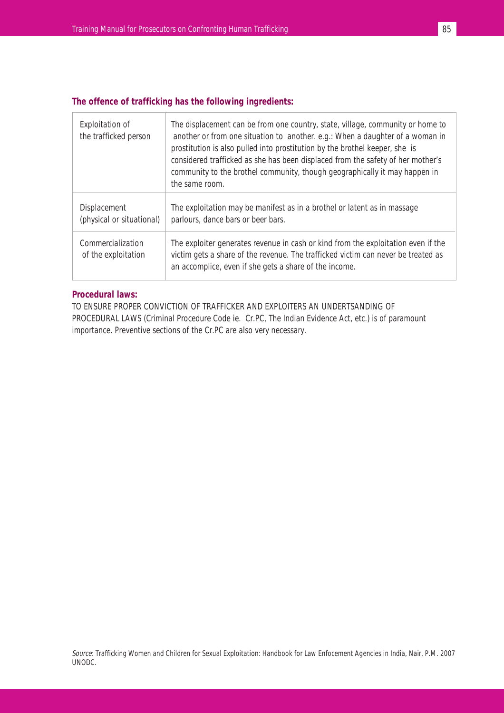| Exploitation of<br>the trafficked person         | The displacement can be from one country, state, village, community or home to<br>another or from one situation to another. e.g.: When a daughter of a woman in<br>prostitution is also pulled into prostitution by the brothel keeper, she is<br>considered trafficked as she has been displaced from the safety of her mother's<br>community to the brothel community, though geographically it may happen in<br>the same room. |
|--------------------------------------------------|-----------------------------------------------------------------------------------------------------------------------------------------------------------------------------------------------------------------------------------------------------------------------------------------------------------------------------------------------------------------------------------------------------------------------------------|
| <b>Displacement</b><br>(physical or situational) | The exploitation may be manifest as in a brothel or latent as in massage<br>parlours, dance bars or beer bars.                                                                                                                                                                                                                                                                                                                    |
| Commercialization<br>of the exploitation         | The exploiter generates revenue in cash or kind from the exploitation even if the<br>victim gets a share of the revenue. The trafficked victim can never be treated as<br>an accomplice, even if she gets a share of the income.                                                                                                                                                                                                  |

### **The offence of trafficking has the following ingredients:**

### **Procedural laws:**

TO ENSURE PROPER CONVICTION OF TRAFFICKER AND EXPLOITERS AN UNDERTSANDING OF PROCEDURAL LAWS (Criminal Procedure Code ie. Cr.PC, The Indian Evidence Act, etc.) is of paramount importance. Preventive sections of the Cr.PC are also very necessary.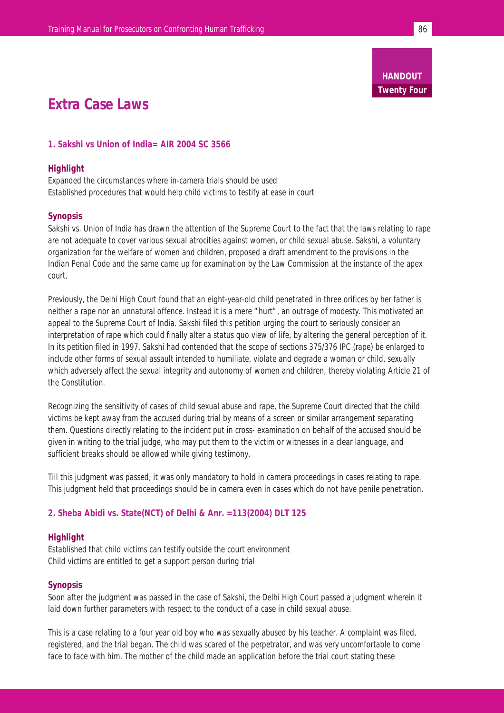### **Extra Case Laws**

### **1. Sakshi vs Union of India= AIR 2004 SC 3566**

### **Highlight**

Expanded the circumstances where in-camera trials should be used Established procedures that would help child victims to testify at ease in court

#### **Synopsis**

Sakshi vs. Union of India has drawn the attention of the Supreme Court to the fact that the laws relating to rape are not adequate to cover various sexual atrocities against women, or child sexual abuse. Sakshi, a voluntary organization for the welfare of women and children, proposed a draft amendment to the provisions in the Indian Penal Code and the same came up for examination by the Law Commission at the instance of the apex court.

Previously, the Delhi High Court found that an eight-year-old child penetrated in three orifices by her father is neither a rape nor an unnatural offence. Instead it is a mere "hurt", an outrage of modesty. This motivated an appeal to the Supreme Court of India. Sakshi filed this petition urging the court to seriously consider an interpretation of rape which could finally alter a status quo view of life, by altering the general perception of it. In its petition filed in 1997, Sakshi had contended that the scope of sections 375/376 IPC (rape) be enlarged to include other forms of sexual assault intended to humiliate, violate and degrade a woman or child, sexually which adversely affect the sexual integrity and autonomy of women and children, thereby violating Article 21 of the Constitution.

Recognizing the sensitivity of cases of child sexual abuse and rape, the Supreme Court directed that the child victims be kept away from the accused during trial by means of a screen or similar arrangement separating them. Questions directly relating to the incident put in cross- examination on behalf of the accused should be given in writing to the trial judge, who may put them to the victim or witnesses in a clear language, and sufficient breaks should be allowed while giving testimony.

Till this judgment was passed, it was only mandatory to hold in camera proceedings in cases relating to rape. This judgment held that proceedings should be in camera even in cases which do not have penile penetration.

#### **2. Sheba Abidi vs. State(NCT) of Delhi & Anr. =113(2004) DLT 125**

#### **Highlight**

Established that child victims can testify outside the court environment Child victims are entitled to get a support person during trial

### **Synopsis**

Soon after the judgment was passed in the case of Sakshi, the Delhi High Court passed a judgment wherein it laid down further parameters with respect to the conduct of a case in child sexual abuse.

This is a case relating to a four year old boy who was sexually abused by his teacher. A complaint was filed, registered, and the trial began. The child was scared of the perpetrator, and was very uncomfortable to come face to face with him. The mother of the child made an application before the trial court stating these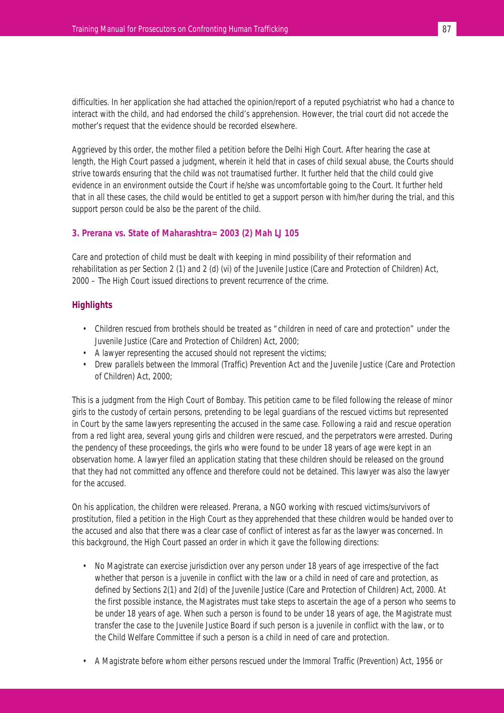difficulties. In her application she had attached the opinion/report of a reputed psychiatrist who had a chance to interact with the child, and had endorsed the child's apprehension. However, the trial court did not accede the mother's request that the evidence should be recorded elsewhere.

Aggrieved by this order, the mother filed a petition before the Delhi High Court. After hearing the case at length, the High Court passed a judgment, wherein it held that in cases of child sexual abuse, the Courts should strive towards ensuring that the child was not traumatised further. It further held that the child could give evidence in an environment outside the Court if he/she was uncomfortable going to the Court. It further held that in all these cases, the child would be entitled to get a support person with him/her during the trial, and this support person could be also be the parent of the child.

#### **3. Prerana vs. State of Maharashtra= 2003 (2) Mah LJ 105**

Care and protection of child must be dealt with keeping in mind possibility of their reformation and rehabilitation as per Section 2 (1) and 2 (d) (vi) of the Juvenile Justice (Care and Protection of Children) Act, 2000 – The High Court issued directions to prevent recurrence of the crime.

### **Highlights**

- Children rescued from brothels should be treated as "children in need of care and protection" under the Juvenile Justice (Care and Protection of Children) Act, 2000;
- A lawyer representing the accused should not represent the victims;
- Drew parallels between the Immoral (Traffic) Prevention Act and the Juvenile Justice (Care and Protection of Children) Act, 2000;

This is a judgment from the High Court of Bombay. This petition came to be filed following the release of minor girls to the custody of certain persons, pretending to be legal guardians of the rescued victims but represented in Court by the same lawyers representing the accused in the same case. Following a raid and rescue operation from a red light area, several young girls and children were rescued, and the perpetrators were arrested. During the pendency of these proceedings, the girls who were found to be under 18 years of age were kept in an observation home. A lawyer filed an application stating that these children should be released on the ground that they had not committed any offence and therefore could not be detained. This lawyer was also the lawyer for the accused.

On his application, the children were released. Prerana, a NGO working with rescued victims/survivors of prostitution, filed a petition in the High Court as they apprehended that these children would be handed over to the accused and also that there was a clear case of conflict of interest as far as the lawyer was concerned. In this background, the High Court passed an order in which it gave the following directions:

- No Magistrate can exercise jurisdiction over any person under 18 years of age irrespective of the fact whether that person is a juvenile in conflict with the law or a child in need of care and protection, as defined by Sections 2(1) and 2(d) of the Juvenile Justice (Care and Protection of Children) Act, 2000. At the first possible instance, the Magistrates must take steps to ascertain the age of a person who seems to be under 18 years of age. When such a person is found to be under 18 years of age, the Magistrate must transfer the case to the Juvenile Justice Board if such person is a juvenile in conflict with the law, or to the Child Welfare Committee if such a person is a child in need of care and protection.
- A Magistrate before whom either persons rescued under the Immoral Traffic (Prevention) Act, 1956 or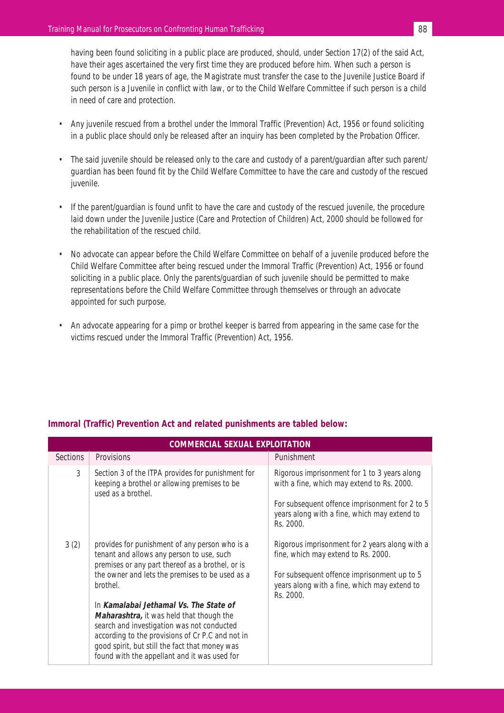having been found soliciting in a public place are produced, should, under Section 17(2) of the said Act, have their ages ascertained the very first time they are produced before him. When such a person is found to be under 18 years of age, the Magistrate must transfer the case to the Juvenile Justice Board if such person is a Juvenile in conflict with law, or to the Child Welfare Committee if such person is a child in need of care and protection.

- Any juvenile rescued from a brothel under the Immoral Traffic (Prevention) Act, 1956 or found soliciting in a public place should only be released after an inquiry has been completed by the Probation Officer.
- The said juvenile should be released only to the care and custody of a parent/guardian after such parent/ guardian has been found fit by the Child Welfare Committee to have the care and custody of the rescued juvenile.
- If the parent/guardian is found unfit to have the care and custody of the rescued juvenile, the procedure laid down under the Juvenile Justice (Care and Protection of Children) Act, 2000 should be followed for the rehabilitation of the rescued child.
- No advocate can appear before the Child Welfare Committee on behalf of a juvenile produced before the Child Welfare Committee after being rescued under the Immoral Traffic (Prevention) Act, 1956 or found soliciting in a public place. Only the parents/guardian of such juvenile should be permitted to make representations before the Child Welfare Committee through themselves or through an advocate appointed for such purpose.
- An advocate appearing for a pimp or brothel keeper is barred from appearing in the same case for the victims rescued under the Immoral Traffic (Prevention) Act, 1956.

| <b>COMMERCIAL SEXUAL EXPLOITATION</b> |                                                                                                                                                                                                                                                                                                                                                                                                                                                                                                          |                                                                                                                                                                                                                |  |
|---------------------------------------|----------------------------------------------------------------------------------------------------------------------------------------------------------------------------------------------------------------------------------------------------------------------------------------------------------------------------------------------------------------------------------------------------------------------------------------------------------------------------------------------------------|----------------------------------------------------------------------------------------------------------------------------------------------------------------------------------------------------------------|--|
| <b>Sections</b>                       | Provisions                                                                                                                                                                                                                                                                                                                                                                                                                                                                                               | Punishment                                                                                                                                                                                                     |  |
| 3                                     | Section 3 of the ITPA provides for punishment for<br>keeping a brothel or allowing premises to be<br>used as a brothel.                                                                                                                                                                                                                                                                                                                                                                                  | Rigorous imprisonment for 1 to 3 years along<br>with a fine, which may extend to Rs. 2000.<br>For subsequent offence imprisonment for 2 to 5<br>years along with a fine, which may extend to                   |  |
| 3(2)                                  | provides for punishment of any person who is a<br>tenant and allows any person to use, such<br>premises or any part thereof as a brothel, or is<br>the owner and lets the premises to be used as a<br>brothel.<br>In Kamalabai Jethamal Vs. The State of<br>Maharashtra, it was held that though the<br>search and investigation was not conducted<br>according to the provisions of Cr P.C and not in<br>good spirit, but still the fact that money was<br>found with the appellant and it was used for | Rs. 2000.<br>Rigorous imprisonment for 2 years along with a<br>fine, which may extend to Rs. 2000.<br>For subsequent offence imprisonment up to 5<br>years along with a fine, which may extend to<br>Rs. 2000. |  |

### **Immoral (Traffic) Prevention Act and related punishments are tabled below:**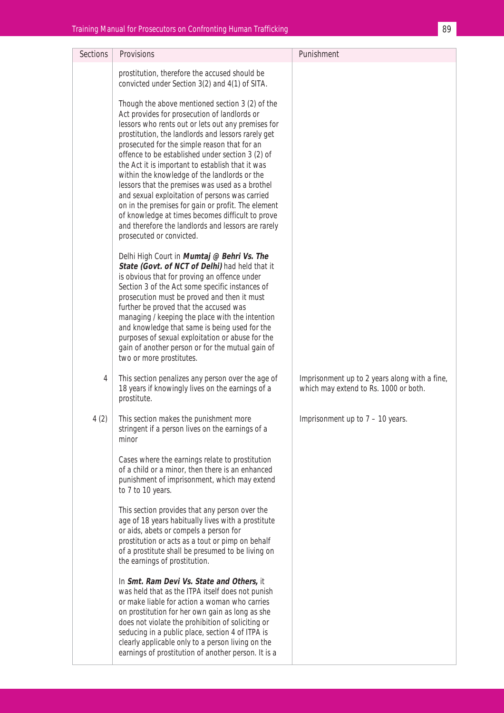| Sections | Provisions                                                                                                                                                                                                                                                                                                                                                                                                                                                                                                                                                                                                                                                                                                           | Punishment                                                                             |
|----------|----------------------------------------------------------------------------------------------------------------------------------------------------------------------------------------------------------------------------------------------------------------------------------------------------------------------------------------------------------------------------------------------------------------------------------------------------------------------------------------------------------------------------------------------------------------------------------------------------------------------------------------------------------------------------------------------------------------------|----------------------------------------------------------------------------------------|
|          | prostitution, therefore the accused should be<br>convicted under Section 3(2) and 4(1) of SITA.                                                                                                                                                                                                                                                                                                                                                                                                                                                                                                                                                                                                                      |                                                                                        |
|          | Though the above mentioned section 3 (2) of the<br>Act provides for prosecution of landlords or<br>lessors who rents out or lets out any premises for<br>prostitution, the landlords and lessors rarely get<br>prosecuted for the simple reason that for an<br>offence to be established under section 3 (2) of<br>the Act it is important to establish that it was<br>within the knowledge of the landlords or the<br>lessors that the premises was used as a brothel<br>and sexual exploitation of persons was carried<br>on in the premises for gain or profit. The element<br>of knowledge at times becomes difficult to prove<br>and therefore the landlords and lessors are rarely<br>prosecuted or convicted. |                                                                                        |
|          | Delhi High Court in Mumtaj @ Behri Vs. The<br>State (Govt. of NCT of Delhi) had held that it<br>is obvious that for proving an offence under<br>Section 3 of the Act some specific instances of<br>prosecution must be proved and then it must<br>further be proved that the accused was<br>managing / keeping the place with the intention<br>and knowledge that same is being used for the<br>purposes of sexual exploitation or abuse for the<br>gain of another person or for the mutual gain of<br>two or more prostitutes.                                                                                                                                                                                     |                                                                                        |
| 4        | This section penalizes any person over the age of<br>18 years if knowingly lives on the earnings of a<br>prostitute.                                                                                                                                                                                                                                                                                                                                                                                                                                                                                                                                                                                                 | Imprisonment up to 2 years along with a fine,<br>which may extend to Rs. 1000 or both. |
| 4(2)     | This section makes the punishment more<br>stringent if a person lives on the earnings of a<br>minor                                                                                                                                                                                                                                                                                                                                                                                                                                                                                                                                                                                                                  | Imprisonment up to $7 - 10$ years.                                                     |
|          | Cases where the earnings relate to prostitution<br>of a child or a minor, then there is an enhanced<br>punishment of imprisonment, which may extend<br>to 7 to 10 years.                                                                                                                                                                                                                                                                                                                                                                                                                                                                                                                                             |                                                                                        |
|          | This section provides that any person over the<br>age of 18 years habitually lives with a prostitute<br>or aids, abets or compels a person for<br>prostitution or acts as a tout or pimp on behalf<br>of a prostitute shall be presumed to be living on<br>the earnings of prostitution.                                                                                                                                                                                                                                                                                                                                                                                                                             |                                                                                        |
|          | In Smt. Ram Devi Vs. State and Others, it<br>was held that as the ITPA itself does not punish<br>or make liable for action a woman who carries<br>on prostitution for her own gain as long as she<br>does not violate the prohibition of soliciting or<br>seducing in a public place, section 4 of ITPA is<br>clearly applicable only to a person living on the<br>earnings of prostitution of another person. It is a                                                                                                                                                                                                                                                                                               |                                                                                        |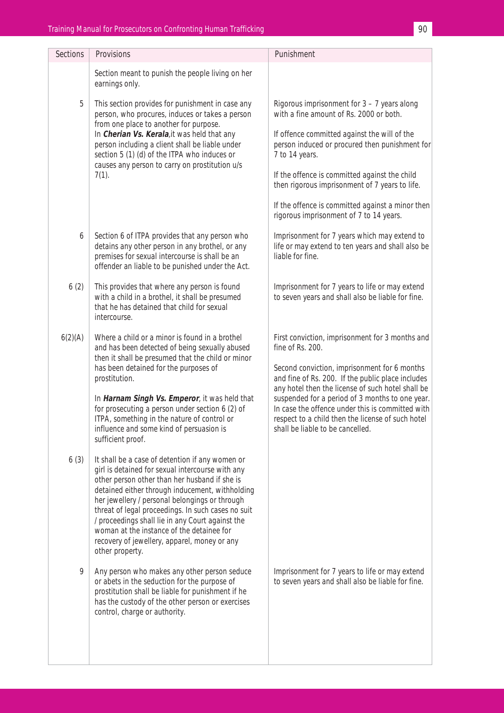| Sections | Provisions                                                                                                                                                                                                                                                                                                                                                                                                                                                                          | Punishment                                                                                                                                                                                                                                                                                                                                                                                                                    |
|----------|-------------------------------------------------------------------------------------------------------------------------------------------------------------------------------------------------------------------------------------------------------------------------------------------------------------------------------------------------------------------------------------------------------------------------------------------------------------------------------------|-------------------------------------------------------------------------------------------------------------------------------------------------------------------------------------------------------------------------------------------------------------------------------------------------------------------------------------------------------------------------------------------------------------------------------|
|          | Section meant to punish the people living on her<br>earnings only.                                                                                                                                                                                                                                                                                                                                                                                                                  |                                                                                                                                                                                                                                                                                                                                                                                                                               |
| 5        | This section provides for punishment in case any<br>person, who procures, induces or takes a person<br>from one place to another for purpose.<br>In Cherian Vs. Kerala, it was held that any<br>person including a client shall be liable under<br>section 5 (1) (d) of the ITPA who induces or<br>causes any person to carry on prostitution u/s<br>$7(1)$ .                                                                                                                       | Rigorous imprisonment for $3 - 7$ years along<br>with a fine amount of Rs. 2000 or both.<br>If offence committed against the will of the<br>person induced or procured then punishment for<br>7 to 14 years.<br>If the offence is committed against the child<br>then rigorous imprisonment of 7 years to life.<br>If the offence is committed against a minor then<br>rigorous imprisonment of 7 to 14 years.                |
| 6        | Section 6 of ITPA provides that any person who<br>detains any other person in any brothel, or any<br>premises for sexual intercourse is shall be an<br>offender an liable to be punished under the Act.                                                                                                                                                                                                                                                                             | Imprisonment for 7 years which may extend to<br>life or may extend to ten years and shall also be<br>liable for fine.                                                                                                                                                                                                                                                                                                         |
| 6(2)     | This provides that where any person is found<br>with a child in a brothel, it shall be presumed<br>that he has detained that child for sexual<br>intercourse.                                                                                                                                                                                                                                                                                                                       | Imprisonment for 7 years to life or may extend<br>to seven years and shall also be liable for fine.                                                                                                                                                                                                                                                                                                                           |
| 6(2)(A)  | Where a child or a minor is found in a brothel<br>and has been detected of being sexually abused<br>then it shall be presumed that the child or minor<br>has been detained for the purposes of<br>prostitution.<br>In Harnam Singh Vs. Emperor, it was held that<br>for prosecuting a person under section 6 (2) of<br>ITPA, something in the nature of control or<br>influence and some kind of persuasion is<br>sufficient proof.                                                 | First conviction, imprisonment for 3 months and<br>fine of Rs. 200.<br>Second conviction, imprisonment for 6 months<br>and fine of Rs. 200. If the public place includes<br>any hotel then the license of such hotel shall be<br>suspended for a period of 3 months to one year.<br>In case the offence under this is committed with<br>respect to a child then the license of such hotel<br>shall be liable to be cancelled. |
| 6(3)     | It shall be a case of detention if any women or<br>girl is detained for sexual intercourse with any<br>other person other than her husband if she is<br>detained either through inducement, withholding<br>her jewellery / personal belongings or through<br>threat of legal proceedings. In such cases no suit<br>/ proceedings shall lie in any Court against the<br>woman at the instance of the detainee for<br>recovery of jewellery, apparel, money or any<br>other property. |                                                                                                                                                                                                                                                                                                                                                                                                                               |
| 9        | Any person who makes any other person seduce<br>or abets in the seduction for the purpose of<br>prostitution shall be liable for punishment if he<br>has the custody of the other person or exercises<br>control, charge or authority.                                                                                                                                                                                                                                              | Imprisonment for 7 years to life or may extend<br>to seven years and shall also be liable for fine.                                                                                                                                                                                                                                                                                                                           |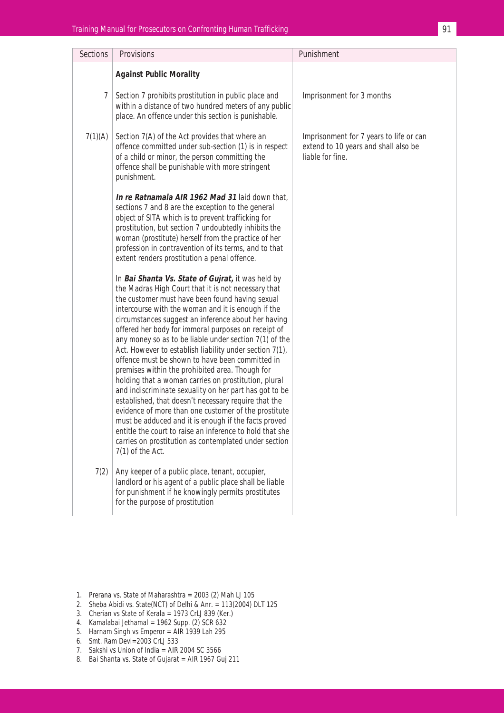| Sections | Provisions                                                                                                                                                                                                                                                                                                                                                                                                                                                                                                                                                                                                                                                                                                                                                                                                                                                                                                                                                                                      | Punishment                                                                                          |
|----------|-------------------------------------------------------------------------------------------------------------------------------------------------------------------------------------------------------------------------------------------------------------------------------------------------------------------------------------------------------------------------------------------------------------------------------------------------------------------------------------------------------------------------------------------------------------------------------------------------------------------------------------------------------------------------------------------------------------------------------------------------------------------------------------------------------------------------------------------------------------------------------------------------------------------------------------------------------------------------------------------------|-----------------------------------------------------------------------------------------------------|
|          | <b>Against Public Morality</b>                                                                                                                                                                                                                                                                                                                                                                                                                                                                                                                                                                                                                                                                                                                                                                                                                                                                                                                                                                  |                                                                                                     |
| 7        | Section 7 prohibits prostitution in public place and<br>within a distance of two hundred meters of any public<br>place. An offence under this section is punishable.                                                                                                                                                                                                                                                                                                                                                                                                                                                                                                                                                                                                                                                                                                                                                                                                                            | Imprisonment for 3 months                                                                           |
| 7(1)(A)  | Section 7(A) of the Act provides that where an<br>offence committed under sub-section (1) is in respect<br>of a child or minor, the person committing the<br>offence shall be punishable with more stringent<br>punishment.                                                                                                                                                                                                                                                                                                                                                                                                                                                                                                                                                                                                                                                                                                                                                                     | Imprisonment for 7 years to life or can<br>extend to 10 years and shall also be<br>liable for fine. |
|          | In re Ratnamala AIR 1962 Mad 31 laid down that,<br>sections 7 and 8 are the exception to the general<br>object of SITA which is to prevent trafficking for<br>prostitution, but section 7 undoubtedly inhibits the<br>woman (prostitute) herself from the practice of her<br>profession in contravention of its terms, and to that<br>extent renders prostitution a penal offence.                                                                                                                                                                                                                                                                                                                                                                                                                                                                                                                                                                                                              |                                                                                                     |
|          | In Bai Shanta Vs. State of Gujrat, it was held by<br>the Madras High Court that it is not necessary that<br>the customer must have been found having sexual<br>intercourse with the woman and it is enough if the<br>circumstances suggest an inference about her having<br>offered her body for immoral purposes on receipt of<br>any money so as to be liable under section 7(1) of the<br>Act. However to establish liability under section 7(1),<br>offence must be shown to have been committed in<br>premises within the prohibited area. Though for<br>holding that a woman carries on prostitution, plural<br>and indiscriminate sexuality on her part has got to be<br>established, that doesn't necessary require that the<br>evidence of more than one customer of the prostitute<br>must be adduced and it is enough if the facts proved<br>entitle the court to raise an inference to hold that she<br>carries on prostitution as contemplated under section<br>$7(1)$ of the Act. |                                                                                                     |
| 7(2)     | Any keeper of a public place, tenant, occupier,<br>landlord or his agent of a public place shall be liable<br>for punishment if he knowingly permits prostitutes<br>for the purpose of prostitution                                                                                                                                                                                                                                                                                                                                                                                                                                                                                                                                                                                                                                                                                                                                                                                             |                                                                                                     |

- 1. Prerana vs. State of Maharashtra = 2003 (2) Mah LJ 105
- 2. Sheba Abidi vs. State(NCT) of Delhi & Anr. = 113(2004) DLT 125
- 3. Cherian vs State of Kerala = 1973 CrLJ 839 (Ker.)
- 4. Kamalabai Jethamal = 1962 Supp. (2) SCR 632
- 5. Harnam Singh vs Emperor = AIR 1939 Lah 295
- 6. Smt. Ram Devi=2003 CrLJ 533
- 7. Sakshi vs Union of India = AIR 2004 SC 3566
- 8. Bai Shanta vs. State of Gujarat = AIR 1967 Guj 211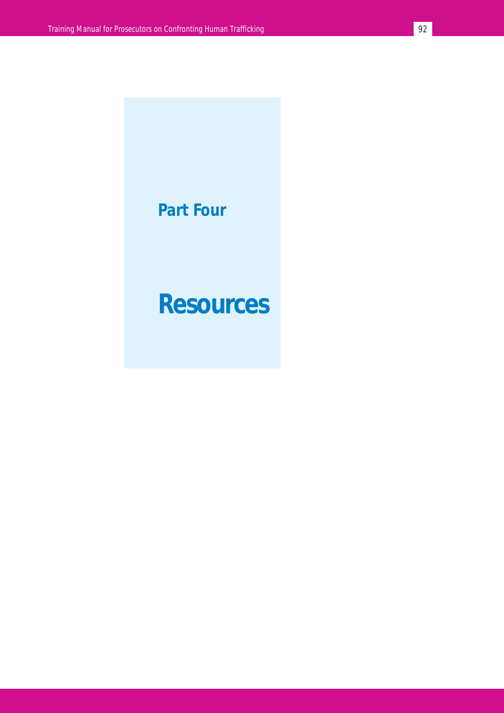## **Part Four**

# **Resources**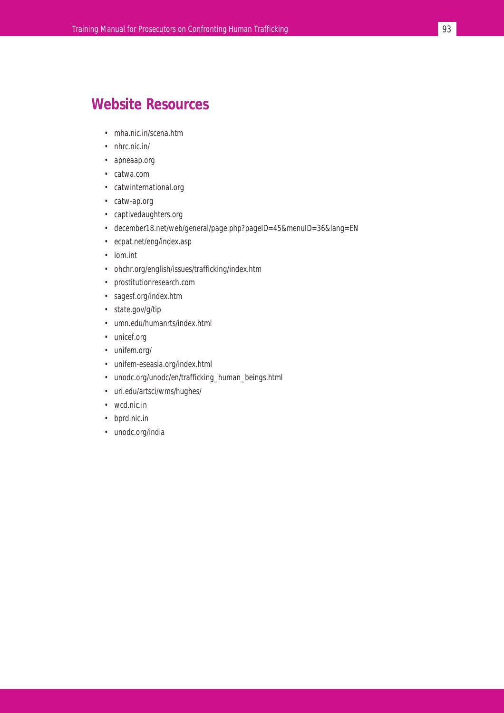### **Website Resources**

- mha.nic.in/scena.htm
- nhrc.nic.in/
- apneaap.org
- catwa.com
- catwinternational.org
- catw-ap.org
- captivedaughters.org
- december18.net/web/general/page.php?pageID=45&menuID=36&lang=EN
- ecpat.net/eng/index.asp
- iom.int
- ohchr.org/english/issues/trafficking/index.htm
- prostitutionresearch.com
- sagesf.org/index.htm
- state.gov/g/tip
- umn.edu/humanrts/index.html
- unicef.org
- unifem.org/
- unifem-eseasia.org/index.html
- unodc.org/unodc/en/trafficking\_human\_beings.html
- uri.edu/artsci/wms/hughes/
- wcd.nic.in
- bprd.nic.in
- unodc.org/india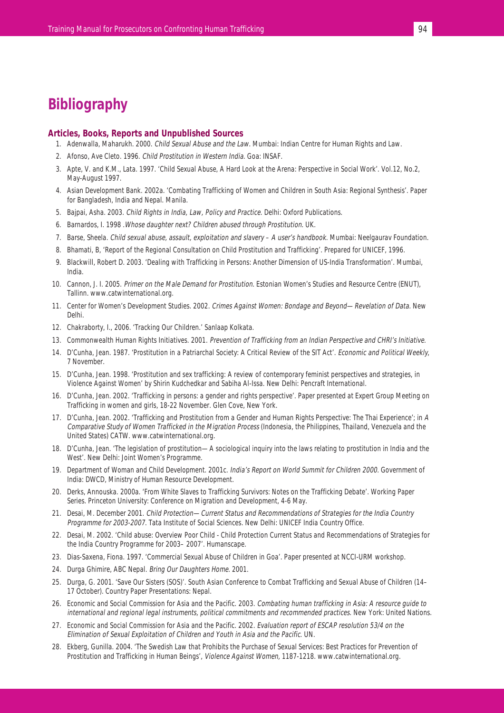### **Bibliography**

#### **Articles, Books, Reports and Unpublished Sources**

- 1. Adenwalla, Maharukh. 2000. Child Sexual Abuse and the Law. Mumbai: Indian Centre for Human Rights and Law.
- 2. Afonso, Ave Cleto. 1996. Child Prostitution in Western India. Goa: INSAF.
- 3. Apte, V. and K.M., Lata. 1997. 'Child Sexual Abuse, A Hard Look at the Arena: Perspective in Social Work'. Vol.12, No.2, May-August 1997.
- 4. Asian Development Bank. 2002a. 'Combating Trafficking of Women and Children in South Asia: Regional Synthesis'. Paper for Bangladesh, India and Nepal. Manila.
- 5. Bajpai, Asha. 2003. Child Rights in India, Law, Policy and Practice. Delhi: Oxford Publications.
- 6. Barnardos, I. 1998 .Whose daughter next? Children abused through Prostitution. UK.
- 7. Barse, Sheela, Child sexual abuse, assault, exploitation and slavery A user's handbook. Mumbai: Neelgauray Foundation.
- 8. Bhamati, B, 'Report of the Regional Consultation on Child Prostitution and Trafficking'. Prepared for UNICEF, 1996.
- 9. Blackwill, Robert D. 2003. 'Dealing with Trafficking in Persons: Another Dimension of US-India Transformation'. Mumbai, India.
- 10. Cannon, J. I. 2005. Primer on the Male Demand for Prostitution. Estonian Women's Studies and Resource Centre (ENUT), Tallinn. www.catwinternational.org.
- 11. Center for Women's Development Studies. 2002. Crimes Against Women: Bondage and Beyond—Revelation of Data. New Delhi.
- 12. Chakraborty, I., 2006. 'Tracking Our Children.' Sanlaap Kolkata.
- 13. Commonwealth Human Rights Initiatives. 2001. Prevention of Trafficking from an Indian Perspective and CHRI's Initiative.
- 14. D'Cunha, Jean. 1987. 'Prostitution in a Patriarchal Society: A Critical Review of the SIT Act'. Economic and Political Weekly, 7 November.
- 15. D'Cunha, Jean. 1998. 'Prostitution and sex trafficking: A review of contemporary feminist perspectives and strategies, in Violence Against Women' by Shirin Kudchedkar and Sabiha Al-Issa. New Delhi: Pencraft International.
- 16. D'Cunha, Jean. 2002. 'Trafficking in persons: a gender and rights perspective'. Paper presented at Expert Group Meeting on Trafficking in women and girls, 18-22 November. Glen Cove, New York.
- 17. D'Cunha, Jean. 2002. 'Trafficking and Prostitution from a Gender and Human Rights Perspective: The Thai Experience'; in A Comparative Study of Women Trafficked in the Migration Process (Indonesia, the Philippines, Thailand, Venezuela and the United States) CATW. www.catwinternational.org.
- 18. D'Cunha, Jean. 'The legislation of prostitution—A sociological inquiry into the laws relating to prostitution in India and the West'. New Delhi: Joint Women's Programme.
- 19. Department of Woman and Child Development. 2001c. India's Report on World Summit for Children 2000. Government of India: DWCD, Ministry of Human Resource Development.
- 20. Derks, Annouska. 2000a. 'From White Slaves to Trafficking Survivors: Notes on the Trafficking Debate'. Working Paper Series. Princeton University: Conference on Migration and Development, 4-6 May.
- 21. Desai, M. December 2001. Child Protection—Current Status and Recommendations of Strategies for the India Country Programme for 2003-2007. Tata Institute of Social Sciences. New Delhi: UNICEF India Country Office.
- 22. Desai, M. 2002. 'Child abuse: Overview Poor Child Child Protection Current Status and Recommendations of Strategies for the India Country Programme for 2003– 2007'. Humanscape.
- 23. Dias-Saxena, Fiona. 1997. 'Commercial Sexual Abuse of Children in Goa'. Paper presented at NCCI-URM workshop.
- 24. Durga Ghimire, ABC Nepal. Bring Our Daughters Home. 2001.
- 25. Durga, G. 2001. 'Save Our Sisters (SOS)'. South Asian Conference to Combat Trafficking and Sexual Abuse of Children (14– 17 October). Country Paper Presentations: Nepal.
- 26. Economic and Social Commission for Asia and the Pacific. 2003. Combating human trafficking in Asia: A resource guide to international and regional legal instruments, political commitments and recommended practices. New York: United Nations.
- 27. Economic and Social Commission for Asia and the Pacific. 2002. Evaluation report of ESCAP resolution 53/4 on the Elimination of Sexual Exploitation of Children and Youth in Asia and the Pacific. UN.
- 28. Ekberg, Gunilla. 2004. 'The Swedish Law that Prohibits the Purchase of Sexual Services: Best Practices for Prevention of Prostitution and Trafficking in Human Beings', Violence Against Women, 1187-1218. www.catwinternational.org.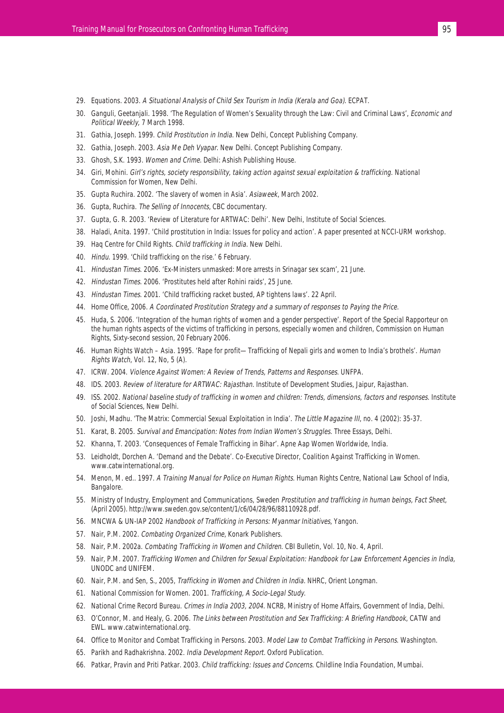- 29. Equations. 2003. A Situational Analysis of Child Sex Tourism in India (Kerala and Goa). ECPAT.<br>22. Second Line Section 1988. The Board of Line Corp. Communication in India (Kerala and Goa). ECPAT.
- 30. Ganguli, Geetanjali. 1998. 'The Regulation of Women's Sexuality through the Law: Civil and Criminal Laws', Economic and Political Weekly, 7 March 1998.
- 31. Gathia, Joseph. 1999. *Child Prostitution in India*. New Delhi, Concept Publishing Company.<br>32. Gathia, Joseph. 2003. *Asia Me Deh Vyapar*. New Delhi. Concept Publishing Company.<br>33. Ghosh, S.K. 1993. *Women and*
- 32. Gathia, Joseph. 2003. Asia Me Deh Vyapar. New Delhi. Concept Publishing Company.
- 33. Ghosh, S.K. 1993. Women and Crime. Delhi: Ashish Publishing House.
- 34. Giri, Mohini. Girl's rights, society responsibility, taking action against sexual exploitation & trafficking. National Commission for Women, New Delhi.
- 35. Gupta Ruchira. 2002. 'The slavery of women in Asia'. Asiaweek, March 2002.
- 36. Gupta, Ruchira. The Selling of Innocents, CBC documentary.
- 37. Gupta, G. R. 2003. 'Review of Literature for ARTWAC: Delhi'. New Delhi, Institute of Social Sciences.
- 38. Haladi, Anita. 1997. 'Child prostitution in India: Issues for policy and action'. A paper presented at NCCI-URM workshop.
- 39. Haq Centre for Child Rights. Child trafficking in India. New Delhi.
- 40. Hindu. 1999. 'Child trafficking on the rise.' 6 February.
- 41. Hindustan Times. 2006. 'Ex-Ministers unmasked: More arrests in Srinagar sex scam', 21 June.
- 42. Hindustan Times. 2006. 'Prostitutes held after Rohini raids', 25 June.
- 43. Hindustan Times. 2001. 'Child trafficking racket busted, AP tightens laws'. 22 April.
- 44. Home Office, 2006. A Coordinated Prostitution Strategy and a summary of responses to Paying the Price.
- 45. Huda, S. 2006. 'Integration of the human rights of women and a gender perspective'. Report of the Special Rapporteur on the human rights aspects of the victims of trafficking in persons, especially women and children, Commission on Human Rights, Sixty-second session, 20 February 2006.
- 46. Human Rights Watch Asia. 1995. 'Rape for profit—Trafficking of Nepali girls and women to India's brothels'. Human Rights Watch, Vol. 12, No, 5 (A).
- 47. ICRW. 2004. Violence Against Women: A Review of Trends, Patterns and Responses. UNFPA.
- 48. IDS. 2003. Review of literature for ARTWAC: Rajasthan. Institute of Development Studies, Jaipur, Rajasthan.
- 49. ISS. 2002. National baseline study of trafficking in women and children: Trends, dimensions, factors and responses. Institute of Social Sciences, New Delhi.
- 50. Joshi, Madhu. 'The Matrix: Commercial Sexual Exploitation in India'. The Little Magazine III, no. 4 (2002): 35-37.
- 51. Karat, B. 2005. Survival and Emancipation: Notes from Indian Women's Struggles. Three Essays, Delhi.
- 52. Khanna, T. 2003. 'Consequences of Female Trafficking in Bihar'. Apne Aap Women Worldwide, India.
- 53. Leidholdt, Dorchen A. 'Demand and the Debate'. Co-Executive Director, Coalition Against Trafficking in Women. www.catwinternational.org.
- 54. Menon, M. ed., 1997. A Training Manual for Police on Human Rights. Human Rights Centre, National Law School of India. Bangalore.
- 55. Ministry of Industry, Employment and Communications, Sweden Prostitution and trafficking in human beings, Fact Sheet, (April 2005). http://www.sweden.gov.se/content/1/c6/04/28/96/88110928.pdf.
- 56. MNCWA & UN-IAP 2002 Handbook of Trafficking in Persons: Myanmar Initiatives, Yangon.
- 57. Nair, P.M. 2002. Combating Organized Crime, Konark Publishers.
- 58. Nair, P.M. 2002a. Combating Trafficking in Women and Children. CBI Bulletin, Vol. 10, No. 4, April.
- 59. Nair, P.M. 2007. Trafficking Women and Children for Sexual Exploitation: Handbook for Law Enforcement Agencies in India, UNODC and UNIFEM.
- 60. Nair, P.M. and Sen, S., 2005, Trafficking in Women and Children in India. NHRC, Orient Longman.
- 61. National Commission for Women. 2001. Trafficking, A Socio-Legal Study.
- 62. National Crime Record Bureau. Crimes in India 2003, 2004. NCRB, Ministry of Home Affairs, Government of India, Delhi.
- 63. O'Connor, M. and Healy, G. 2006. The Links between Prostitution and Sex Trafficking: A Briefing Handbook, CATW and EWL. www.catwinternational.org.
- 64. Office to Monitor and Combat Trafficking in Persons. 2003. Model Law to Combat Trafficking in Persons. Washington.
- 65. Parikh and Radhakrishna. 2002. India Development Report. Oxford Publication.
- 66. Patkar, Pravin and Priti Patkar. 2003. Child trafficking: Issues and Concerns. Childline India Foundation, Mumbai.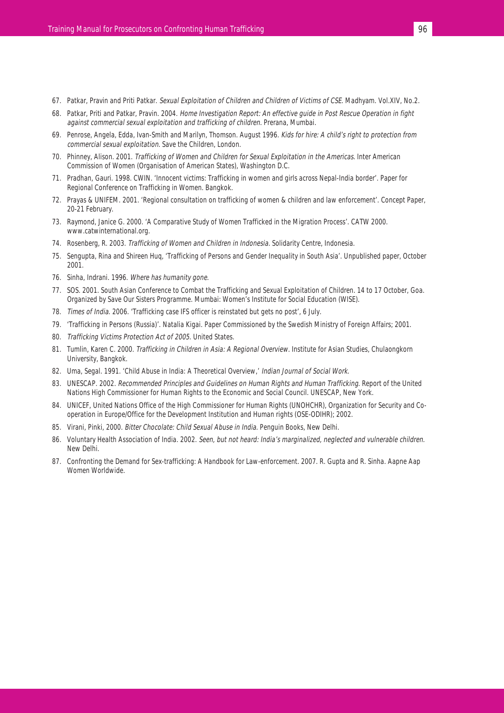- 67. Patkar, Pravin and Priti Patkar. Sexual Exploitation of Children and Children of Victims of CSE. Madhyam. Vol.XIV, No.2.
- 68. Patkar, Priti and Patkar, Pravin. 2004. Home Investigation Report: An effective guide in Post Rescue Operation in fight against commercial sexual exploitation and trafficking of children. Prerana, Mumbai.
- 69. Penrose, Angela, Edda, Ivan-Smith and Marilyn, Thomson. August 1996. Kids for hire: A child's right to protection from commercial sexual exploitation. Save the Children, London.
- 70. Phinney, Alison. 2001. Trafficking of Women and Children for Sexual Exploitation in the Americas. Inter American Commission of Women (Organisation of American States), Washington D.C.
- 71. Pradhan, Gauri. 1998. CWIN. 'Innocent victims: Trafficking in women and girls across Nepal-India border'. Paper for Regional Conference on Trafficking in Women. Bangkok.
- 72. Prayas & UNIFEM. 2001. 'Regional consultation on trafficking of women & children and law enforcement'. Concept Paper, 20-21 February.
- 73. Raymond, Janice G. 2000. 'A Comparative Study of Women Trafficked in the Migration Process'. CATW 2000. www.catwinternational.org.
- 74. Rosenberg, R. 2003. Trafficking of Women and Children in Indonesia. Solidarity Centre, Indonesia.
- 75. Sengupta, Rina and Shireen Huq, 'Trafficking of Persons and Gender Inequality in South Asia'. Unpublished paper, October 2001.
- 76. Sinha, Indrani. 1996. Where has humanity gone.
- 77. SOS. 2001. South Asian Conference to Combat the Trafficking and Sexual Exploitation of Children. 14 to 17 October, Goa. Organized by Save Our Sisters Programme. Mumbai: Women's Institute for Social Education (WISE).
- 78. Times of India. 2006. 'Trafficking case IFS officer is reinstated but gets no post', 6 July.
- 79. 'Trafficking in Persons (Russia)'. Natalia Kigai. Paper Commissioned by the Swedish Ministry of Foreign Affairs; 2001.
- 80. Trafficking Victims Protection Act of 2005. United States.
- 81. Tumlin, Karen C. 2000. Trafficking in Children in Asia: A Regional Overview. Institute for Asian Studies, Chulaongkorn University, Bangkok.
- 82. Uma, Segal. 1991. 'Child Abuse in India: A Theoretical Overview,' Indian Journal of Social Work.
- 83. UNESCAP. 2002. Recommended Principles and Guidelines on Human Rights and Human Trafficking. Report of the United Nations High Commissioner for Human Rights to the Economic and Social Council. UNESCAP, New York.
- 84. UNICEF, United Nations Office of the High Commissioner for Human Rights (UNOHCHR), Organization for Security and Cooperation in Europe/Office for the Development Institution and Human rights (OSE-ODIHR); 2002.
- 85. Virani, Pinki, 2000. Bitter Chocolate: Child Sexual Abuse in India. Penguin Books, New Delhi.
- 86. Voluntary Health Association of India. 2002. Seen, but not heard: India's marginalized, neglected and vulnerable children. New Delhi.
- 87. Confronting the Demand for Sex-trafficking: A Handbook for Law-enforcement. 2007. R. Gupta and R. Sinha. Aapne Aap Women Worldwide.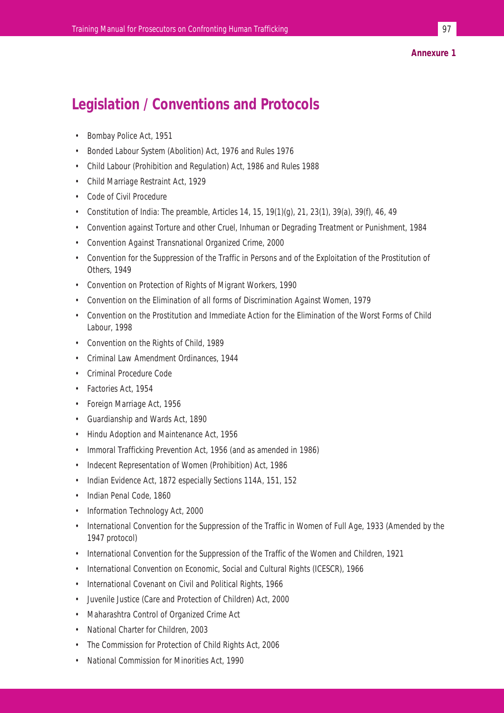#### **Annexure 1**

### **Legislation / Conventions and Protocols**

- Bombay Police Act, 1951
- Bonded Labour System (Abolition) Act, 1976 and Rules 1976
- Child Labour (Prohibition and Regulation) Act, 1986 and Rules 1988
- Child Marriage Restraint Act, 1929
- Code of Civil Procedure
- Constitution of India: The preamble, Articles 14, 15, 19(1)(g), 21, 23(1), 39(a), 39(f), 46, 49
- Convention against Torture and other Cruel, Inhuman or Degrading Treatment or Punishment, 1984
- Convention Against Transnational Organized Crime, 2000
- Convention for the Suppression of the Traffic in Persons and of the Exploitation of the Prostitution of Others, 1949
- Convention on Protection of Rights of Migrant Workers, 1990
- Convention on the Elimination of all forms of Discrimination Against Women, 1979
- Convention on the Prostitution and Immediate Action for the Elimination of the Worst Forms of Child Labour, 1998
- Convention on the Rights of Child, 1989
- Criminal Law Amendment Ordinances, 1944
- Criminal Procedure Code
- Factories Act, 1954
- Foreign Marriage Act, 1956
- Guardianship and Wards Act, 1890
- Hindu Adoption and Maintenance Act, 1956
- Immoral Trafficking Prevention Act, 1956 (and as amended in 1986)
- Indecent Representation of Women (Prohibition) Act, 1986
- Indian Evidence Act, 1872 especially Sections 114A, 151, 152
- Indian Penal Code, 1860
- Information Technology Act, 2000
- International Convention for the Suppression of the Traffic in Women of Full Age, 1933 (Amended by the 1947 protocol)
- International Convention for the Suppression of the Traffic of the Women and Children, 1921
- International Convention on Economic, Social and Cultural Rights (ICESCR), 1966
- International Covenant on Civil and Political Rights, 1966
- Juvenile Justice (Care and Protection of Children) Act, 2000
- Maharashtra Control of Organized Crime Act
- National Charter for Children, 2003
- The Commission for Protection of Child Rights Act, 2006
- National Commission for Minorities Act, 1990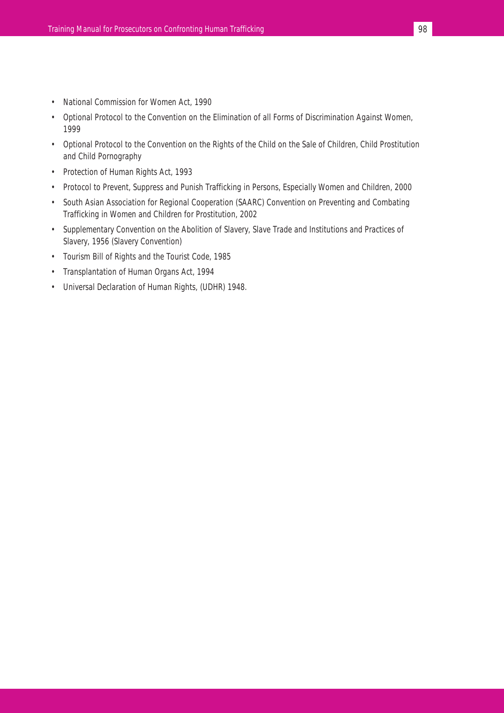- National Commission for Women Act, 1990
- Optional Protocol to the Convention on the Elimination of all Forms of Discrimination Against Women, 1999
- Optional Protocol to the Convention on the Rights of the Child on the Sale of Children, Child Prostitution and Child Pornography
- Protection of Human Rights Act, 1993
- Protocol to Prevent, Suppress and Punish Trafficking in Persons, Especially Women and Children, 2000
- South Asian Association for Regional Cooperation (SAARC) Convention on Preventing and Combating Trafficking in Women and Children for Prostitution, 2002
- Supplementary Convention on the Abolition of Slavery, Slave Trade and Institutions and Practices of Slavery, 1956 (Slavery Convention)
- Tourism Bill of Rights and the Tourist Code, 1985
- Transplantation of Human Organs Act, 1994
- Universal Declaration of Human Rights, (UDHR) 1948.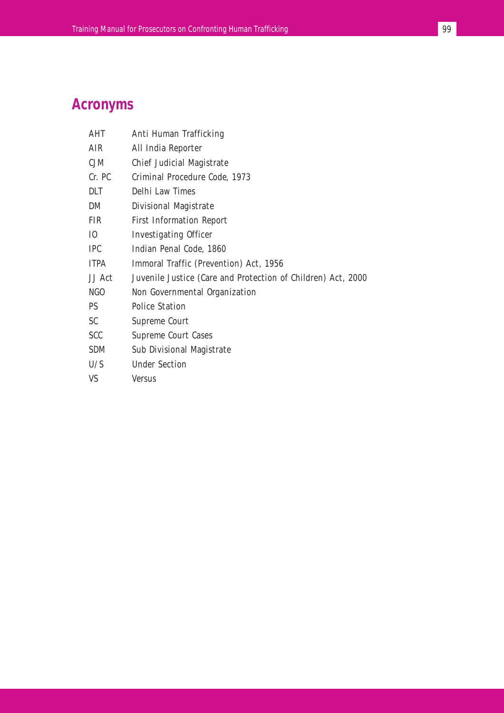### **Acronyms**

| <b>AHT</b>     | Anti Human Trafficking                                       |  |
|----------------|--------------------------------------------------------------|--|
| AIR            | All India Reporter                                           |  |
| <b>CJM</b>     | Chief Judicial Magistrate                                    |  |
| Cr. PC         | Criminal Procedure Code, 1973                                |  |
| <b>DLT</b>     | Delhi Law Times                                              |  |
| DM             | Divisional Magistrate                                        |  |
| <b>FIR</b>     | <b>First Information Report</b>                              |  |
| I <sub>0</sub> | <b>Investigating Officer</b>                                 |  |
| <b>IPC</b>     | Indian Penal Code, 1860                                      |  |
| <b>ITPA</b>    | Immoral Traffic (Prevention) Act, 1956                       |  |
| JJ Act         | Juvenile Justice (Care and Protection of Children) Act, 2000 |  |
| NGO            | Non Governmental Organization                                |  |
| <b>PS</b>      | <b>Police Station</b>                                        |  |
| SC             | Supreme Court                                                |  |
| <b>SCC</b>     | <b>Supreme Court Cases</b>                                   |  |
| <b>SDM</b>     | Sub Divisional Magistrate                                    |  |
| U/S            | <b>Under Section</b>                                         |  |
| <b>VS</b>      | Versus                                                       |  |
|                |                                                              |  |